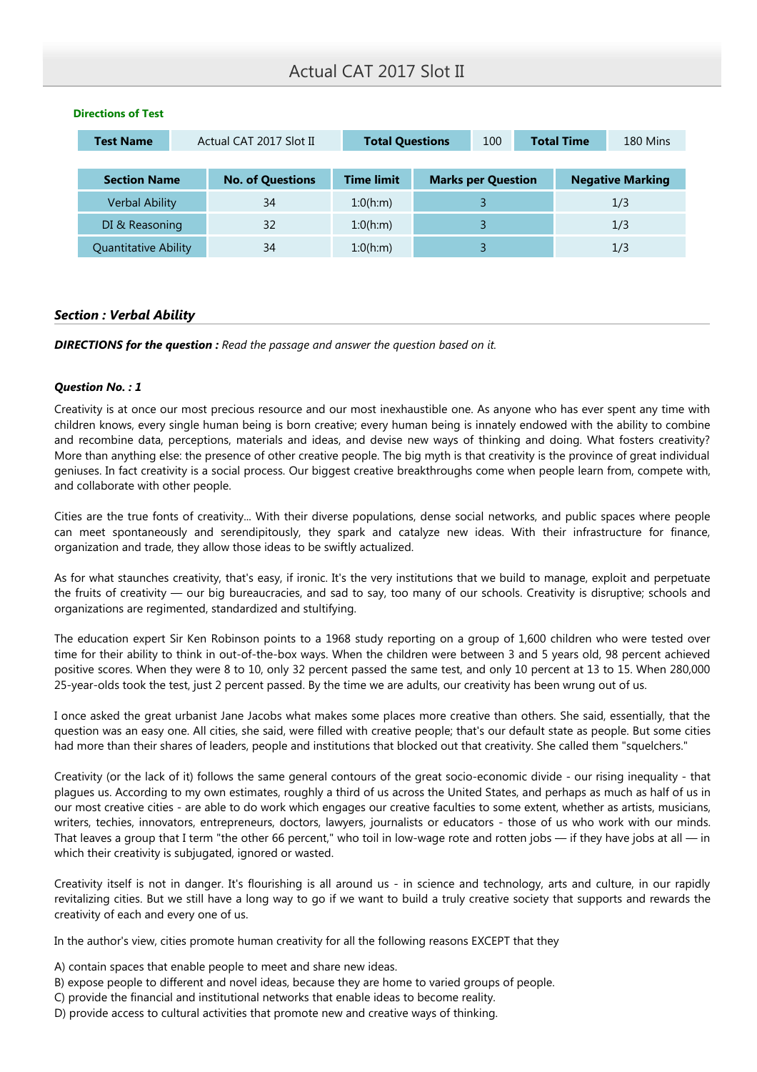| <b>Test Name</b>            | Actual CAT 2017 Slot II |                         | <b>Total Questions</b> |  | 100                       |     | <b>Total Time</b> | 180 Mins                |
|-----------------------------|-------------------------|-------------------------|------------------------|--|---------------------------|-----|-------------------|-------------------------|
| <b>Section Name</b>         |                         | <b>No. of Questions</b> | <b>Time limit</b>      |  | <b>Marks per Question</b> |     |                   | <b>Negative Marking</b> |
| <b>Verbal Ability</b>       |                         | 34                      | 1:0(h;m)               |  |                           |     |                   | 1/3                     |
| DI & Reasoning              |                         | 32                      | 1:0(h;m)               |  |                           | 1/3 |                   |                         |
| <b>Quantitative Ability</b> |                         | 34                      | 1:0(h:m)               |  |                           |     |                   | 1/3                     |

### Directions of Test

# Section : Verbal Ability

**DIRECTIONS for the question :** Read the passage and answer the question based on it.

## Question No. : 1

Creativity is at once our most precious resource and our most inexhaustible one. As anyone who has ever spent any time with children knows, every single human being is born creative; every human being is innately endowed with the ability to combine and recombine data, perceptions, materials and ideas, and devise new ways of thinking and doing. What fosters creativity? More than anything else: the presence of other creative people. The big myth is that creativity is the province of great individual geniuses. In fact creativity is a social process. Our biggest creative breakthroughs come when people learn from, compete with, and collaborate with other people.

Cities are the true fonts of creativity... With their diverse populations, dense social networks, and public spaces where people can meet spontaneously and serendipitously, they spark and catalyze new ideas. With their infrastructure for finance, organization and trade, they allow those ideas to be swiftly actualized.

As for what staunches creativity, that's easy, if ironic. It's the very institutions that we build to manage, exploit and perpetuate the fruits of creativity — our big bureaucracies, and sad to say, too many of our schools. Creativity is disruptive; schools and organizations are regimented, standardized and stultifying.

The education expert Sir Ken Robinson points to a 1968 study reporting on a group of 1,600 children who were tested over time for their ability to think in out-of-the-box ways. When the children were between 3 and 5 years old, 98 percent achieved positive scores. When they were 8 to 10, only 32 percent passed the same test, and only 10 percent at 13 to 15. When 280,000 25-year-olds took the test, just 2 percent passed. By the time we are adults, our creativity has been wrung out of us.

I once asked the great urbanist Jane Jacobs what makes some places more creative than others. She said, essentially, that the question was an easy one. All cities, she said, were filled with creative people; that's our default state as people. But some cities had more than their shares of leaders, people and institutions that blocked out that creativity. She called them "squelchers."

Creativity (or the lack of it) follows the same general contours of the great socio-economic divide - our rising inequality - that plagues us. According to my own estimates, roughly a third of us across the United States, and perhaps as much as half of us in our most creative cities - are able to do work which engages our creative faculties to some extent, whether as artists, musicians, writers, techies, innovators, entrepreneurs, doctors, lawyers, journalists or educators - those of us who work with our minds. That leaves a group that I term "the other 66 percent," who toil in low-wage rote and rotten jobs — if they have jobs at all — in which their creativity is subjugated, ignored or wasted.

Creativity itself is not in danger. It's flourishing is all around us - in science and technology, arts and culture, in our rapidly revitalizing cities. But we still have a long way to go if we want to build a truly creative society that supports and rewards the creativity of each and every one of us.

In the author's view, cities promote human creativity for all the following reasons EXCEPT that they

- A) contain spaces that enable people to meet and share new ideas.
- B) expose people to different and novel ideas, because they are home to varied groups of people.
- C) provide the financial and institutional networks that enable ideas to become reality.
- D) provide access to cultural activities that promote new and creative ways of thinking.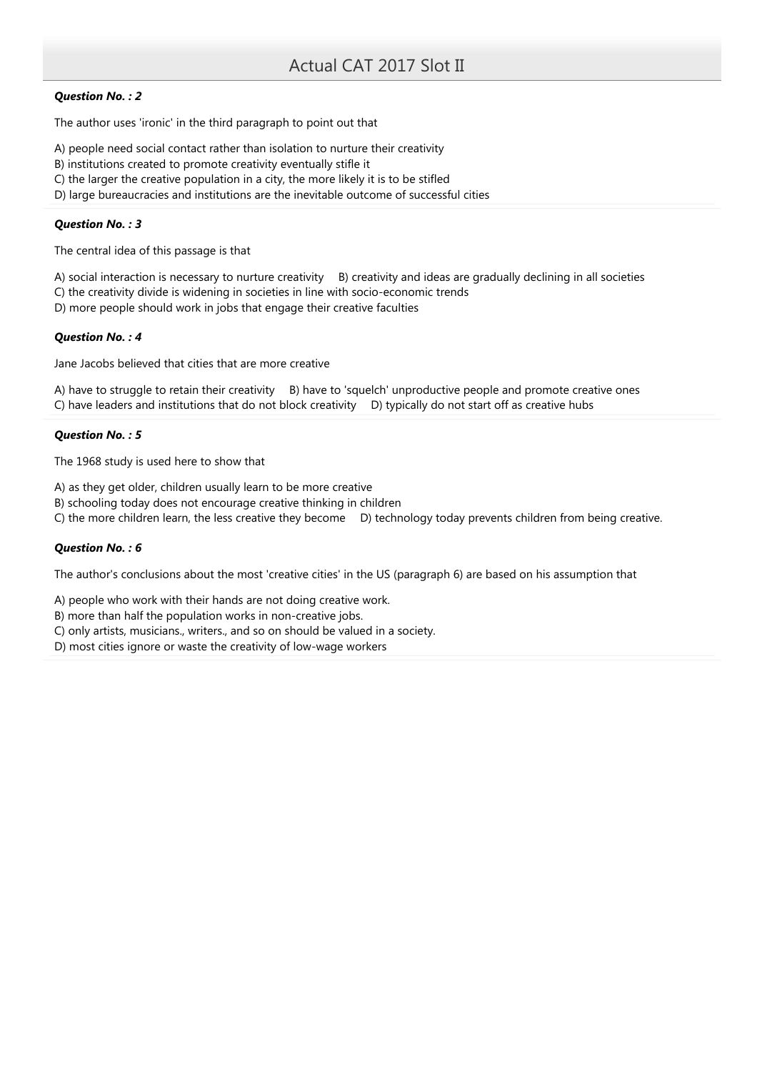# Question No. : 2

The author uses 'ironic' in the third paragraph to point out that

- A) people need social contact rather than isolation to nurture their creativity
- B) institutions created to promote creativity eventually stifle it
- C) the larger the creative population in a city, the more likely it is to be stifled
- D) large bureaucracies and institutions are the inevitable outcome of successful cities

### Question No. : 3

The central idea of this passage is that

A) social interaction is necessary to nurture creativity B) creativity and ideas are gradually declining in all societies C) the creativity divide is widening in societies in line with socio-economic trends

D) more people should work in jobs that engage their creative faculties

### Question No. : 4

Jane Jacobs believed that cities that are more creative

A) have to struggle to retain their creativity B) have to 'squelch' unproductive people and promote creative ones C) have leaders and institutions that do not block creativity D) typically do not start off as creative hubs

## Question No. : 5

The 1968 study is used here to show that

A) as they get older, children usually learn to be more creative

B) schooling today does not encourage creative thinking in children

C) the more children learn, the less creative they become D) technology today prevents children from being creative.

## Question No. : 6

The author's conclusions about the most 'creative cities' in the US (paragraph 6) are based on his assumption that

A) people who work with their hands are not doing creative work.

B) more than half the population works in non-creative jobs.

C) only artists, musicians., writers., and so on should be valued in a society.

D) most cities ignore or waste the creativity of low-wage workers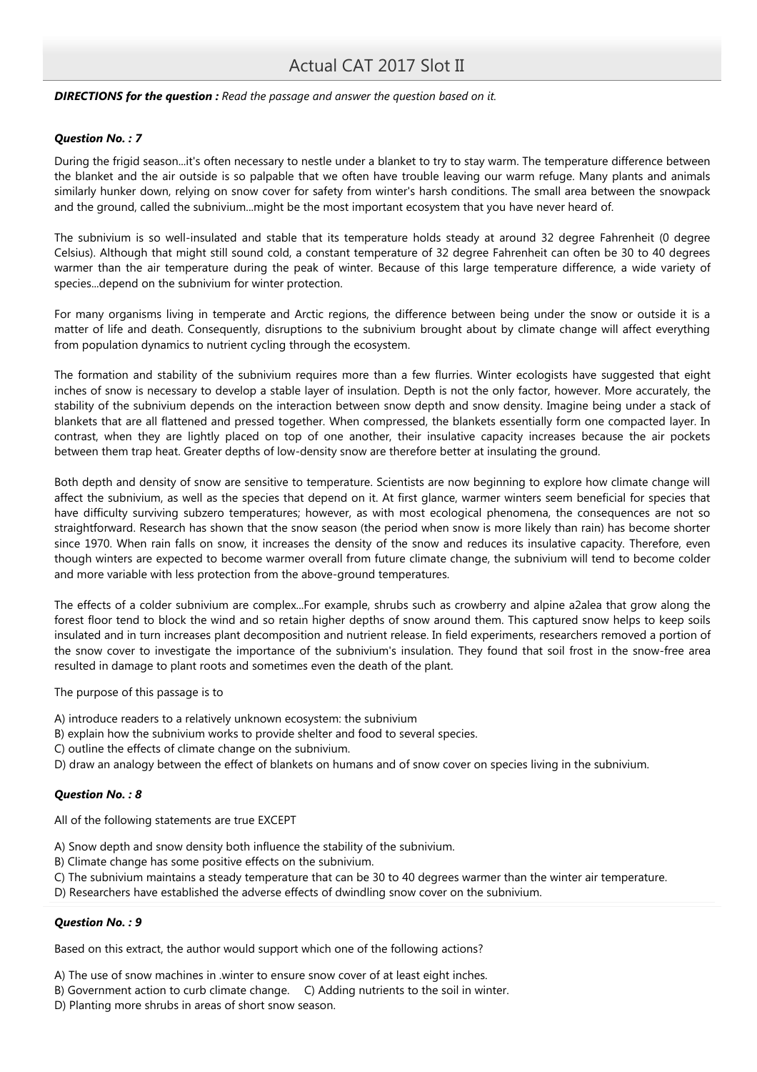### **DIRECTIONS for the question :** Read the passage and answer the question based on it.

### Question No. : 7

During the frigid season...it's often necessary to nestle under a blanket to try to stay warm. The temperature difference between the blanket and the air outside is so palpable that we often have trouble leaving our warm refuge. Many plants and animals similarly hunker down, relying on snow cover for safety from winter's harsh conditions. The small area between the snowpack and the ground, called the subnivium...might be the most important ecosystem that you have never heard of.

The subnivium is so well-insulated and stable that its temperature holds steady at around 32 degree Fahrenheit (0 degree Celsius). Although that might still sound cold, a constant temperature of 32 degree Fahrenheit can often be 30 to 40 degrees warmer than the air temperature during the peak of winter. Because of this large temperature difference, a wide variety of species...depend on the subnivium for winter protection.

For many organisms living in temperate and Arctic regions, the difference between being under the snow or outside it is a matter of life and death. Consequently, disruptions to the subnivium brought about by climate change will affect everything from population dynamics to nutrient cycling through the ecosystem.

The formation and stability of the subnivium requires more than a few flurries. Winter ecologists have suggested that eight inches of snow is necessary to develop a stable layer of insulation. Depth is not the only factor, however. More accurately, the stability of the subnivium depends on the interaction between snow depth and snow density. Imagine being under a stack of blankets that are all flattened and pressed together. When compressed, the blankets essentially form one compacted layer. In contrast, when they are lightly placed on top of one another, their insulative capacity increases because the air pockets between them trap heat. Greater depths of low-density snow are therefore better at insulating the ground.

Both depth and density of snow are sensitive to temperature. Scientists are now beginning to explore how climate change will affect the subnivium, as well as the species that depend on it. At first glance, warmer winters seem beneficial for species that have difficulty surviving subzero temperatures; however, as with most ecological phenomena, the consequences are not so straightforward. Research has shown that the snow season (the period when snow is more likely than rain) has become shorter since 1970. When rain falls on snow, it increases the density of the snow and reduces its insulative capacity. Therefore, even though winters are expected to become warmer overall from future climate change, the subnivium will tend to become colder and more variable with less protection from the above-ground temperatures.

The effects of a colder subnivium are complex...For example, shrubs such as crowberry and alpine a2alea that grow along the forest floor tend to block the wind and so retain higher depths of snow around them. This captured snow helps to keep soils insulated and in turn increases plant decomposition and nutrient release. In field experiments, researchers removed a portion of the snow cover to investigate the importance of the subnivium's insulation. They found that soil frost in the snow-free area resulted in damage to plant roots and sometimes even the death of the plant.

The purpose of this passage is to

- A) introduce readers to a relatively unknown ecosystem: the subnivium
- B) explain how the subnivium works to provide shelter and food to several species.
- C) outline the effects of climate change on the subnivium.
- D) draw an analogy between the effect of blankets on humans and of snow cover on species living in the subnivium.

### Question No. : 8

All of the following statements are true EXCEPT

- A) Snow depth and snow density both influence the stability of the subnivium.
- B) Climate change has some positive effects on the subnivium.
- C) The subnivium maintains a steady temperature that can be 30 to 40 degrees warmer than the winter air temperature.
- D) Researchers have established the adverse effects of dwindling snow cover on the subnivium.

## Question No. : 9

Based on this extract, the author would support which one of the following actions?

- A) The use of snow machines in .winter to ensure snow cover of at least eight inches.
- B) Government action to curb climate change. C) Adding nutrients to the soil in winter.
- D) Planting more shrubs in areas of short snow season.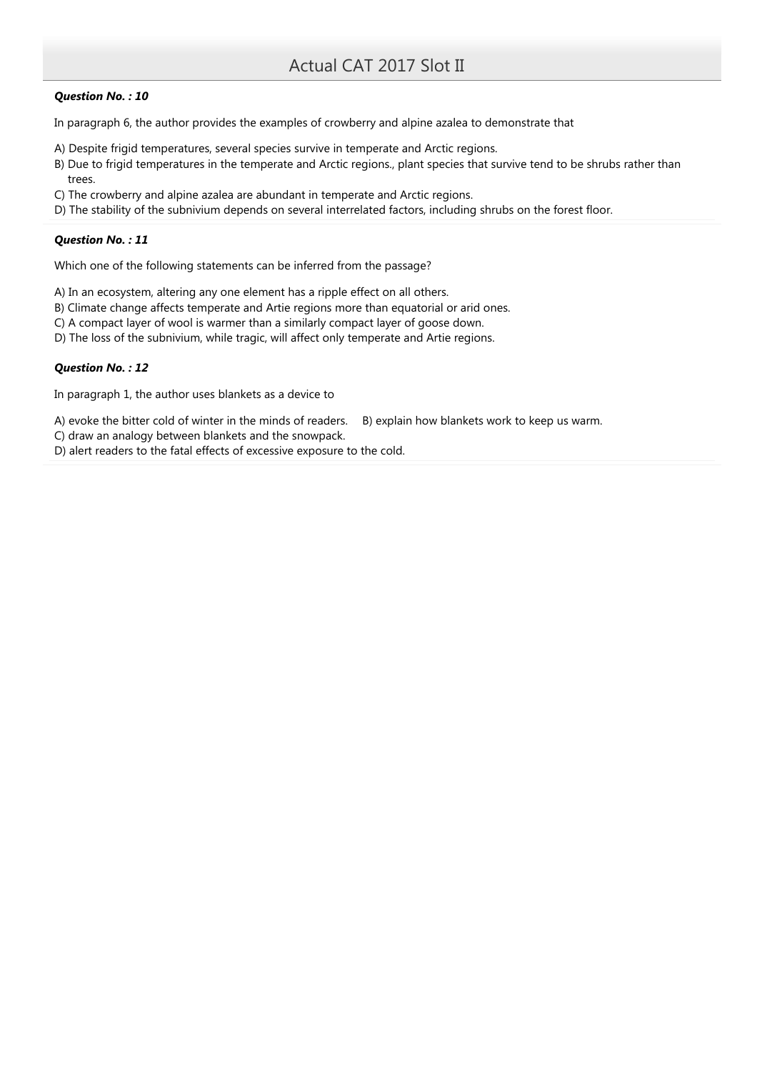## Question No. : 10

In paragraph 6, the author provides the examples of crowberry and alpine azalea to demonstrate that

- A) Despite frigid temperatures, several species survive in temperate and Arctic regions.
- B) Due to frigid temperatures in the temperate and Arctic regions., plant species that survive tend to be shrubs rather than trees.
- C) The crowberry and alpine azalea are abundant in temperate and Arctic regions.
- D) The stability of the subnivium depends on several interrelated factors, including shrubs on the forest floor.

# Question No. : 11

Which one of the following statements can be inferred from the passage?

A) In an ecosystem, altering any one element has a ripple effect on all others.

- B) Climate change affects temperate and Artie regions more than equatorial or arid ones.
- C) A compact layer of wool is warmer than a similarly compact layer of goose down.
- D) The loss of the subnivium, while tragic, will affect only temperate and Artie regions.

# Question No. : 12

In paragraph 1, the author uses blankets as a device to

A) evoke the bitter cold of winter in the minds of readers. B) explain how blankets work to keep us warm.

C) draw an analogy between blankets and the snowpack.

D) alert readers to the fatal effects of excessive exposure to the cold.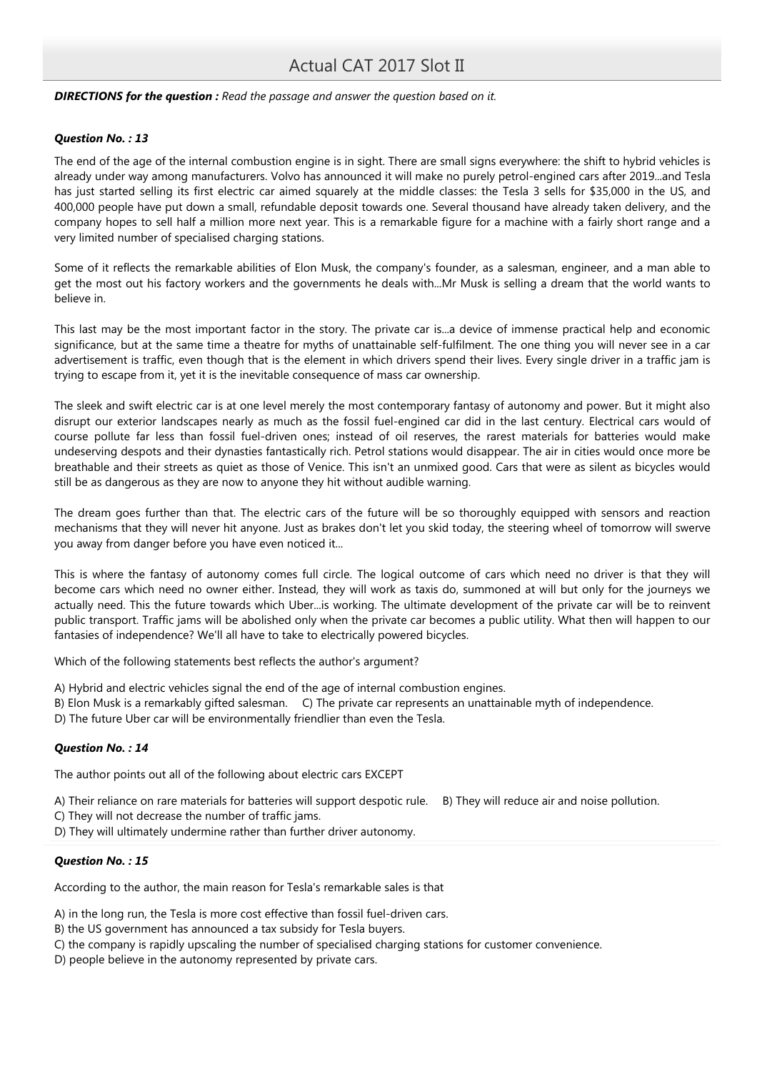## **DIRECTIONS for the question :** Read the passage and answer the question based on it.

### Question No. : 13

The end of the age of the internal combustion engine is in sight. There are small signs everywhere: the shift to hybrid vehicles is already under way among manufacturers. Volvo has announced it will make no purely petrol-engined cars after 2019...and Tesla has just started selling its first electric car aimed squarely at the middle classes: the Tesla 3 sells for \$35,000 in the US, and 400,000 people have put down a small, refundable deposit towards one. Several thousand have already taken delivery, and the company hopes to sell half a million more next year. This is a remarkable figure for a machine with a fairly short range and a very limited number of specialised charging stations.

Some of it reflects the remarkable abilities of Elon Musk, the company's founder, as a salesman, engineer, and a man able to get the most out his factory workers and the governments he deals with...Mr Musk is selling a dream that the world wants to believe in.

This last may be the most important factor in the story. The private car is...a device of immense practical help and economic significance, but at the same time a theatre for myths of unattainable self-fulfilment. The one thing you will never see in a car advertisement is traffic, even though that is the element in which drivers spend their lives. Every single driver in a traffic jam is trying to escape from it, yet it is the inevitable consequence of mass car ownership.

The sleek and swift electric car is at one level merely the most contemporary fantasy of autonomy and power. But it might also disrupt our exterior landscapes nearly as much as the fossil fuel-engined car did in the last century. Electrical cars would of course pollute far less than fossil fuel-driven ones; instead of oil reserves, the rarest materials for batteries would make undeserving despots and their dynasties fantastically rich. Petrol stations would disappear. The air in cities would once more be breathable and their streets as quiet as those of Venice. This isn't an unmixed good. Cars that were as silent as bicycles would still be as dangerous as they are now to anyone they hit without audible warning.

The dream goes further than that. The electric cars of the future will be so thoroughly equipped with sensors and reaction mechanisms that they will never hit anyone. Just as brakes don't let you skid today, the steering wheel of tomorrow will swerve you away from danger before you have even noticed it...

This is where the fantasy of autonomy comes full circle. The logical outcome of cars which need no driver is that they will become cars which need no owner either. Instead, they will work as taxis do, summoned at will but only for the journeys we actually need. This the future towards which Uber...is working. The ultimate development of the private car will be to reinvent public transport. Traffic jams will be abolished only when the private car becomes a public utility. What then will happen to our fantasies of independence? We'll all have to take to electrically powered bicycles.

Which of the following statements best reflects the author's argument?

- A) Hybrid and electric vehicles signal the end of the age of internal combustion engines.
- B) Elon Musk is a remarkably gifted salesman. C) The private car represents an unattainable myth of independence.
- D) The future Uber car will be environmentally friendlier than even the Tesla.

## Question No. : 14

The author points out all of the following about electric cars EXCEPT

A) Their reliance on rare materials for batteries will support despotic rule. B) They will reduce air and noise pollution.

C) They will not decrease the number of traffic jams.

D) They will ultimately undermine rather than further driver autonomy.

## Question No. : 15

According to the author, the main reason for Tesla's remarkable sales is that

A) in the long run, the Tesla is more cost effective than fossil fuel-driven cars.

- B) the US government has announced a tax subsidy for Tesla buyers.
- C) the company is rapidly upscaling the number of specialised charging stations for customer convenience.
- D) people believe in the autonomy represented by private cars.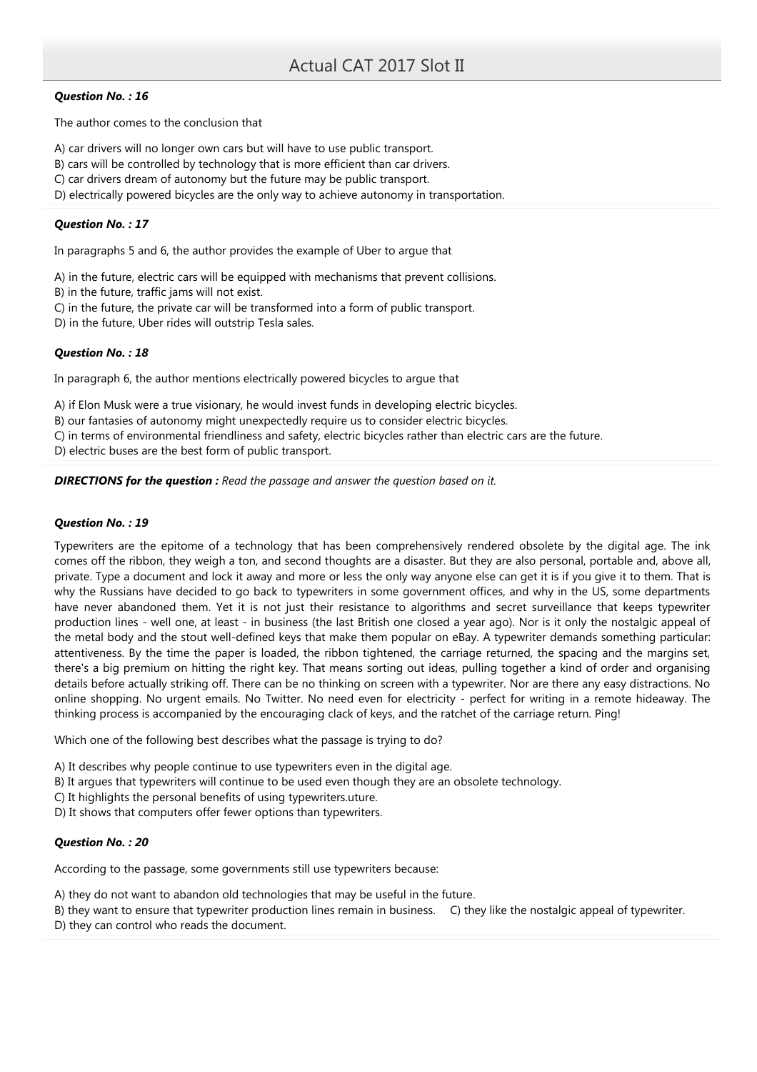# Question No. : 16

The author comes to the conclusion that

A) car drivers will no longer own cars but will have to use public transport.

- B) cars will be controlled by technology that is more efficient than car drivers.
- C) car drivers dream of autonomy but the future may be public transport.
- D) electrically powered bicycles are the only way to achieve autonomy in transportation.

## Question No. : 17

In paragraphs 5 and 6, the author provides the example of Uber to argue that

A) in the future, electric cars will be equipped with mechanisms that prevent collisions.

B) in the future, traffic jams will not exist.

- C) in the future, the private car will be transformed into a form of public transport.
- D) in the future, Uber rides will outstrip Tesla sales.

## Question No. : 18

In paragraph 6, the author mentions electrically powered bicycles to argue that

A) if Elon Musk were a true visionary, he would invest funds in developing electric bicycles.

B) our fantasies of autonomy might unexpectedly require us to consider electric bicycles.

C) in terms of environmental friendliness and safety, electric bicycles rather than electric cars are the future.

D) electric buses are the best form of public transport.

## **DIRECTIONS for the question :** Read the passage and answer the question based on it.

## Question No. : 19

Typewriters are the epitome of a technology that has been comprehensively rendered obsolete by the digital age. The ink comes off the ribbon, they weigh a ton, and second thoughts are a disaster. But they are also personal, portable and, above all, private. Type a document and lock it away and more or less the only way anyone else can get it is if you give it to them. That is why the Russians have decided to go back to typewriters in some government offices, and why in the US, some departments have never abandoned them. Yet it is not just their resistance to algorithms and secret surveillance that keeps typewriter production lines - well one, at least - in business (the last British one closed a year ago). Nor is it only the nostalgic appeal of the metal body and the stout well-defined keys that make them popular on eBay. A typewriter demands something particular: attentiveness. By the time the paper is loaded, the ribbon tightened, the carriage returned, the spacing and the margins set, there's a big premium on hitting the right key. That means sorting out ideas, pulling together a kind of order and organising details before actually striking off. There can be no thinking on screen with a typewriter. Nor are there any easy distractions. No online shopping. No urgent emails. No Twitter. No need even for electricity - perfect for writing in a remote hideaway. The thinking process is accompanied by the encouraging clack of keys, and the ratchet of the carriage return. Ping!

Which one of the following best describes what the passage is trying to do?

- A) It describes why people continue to use typewriters even in the digital age.
- B) It argues that typewriters will continue to be used even though they are an obsolete technology.
- C) It highlights the personal benefits of using typewriters.uture.
- D) It shows that computers offer fewer options than typewriters.

## Question No. : 20

According to the passage, some governments still use typewriters because:

A) they do not want to abandon old technologies that may be useful in the future.

B) they want to ensure that typewriter production lines remain in business. C) they like the nostalgic appeal of typewriter.

D) they can control who reads the document.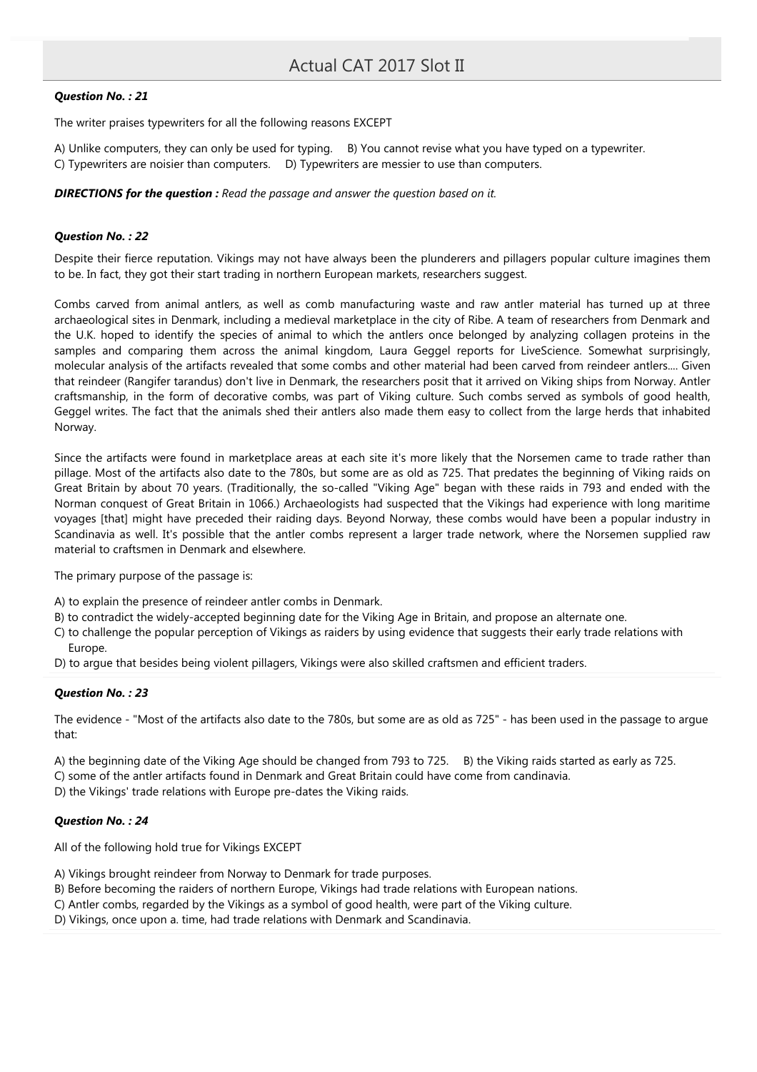## Question No. : 21

The writer praises typewriters for all the following reasons EXCEPT

A) Unlike computers, they can only be used for typing. B) You cannot revise what you have typed on a typewriter. C) Typewriters are noisier than computers. D) Typewriters are messier to use than computers.

**DIRECTIONS for the question :** Read the passage and answer the question based on it.

### Question No. : 22

Despite their fierce reputation. Vikings may not have always been the plunderers and pillagers popular culture imagines them to be. In fact, they got their start trading in northern European markets, researchers suggest.

Combs carved from animal antlers, as well as comb manufacturing waste and raw antler material has turned up at three archaeological sites in Denmark, including a medieval marketplace in the city of Ribe. A team of researchers from Denmark and the U.K. hoped to identify the species of animal to which the antlers once belonged by analyzing collagen proteins in the samples and comparing them across the animal kingdom, Laura Geggel reports for LiveScience. Somewhat surprisingly, molecular analysis of the artifacts revealed that some combs and other material had been carved from reindeer antlers.... Given that reindeer (Rangifer tarandus) don't live in Denmark, the researchers posit that it arrived on Viking ships from Norway. Antler craftsmanship, in the form of decorative combs, was part of Viking culture. Such combs served as symbols of good health, Geggel writes. The fact that the animals shed their antlers also made them easy to collect from the large herds that inhabited Norway.

Since the artifacts were found in marketplace areas at each site it's more likely that the Norsemen came to trade rather than pillage. Most of the artifacts also date to the 780s, but some are as old as 725. That predates the beginning of Viking raids on Great Britain by about 70 years. (Traditionally, the so-called "Viking Age" began with these raids in 793 and ended with the Norman conquest of Great Britain in 1066.) Archaeologists had suspected that the Vikings had experience with long maritime voyages [that] might have preceded their raiding days. Beyond Norway, these combs would have been a popular industry in Scandinavia as well. It's possible that the antler combs represent a larger trade network, where the Norsemen supplied raw material to craftsmen in Denmark and elsewhere.

The primary purpose of the passage is:

A) to explain the presence of reindeer antler combs in Denmark.

- B) to contradict the widely-accepted beginning date for the Viking Age in Britain, and propose an alternate one.
- C) to challenge the popular perception of Vikings as raiders by using evidence that suggests their early trade relations with Europe.
- D) to argue that besides being violent pillagers, Vikings were also skilled craftsmen and efficient traders.

### Question No. : 23

The evidence - "Most of the artifacts also date to the 780s, but some are as old as 725" - has been used in the passage to argue that:

A) the beginning date of the Viking Age should be changed from 793 to 725. B) the Viking raids started as early as 725.

C) some of the antler artifacts found in Denmark and Great Britain could have come from candinavia.

D) the Vikings' trade relations with Europe pre-dates the Viking raids.

## Question No. : 24

All of the following hold true for Vikings EXCEPT

A) Vikings brought reindeer from Norway to Denmark for trade purposes.

B) Before becoming the raiders of northern Europe, Vikings had trade relations with European nations.

C) Antler combs, regarded by the Vikings as a symbol of good health, were part of the Viking culture.

D) Vikings, once upon a. time, had trade relations with Denmark and Scandinavia.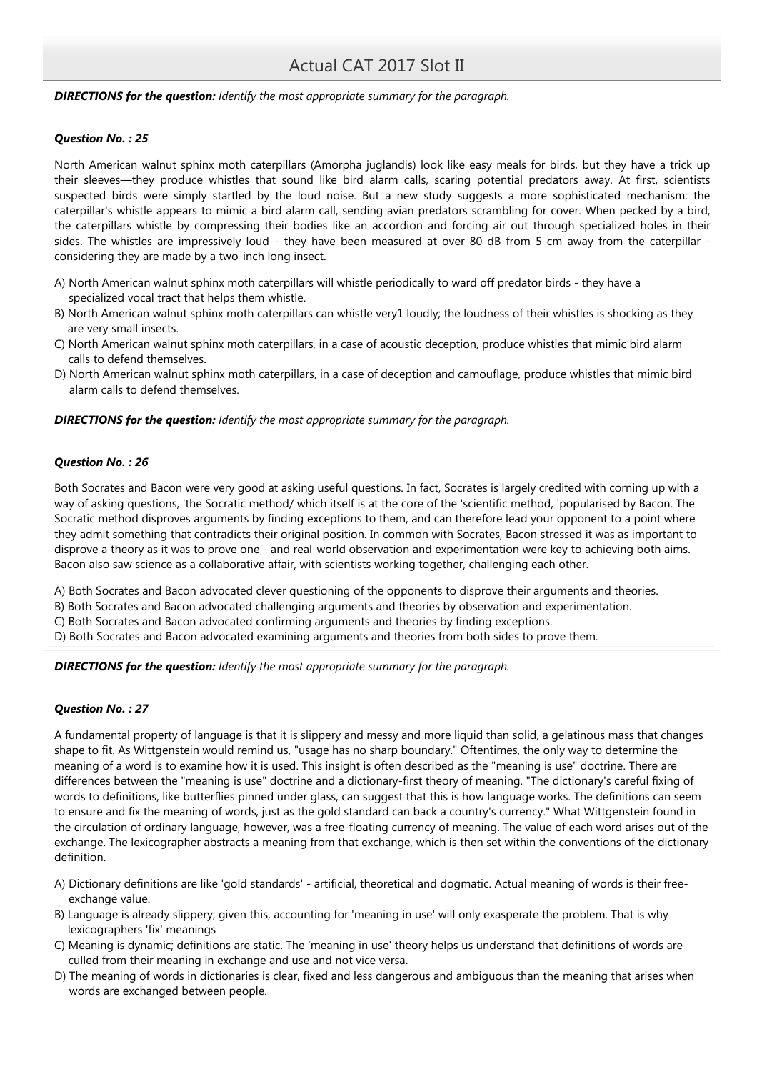## **DIRECTIONS for the question:** Identify the most appropriate summary for the paragraph.

## Question No. : 25

North American walnut sphinx moth caterpillars (Amorpha juglandis) look like easy meals for birds, but they have a trick up their sleeves—they produce whistles that sound like bird alarm calls, scaring potential predators away. At first, scientists suspected birds were simply startled by the loud noise. But a new study suggests a more sophisticated mechanism: the caterpillar's whistle appears to mimic a bird alarm call, sending avian predators scrambling for cover. When pecked by a bird, the caterpillars whistle by compressing their bodies like an accordion and forcing air out through specialized holes in their sides. The whistles are impressively loud - they have been measured at over 80 dB from 5 cm away from the caterpillar considering they are made by a two-inch long insect.

- A) North American walnut sphinx moth caterpillars will whistle periodically to ward off predator birds they have a specialized vocal tract that helps them whistle.
- B) North American walnut sphinx moth caterpillars can whistle very1 loudly; the loudness of their whistles is shocking as they are very small insects.
- C) North American walnut sphinx moth caterpillars, in a case of acoustic deception, produce whistles that mimic bird alarm calls to defend themselves.
- D) North American walnut sphinx moth caterpillars, in a case of deception and camouflage, produce whistles that mimic bird alarm calls to defend themselves.

## **DIRECTIONS for the question:** Identify the most appropriate summary for the paragraph.

## Question No. : 26

Both Socrates and Bacon were very good at asking useful questions. In fact, Socrates is largely credited with corning up with a way of asking questions, 'the Socratic method/ which itself is at the core of the 'scientific method, 'popularised by Bacon. The Socratic method disproves arguments by finding exceptions to them, and can therefore lead your opponent to a point where they admit something that contradicts their original position. In common with Socrates, Bacon stressed it was as important to disprove a theory as it was to prove one - and real-world observation and experimentation were key to achieving both aims. Bacon also saw science as a collaborative affair, with scientists working together, challenging each other.

A) Both Socrates and Bacon advocated clever questioning of the opponents to disprove their arguments and theories.

B) Both Socrates and Bacon advocated challenging arguments and theories by observation and experimentation.

C) Both Socrates and Bacon advocated confirming arguments and theories by finding exceptions.

D) Both Socrates and Bacon advocated examining arguments and theories from both sides to prove them.

**DIRECTIONS for the question:** Identify the most appropriate summary for the paragraph.

## Question No. : 27

A fundamental property of language is that it is slippery and messy and more liquid than solid, a gelatinous mass that changes shape to fit. As Wittgenstein would remind us, "usage has no sharp boundary." Oftentimes, the only way to determine the meaning of a word is to examine how it is used. This insight is often described as the "meaning is use" doctrine. There are differences between the "meaning is use" doctrine and a dictionary-first theory of meaning. "The dictionary's careful fixing of words to definitions, like butterflies pinned under glass, can suggest that this is how language works. The definitions can seem to ensure and fix the meaning of words, just as the gold standard can back a country's currency." What Wittgenstein found in the circulation of ordinary language, however, was a free-floating currency of meaning. The value of each word arises out of the exchange. The lexicographer abstracts a meaning from that exchange, which is then set within the conventions of the dictionary definition.

- A) Dictionary definitions are like 'gold standards' artificial, theoretical and dogmatic. Actual meaning of words is their freeexchange value.
- B) Language is already slippery; given this, accounting for 'meaning in use' will only exasperate the problem. That is why lexicographers 'fix' meanings
- C) Meaning is dynamic; definitions are static. The 'meaning in use' theory helps us understand that definitions of words are culled from their meaning in exchange and use and not vice versa.
- D) The meaning of words in dictionaries is clear, fixed and less dangerous and ambiguous than the meaning that arises when words are exchanged between people.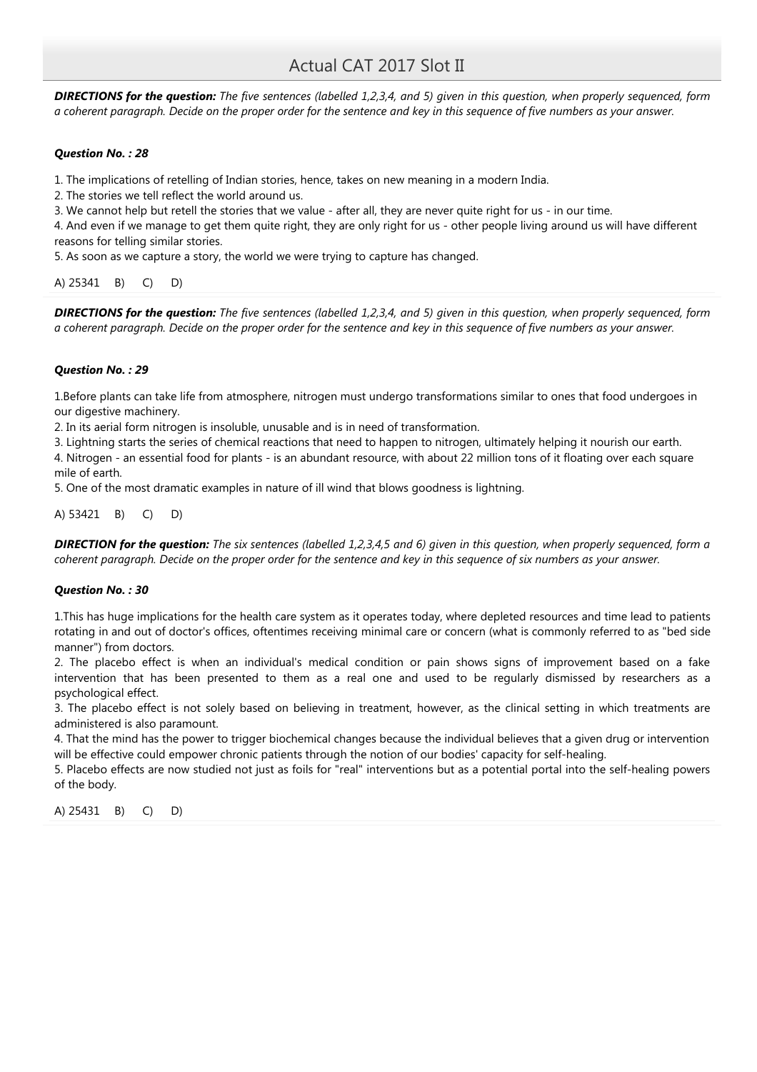**DIRECTIONS for the question:** The five sentences (labelled 1,2,3,4, and 5) given in this question, when properly sequenced, form a coherent paragraph. Decide on the proper order for the sentence and key in this sequence of five numbers as your answer.

## Question No. : 28

1. The implications of retelling of Indian stories, hence, takes on new meaning in a modern India.

2. The stories we tell reflect the world around us.

3. We cannot help but retell the stories that we value - after all, they are never quite right for us - in our time.

4. And even if we manage to get them quite right, they are only right for us - other people living around us will have different reasons for telling similar stories.

5. As soon as we capture a story, the world we were trying to capture has changed.

# A) 25341 B) C) D)

**DIRECTIONS for the question:** The five sentences (labelled 1,2,3,4, and 5) given in this question, when properly sequenced, form a coherent paragraph. Decide on the proper order for the sentence and key in this sequence of five numbers as your answer.

## Question No. : 29

1.Before plants can take life from atmosphere, nitrogen must undergo transformations similar to ones that food undergoes in our digestive machinery.

2. In its aerial form nitrogen is insoluble, unusable and is in need of transformation.

3. Lightning starts the series of chemical reactions that need to happen to nitrogen, ultimately helping it nourish our earth.

4. Nitrogen - an essential food for plants - is an abundant resource, with about 22 million tons of it floating over each square mile of earth.

5. One of the most dramatic examples in nature of ill wind that blows goodness is lightning.

A) 53421 B) C) D)

**DIRECTION for the question:** The six sentences (labelled 1,2,3,4,5 and 6) given in this question, when properly sequenced, form a coherent paragraph. Decide on the proper order for the sentence and key in this sequence of six numbers as your answer.

## Question No. : 30

1.This has huge implications for the health care system as it operates today, where depleted resources and time lead to patients rotating in and out of doctor's offices, oftentimes receiving minimal care or concern (what is commonly referred to as "bed side manner") from doctors.

2. The placebo effect is when an individual's medical condition or pain shows signs of improvement based on a fake intervention that has been presented to them as a real one and used to be regularly dismissed by researchers as a psychological effect.

3. The placebo effect is not solely based on believing in treatment, however, as the clinical setting in which treatments are administered is also paramount.

4. That the mind has the power to trigger biochemical changes because the individual believes that a given drug or intervention will be effective could empower chronic patients through the notion of our bodies' capacity for self-healing.

5. Placebo effects are now studied not just as foils for "real" interventions but as a potential portal into the self-healing powers of the body.

A) 25431 B) C) D)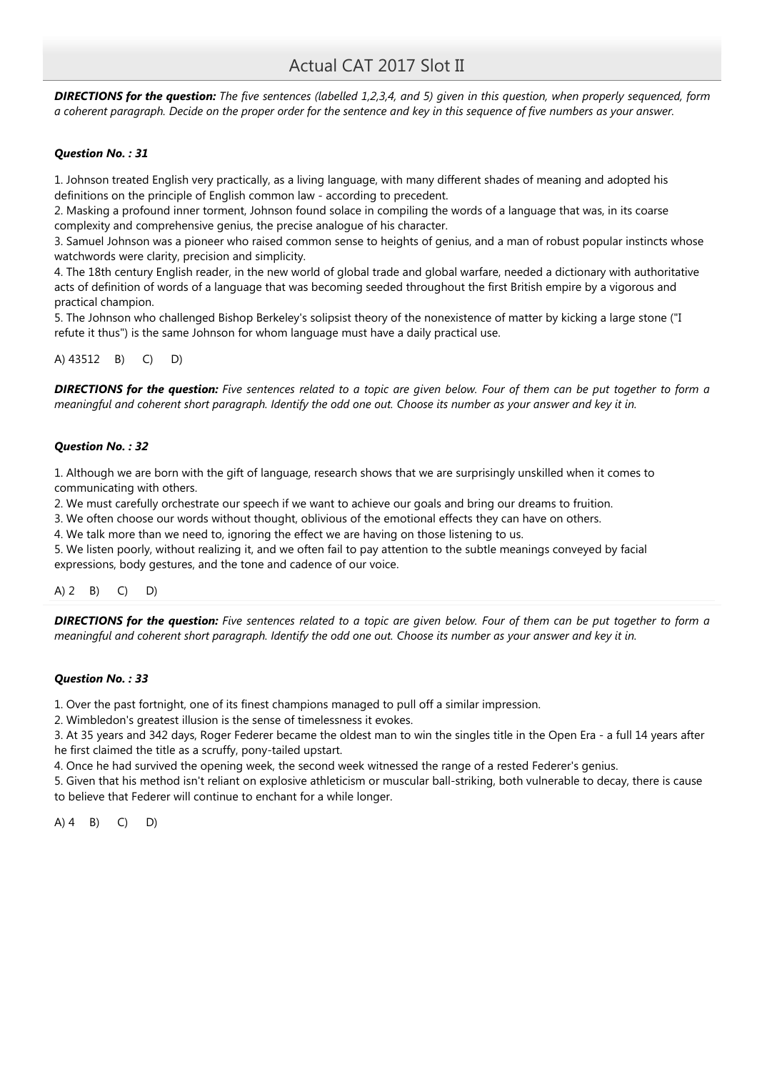**DIRECTIONS for the question:** The five sentences (labelled 1,2,3,4, and 5) given in this question, when properly sequenced, form a coherent paragraph. Decide on the proper order for the sentence and key in this sequence of five numbers as your answer.

# Question No. : 31

1. Johnson treated English very practically, as a living language, with many different shades of meaning and adopted his definitions on the principle of English common law - according to precedent.

2. Masking a profound inner torment, Johnson found solace in compiling the words of a language that was, in its coarse complexity and comprehensive genius, the precise analogue of his character.

3. Samuel Johnson was a pioneer who raised common sense to heights of genius, and a man of robust popular instincts whose watchwords were clarity, precision and simplicity.

4. The 18th century English reader, in the new world of global trade and global warfare, needed a dictionary with authoritative acts of definition of words of a language that was becoming seeded throughout the first British empire by a vigorous and practical champion.

5. The Johnson who challenged Bishop Berkeley's solipsist theory of the nonexistence of matter by kicking a large stone ("I refute it thus") is the same Johnson for whom language must have a daily practical use.

# A) 43512 B) C) D)

**DIRECTIONS for the question:** Five sentences related to a topic are given below. Four of them can be put together to form a meaningful and coherent short paragraph. Identify the odd one out. Choose its number as your answer and key it in.

# Question No. : 32

1. Although we are born with the gift of language, research shows that we are surprisingly unskilled when it comes to communicating with others.

2. We must carefully orchestrate our speech if we want to achieve our goals and bring our dreams to fruition.

3. We often choose our words without thought, oblivious of the emotional effects they can have on others.

4. We talk more than we need to, ignoring the effect we are having on those listening to us.

5. We listen poorly, without realizing it, and we often fail to pay attention to the subtle meanings conveyed by facial expressions, body gestures, and the tone and cadence of our voice.

A) 2 B) C) D)

**DIRECTIONS for the question:** Five sentences related to a topic are given below. Four of them can be put together to form a meaningful and coherent short paragraph. Identify the odd one out. Choose its number as your answer and key it in.

## Question No. : 33

1. Over the past fortnight, one of its finest champions managed to pull off a similar impression.

2. Wimbledon's greatest illusion is the sense of timelessness it evokes.

3. At 35 years and 342 days, Roger Federer became the oldest man to win the singles title in the Open Era - a full 14 years after he first claimed the title as a scruffy, pony-tailed upstart.

4. Once he had survived the opening week, the second week witnessed the range of a rested Federer's genius.

5. Given that his method isn't reliant on explosive athleticism or muscular ball-striking, both vulnerable to decay, there is cause to believe that Federer will continue to enchant for a while longer.

 $(A)$  4 B) C) D)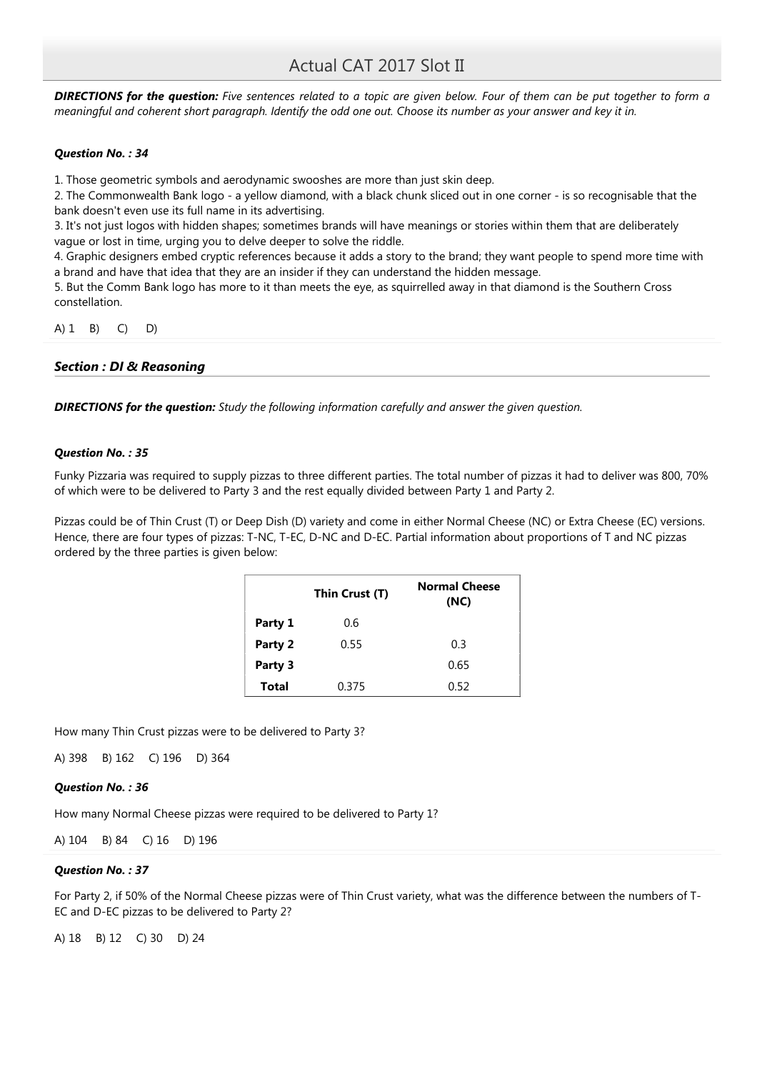**DIRECTIONS for the question:** Five sentences related to a topic are given below. Four of them can be put together to form a meaningful and coherent short paragraph. Identify the odd one out. Choose its number as your answer and key it in.

### Question No. : 34

1. Those geometric symbols and aerodynamic swooshes are more than just skin deep.

2. The Commonwealth Bank logo - a yellow diamond, with a black chunk sliced out in one corner - is so recognisable that the bank doesn't even use its full name in its advertising.

3. It's not just logos with hidden shapes; sometimes brands will have meanings or stories within them that are deliberately vague or lost in time, urging you to delve deeper to solve the riddle.

4. Graphic designers embed cryptic references because it adds a story to the brand; they want people to spend more time with a brand and have that idea that they are an insider if they can understand the hidden message.

5. But the Comm Bank logo has more to it than meets the eye, as squirrelled away in that diamond is the Southern Cross constellation.

A) 1 B) C) D)

### Section : DI & Reasoning

**DIRECTIONS for the question:** Study the following information carefully and answer the given question.

### Question No. : 35

Funky Pizzaria was required to supply pizzas to three different parties. The total number of pizzas it had to deliver was 800, 70% of which were to be delivered to Party 3 and the rest equally divided between Party 1 and Party 2.

Pizzas could be of Thin Crust (T) or Deep Dish (D) variety and come in either Normal Cheese (NC) or Extra Cheese (EC) versions. Hence, there are four types of pizzas: T-NC, T-EC, D-NC and D-EC. Partial information about proportions of T and NC pizzas ordered by the three parties is given below:

|              | Thin Crust (T) | <b>Normal Cheese</b><br>(NC) |
|--------------|----------------|------------------------------|
| Party 1      | 0.6            |                              |
| Party 2      | 0.55           | 0.3                          |
| Party 3      |                | 0.65                         |
| <b>Total</b> | 0.375          | 0.52                         |

How many Thin Crust pizzas were to be delivered to Party 3?

A) 398 B) 162 C) 196 D) 364

### Question No. : 36

How many Normal Cheese pizzas were required to be delivered to Party 1?

A) 104 B) 84 C) 16 D) 196

### Question No. : 37

For Party 2, if 50% of the Normal Cheese pizzas were of Thin Crust variety, what was the difference between the numbers of T-EC and D-EC pizzas to be delivered to Party 2?

A) 18 B) 12 C) 30 D) 24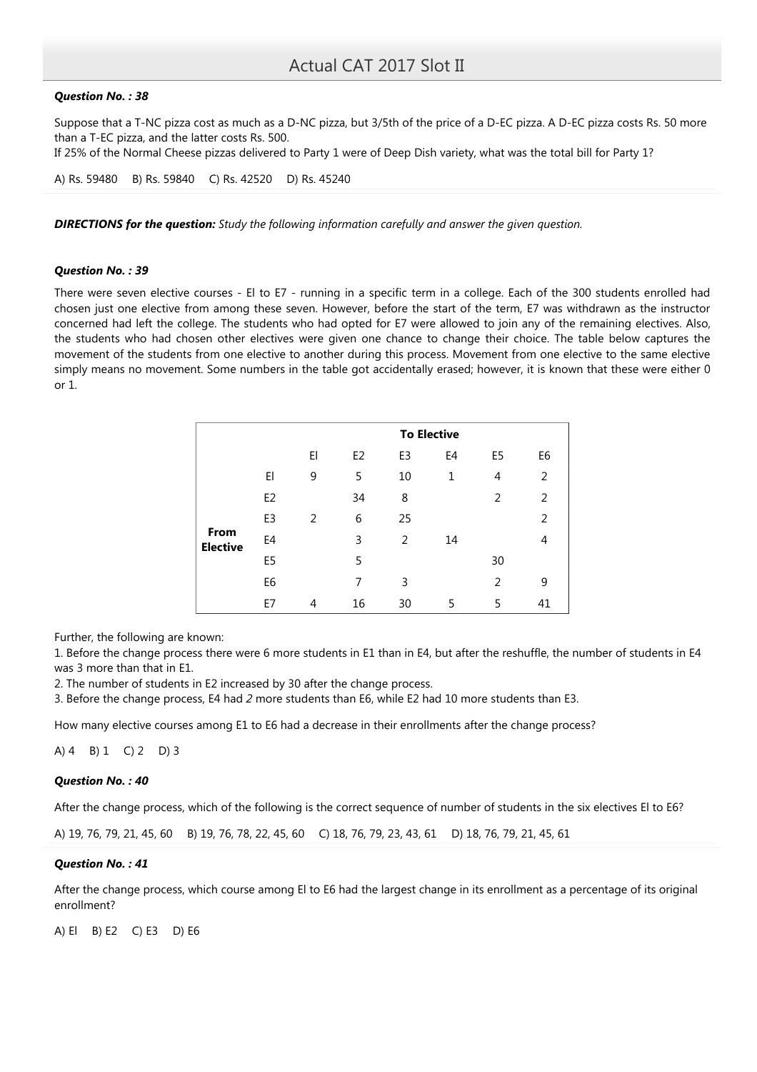### Question No. : 38

Suppose that a T-NC pizza cost as much as a D-NC pizza, but 3/5th of the price of a D-EC pizza. A D-EC pizza costs Rs. 50 more than a T-EC pizza, and the latter costs Rs. 500.

If 25% of the Normal Cheese pizzas delivered to Party 1 were of Deep Dish variety, what was the total bill for Party 1?

A) Rs. 59480 B) Rs. 59840 C) Rs. 42520 D) Rs. 45240

**DIRECTIONS for the question:** Study the following information carefully and answer the given question.

### Question No. : 39

There were seven elective courses - El to E7 - running in a specific term in a college. Each of the 300 students enrolled had chosen just one elective from among these seven. However, before the start of the term, E7 was withdrawn as the instructor concerned had left the college. The students who had opted for E7 were allowed to join any of the remaining electives. Also, the students who had chosen other electives were given one chance to change their choice. The table below captures the movement of the students from one elective to another during this process. Movement from one elective to the same elective simply means no movement. Some numbers in the table got accidentally erased; however, it is known that these were either 0 or 1.

|                         |                |    |                |                | <b>To Elective</b> |                |                |
|-------------------------|----------------|----|----------------|----------------|--------------------|----------------|----------------|
|                         |                | El | E <sub>2</sub> | E <sub>3</sub> | E <sub>4</sub>     | E <sub>5</sub> | E <sub>6</sub> |
|                         | EI             | 9  | 5              | 10             | 1                  | 4              | 2              |
|                         | E <sub>2</sub> |    | 34             | 8              |                    | 2              | 2              |
|                         | E3             | 2  | 6              | 25             |                    |                | $\overline{2}$ |
| From<br><b>Elective</b> | E <sub>4</sub> |    | $\overline{3}$ | 2              | 14                 |                | 4              |
|                         | E5             |    | 5              |                |                    | 30             |                |
|                         | E6             |    | 7              | 3              |                    | 2              | 9              |
|                         | E7             | 4  | 16             | 30             | 5                  | 5              | 41             |

Further, the following are known:

1. Before the change process there were 6 more students in E1 than in E4, but after the reshuffle, the number of students in E4 was 3 more than that in E1.

2. The number of students in E2 increased by 30 after the change process.

3. Before the change process, E4 had 2 more students than E6, while E2 had 10 more students than E3.

How many elective courses among E1 to E6 had a decrease in their enrollments after the change process?

A) 4 B) 1 C) 2 D) 3

### Question No. : 40

After the change process, which of the following is the correct sequence of number of students in the six electives El to E6?

A) 19, 76, 79, 21, 45, 60 B) 19, 76, 78, 22, 45, 60 C) 18, 76, 79, 23, 43, 61 D) 18, 76, 79, 21, 45, 61

### Question No. : 41

After the change process, which course among El to E6 had the largest change in its enrollment as a percentage of its original enrollment?

A) El B) E2 C) E3 D) E6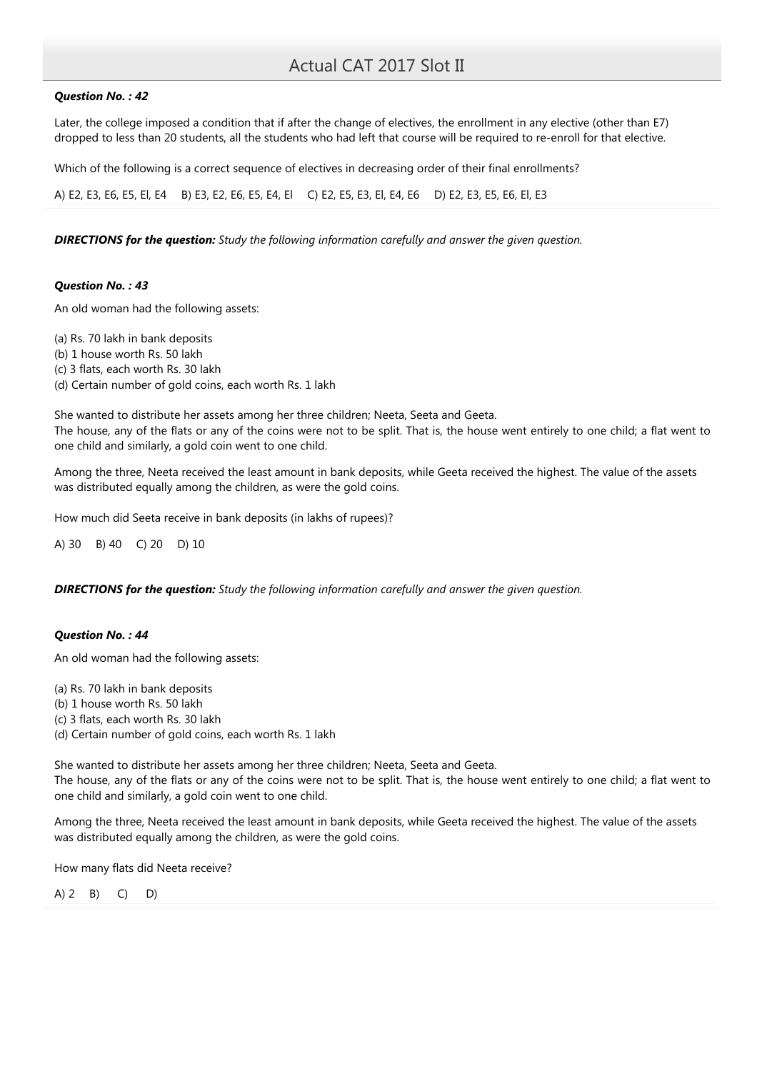### Question No. : 42

Later, the college imposed a condition that if after the change of electives, the enrollment in any elective (other than E7) dropped to less than 20 students, all the students who had left that course will be required to re-enroll for that elective.

Which of the following is a correct sequence of electives in decreasing order of their final enrollments?

A) E2, E3, E6, E5, El, E4 B) E3, E2, E6, E5, E4, El C) E2, E5, E3, El, E4, E6 D) E2, E3, E5, E6, El, E3

**DIRECTIONS for the question:** Study the following information carefully and answer the given question.

### Question No. : 43

An old woman had the following assets:

(a) Rs. 70 lakh in bank deposits (b) 1 house worth Rs. 50 lakh (c) 3 flats, each worth Rs. 30 lakh (d) Certain number of gold coins, each worth Rs. 1 lakh

She wanted to distribute her assets among her three children; Neeta, Seeta and Geeta. The house, any of the flats or any of the coins were not to be split. That is, the house went entirely to one child; a flat went to one child and similarly, a gold coin went to one child.

Among the three, Neeta received the least amount in bank deposits, while Geeta received the highest. The value of the assets was distributed equally among the children, as were the gold coins.

How much did Seeta receive in bank deposits (in lakhs of rupees)?

A) 30 B) 40 C) 20 D) 10

**DIRECTIONS for the question:** Study the following information carefully and answer the given question.

### Question No. : 44

An old woman had the following assets:

(a) Rs. 70 lakh in bank deposits

(b) 1 house worth Rs. 50 lakh

(c) 3 flats, each worth Rs. 30 lakh

(d) Certain number of gold coins, each worth Rs. 1 lakh

She wanted to distribute her assets among her three children; Neeta, Seeta and Geeta. The house, any of the flats or any of the coins were not to be split. That is, the house went entirely to one child; a flat went to one child and similarly, a gold coin went to one child.

Among the three, Neeta received the least amount in bank deposits, while Geeta received the highest. The value of the assets was distributed equally among the children, as were the gold coins.

How many flats did Neeta receive?

A) 2 B) C) D)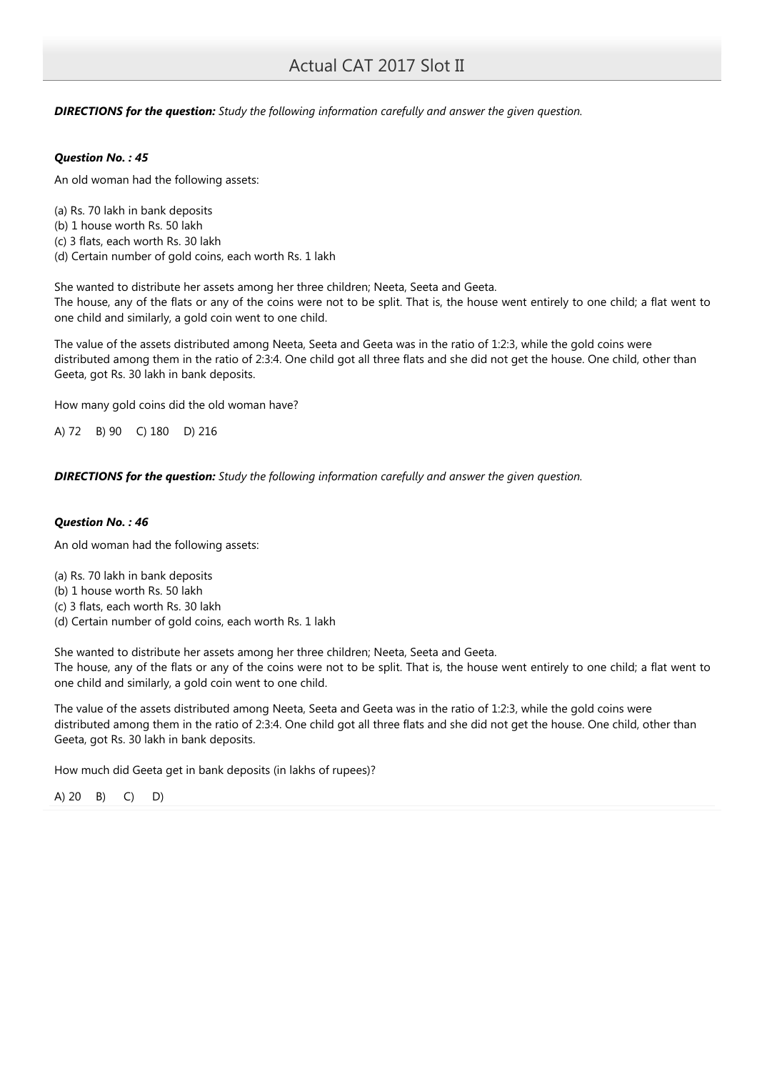**DIRECTIONS for the question:** Study the following information carefully and answer the given question.

### Question No. : 45

An old woman had the following assets:

(a) Rs. 70 lakh in bank deposits (b) 1 house worth Rs. 50 lakh (c) 3 flats, each worth Rs. 30 lakh

(d) Certain number of gold coins, each worth Rs. 1 lakh

She wanted to distribute her assets among her three children; Neeta, Seeta and Geeta. The house, any of the flats or any of the coins were not to be split. That is, the house went entirely to one child; a flat went to one child and similarly, a gold coin went to one child.

The value of the assets distributed among Neeta, Seeta and Geeta was in the ratio of 1:2:3, while the gold coins were distributed among them in the ratio of 2:3:4. One child got all three flats and she did not get the house. One child, other than Geeta, got Rs. 30 lakh in bank deposits.

How many gold coins did the old woman have?

A) 72 B) 90 C) 180 D) 216

**DIRECTIONS for the question:** Study the following information carefully and answer the given question.

## Question No. : 46

An old woman had the following assets:

(a) Rs. 70 lakh in bank deposits

- (b) 1 house worth Rs. 50 lakh
- (c) 3 flats, each worth Rs. 30 lakh
- (d) Certain number of gold coins, each worth Rs. 1 lakh

She wanted to distribute her assets among her three children; Neeta, Seeta and Geeta. The house, any of the flats or any of the coins were not to be split. That is, the house went entirely to one child; a flat went to one child and similarly, a gold coin went to one child.

The value of the assets distributed among Neeta, Seeta and Geeta was in the ratio of 1:2:3, while the gold coins were distributed among them in the ratio of 2:3:4. One child got all three flats and she did not get the house. One child, other than Geeta, got Rs. 30 lakh in bank deposits.

How much did Geeta get in bank deposits (in lakhs of rupees)?

A) 20 B) C) D)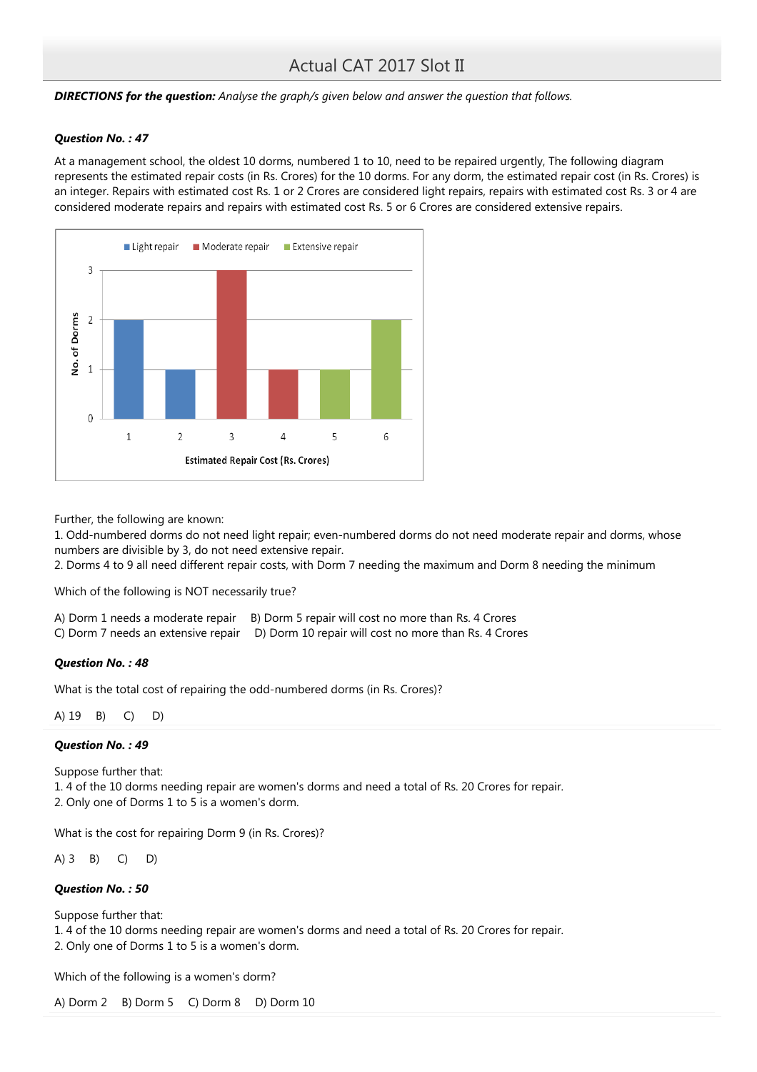**DIRECTIONS for the question:** Analyse the graph/s given below and answer the question that follows.

### Question No. : 47

At a management school, the oldest 10 dorms, numbered 1 to 10, need to be repaired urgently, The following diagram represents the estimated repair costs (in Rs. Crores) for the 10 dorms. For any dorm, the estimated repair cost (in Rs. Crores) is an integer. Repairs with estimated cost Rs. 1 or 2 Crores are considered light repairs, repairs with estimated cost Rs. 3 or 4 are considered moderate repairs and repairs with estimated cost Rs. 5 or 6 Crores are considered extensive repairs.



Further, the following are known:

1. Odd-numbered dorms do not need light repair; even-numbered dorms do not need moderate repair and dorms, whose numbers are divisible by 3, do not need extensive repair.

2. Dorms 4 to 9 all need different repair costs, with Dorm 7 needing the maximum and Dorm 8 needing the minimum

Which of the following is NOT necessarily true?

|  |  | A) Dorm 1 needs a moderate repair B) Dorm 5 repair will cost no more than Rs. 4 Crores |  |  |  |  |
|--|--|----------------------------------------------------------------------------------------|--|--|--|--|
|  |  |                                                                                        |  |  |  |  |

|  | C) Dorm 7 needs an extensive repair D) Dorm 10 repair will cost no more than Rs. 4 Crores |
|--|-------------------------------------------------------------------------------------------|
|--|-------------------------------------------------------------------------------------------|

### Question No. : 48

What is the total cost of repairing the odd-numbered dorms (in Rs. Crores)?

A) 19 B) C) D)

### Question No. : 49

Suppose further that: 1. 4 of the 10 dorms needing repair are women's dorms and need a total of Rs. 20 Crores for repair. 2. Only one of Dorms 1 to 5 is a women's dorm.

What is the cost for repairing Dorm 9 (in Rs. Crores)?

A) 3 B) C) D)

## Question No. : 50

Suppose further that:

1. 4 of the 10 dorms needing repair are women's dorms and need a total of Rs. 20 Crores for repair.

2. Only one of Dorms 1 to 5 is a women's dorm.

Which of the following is a women's dorm?

A) Dorm 2 B) Dorm 5 C) Dorm 8 D) Dorm 10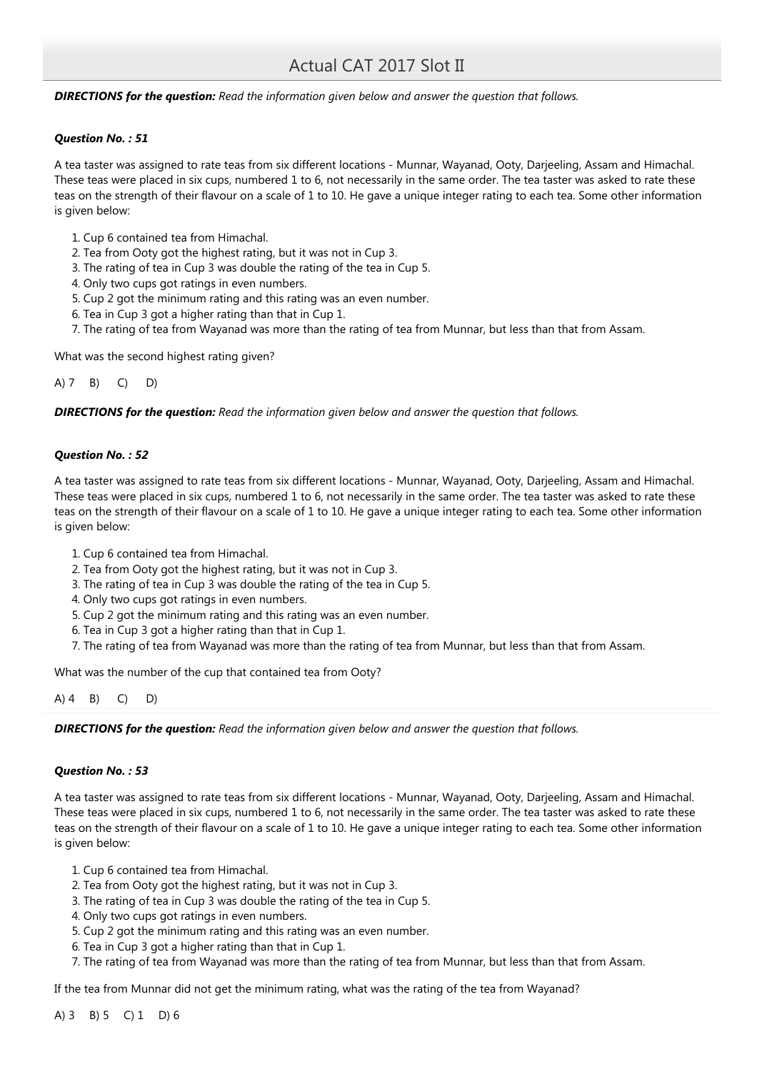### **DIRECTIONS for the question:** Read the information given below and answer the question that follows.

### Question No. : 51

A tea taster was assigned to rate teas from six different locations - Munnar, Wayanad, Ooty, Darjeeling, Assam and Himachal. These teas were placed in six cups, numbered 1 to 6, not necessarily in the same order. The tea taster was asked to rate these teas on the strength of their flavour on a scale of 1 to 10. He gave a unique integer rating to each tea. Some other information is given below:

- 1. Cup 6 contained tea from Himachal.
- 2. Tea from Ooty got the highest rating, but it was not in Cup 3.
- 3. The rating of tea in Cup 3 was double the rating of the tea in Cup 5.
- 4. Only two cups got ratings in even numbers.
- 5. Cup 2 got the minimum rating and this rating was an even number.
- 6. Tea in Cup 3 got a higher rating than that in Cup 1.
- 7. The rating of tea from Wayanad was more than the rating of tea from Munnar, but less than that from Assam.

What was the second highest rating given?

A) 7 B) C) D)

**DIRECTIONS for the question:** Read the information given below and answer the question that follows.

### Question No. : 52

A tea taster was assigned to rate teas from six different locations - Munnar, Wayanad, Ooty, Darjeeling, Assam and Himachal. These teas were placed in six cups, numbered 1 to 6, not necessarily in the same order. The tea taster was asked to rate these teas on the strength of their flavour on a scale of 1 to 10. He gave a unique integer rating to each tea. Some other information is given below:

- 1. Cup 6 contained tea from Himachal.
- 2. Tea from Ooty got the highest rating, but it was not in Cup 3.
- 3. The rating of tea in Cup 3 was double the rating of the tea in Cup 5.
- 4. Only two cups got ratings in even numbers.
- 5. Cup 2 got the minimum rating and this rating was an even number.
- 6. Tea in Cup 3 got a higher rating than that in Cup 1.
- 7. The rating of tea from Wayanad was more than the rating of tea from Munnar, but less than that from Assam.

What was the number of the cup that contained tea from Ooty?

A) 4 B) C) D)

**DIRECTIONS for the question:** Read the information given below and answer the question that follows.

### Question No. : 53

A tea taster was assigned to rate teas from six different locations - Munnar, Wayanad, Ooty, Darjeeling, Assam and Himachal. These teas were placed in six cups, numbered 1 to 6, not necessarily in the same order. The tea taster was asked to rate these teas on the strength of their flavour on a scale of 1 to 10. He gave a unique integer rating to each tea. Some other information is given below:

- 1. Cup 6 contained tea from Himachal.
- 2. Tea from Ooty got the highest rating, but it was not in Cup 3.
- 3. The rating of tea in Cup 3 was double the rating of the tea in Cup 5.
- 4. Only two cups got ratings in even numbers.
- 5. Cup 2 got the minimum rating and this rating was an even number.
- 6. Tea in Cup 3 got a higher rating than that in Cup 1.
- 7. The rating of tea from Wayanad was more than the rating of tea from Munnar, but less than that from Assam.

If the tea from Munnar did not get the minimum rating, what was the rating of the tea from Wayanad?

A) 3 B) 5 C) 1 D) 6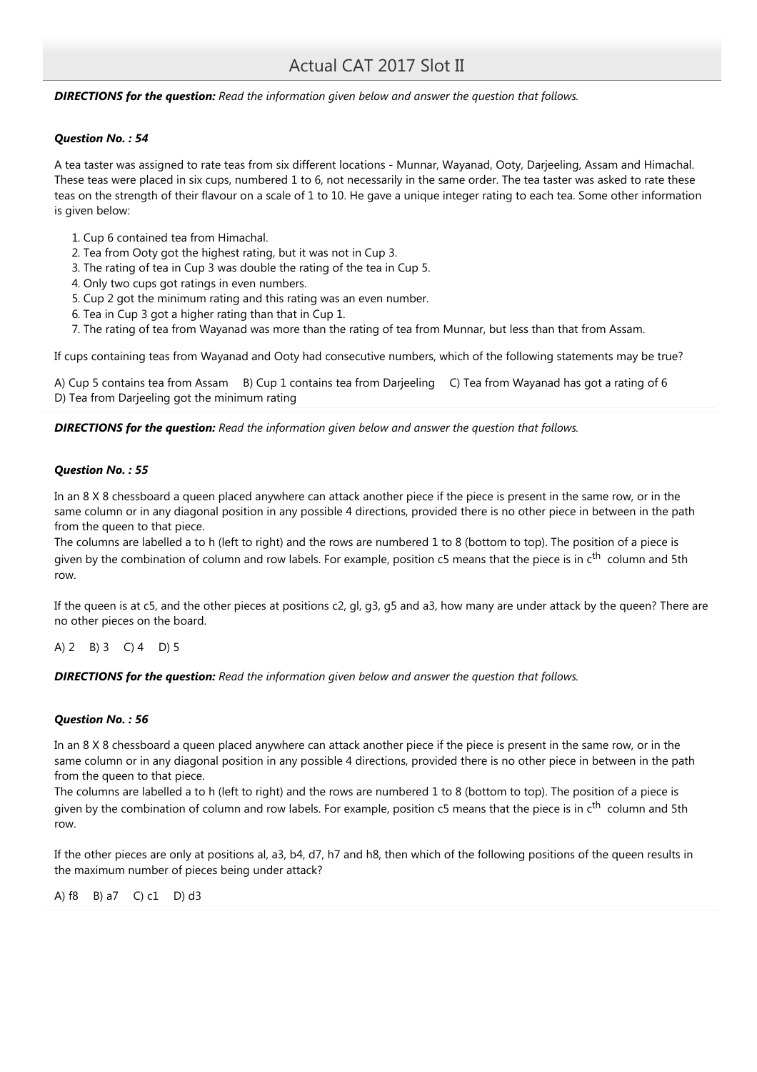### **DIRECTIONS for the question:** Read the information given below and answer the question that follows.

### Question No. : 54

A tea taster was assigned to rate teas from six different locations - Munnar, Wayanad, Ooty, Darjeeling, Assam and Himachal. These teas were placed in six cups, numbered 1 to 6, not necessarily in the same order. The tea taster was asked to rate these teas on the strength of their flavour on a scale of 1 to 10. He gave a unique integer rating to each tea. Some other information is given below:

- 1. Cup 6 contained tea from Himachal.
- 2. Tea from Ooty got the highest rating, but it was not in Cup 3.
- 3. The rating of tea in Cup 3 was double the rating of the tea in Cup 5.
- 4. Only two cups got ratings in even numbers.
- 5. Cup 2 got the minimum rating and this rating was an even number.
- 6. Tea in Cup 3 got a higher rating than that in Cup 1.
- 7. The rating of tea from Wayanad was more than the rating of tea from Munnar, but less than that from Assam.

If cups containing teas from Wayanad and Ooty had consecutive numbers, which of the following statements may be true?

A) Cup 5 contains tea from Assam B) Cup 1 contains tea from Darjeeling C) Tea from Wayanad has got a rating of 6 D) Tea from Darjeeling got the minimum rating

**DIRECTIONS for the question:** Read the information given below and answer the question that follows.

### Question No. : 55

In an 8 X 8 chessboard a queen placed anywhere can attack another piece if the piece is present in the same row, or in the same column or in any diagonal position in any possible 4 directions, provided there is no other piece in between in the path from the queen to that piece.

The columns are labelled a to h (left to right) and the rows are numbered 1 to 8 (bottom to top). The position of a piece is given by the combination of column and row labels. For example, position c5 means that the piece is in  $c<sup>th</sup>$  column and 5th row.

If the queen is at c5, and the other pieces at positions c2, gl, g3, g5 and a3, how many are under attack by the queen? There are no other pieces on the board.

A) 2 B) 3 C) 4 D) 5

**DIRECTIONS for the question:** Read the information given below and answer the question that follows.

### Question No. : 56

In an 8 X 8 chessboard a queen placed anywhere can attack another piece if the piece is present in the same row, or in the same column or in any diagonal position in any possible 4 directions, provided there is no other piece in between in the path from the queen to that piece.

The columns are labelled a to h (left to right) and the rows are numbered 1 to 8 (bottom to top). The position of a piece is given by the combination of column and row labels. For example, position c5 means that the piece is in c<sup>th</sup> column and 5th row.

If the other pieces are only at positions al, a3, b4, d7, h7 and h8, then which of the following positions of the queen results in the maximum number of pieces being under attack?

A) f8 B) a7 C) c1 D) d3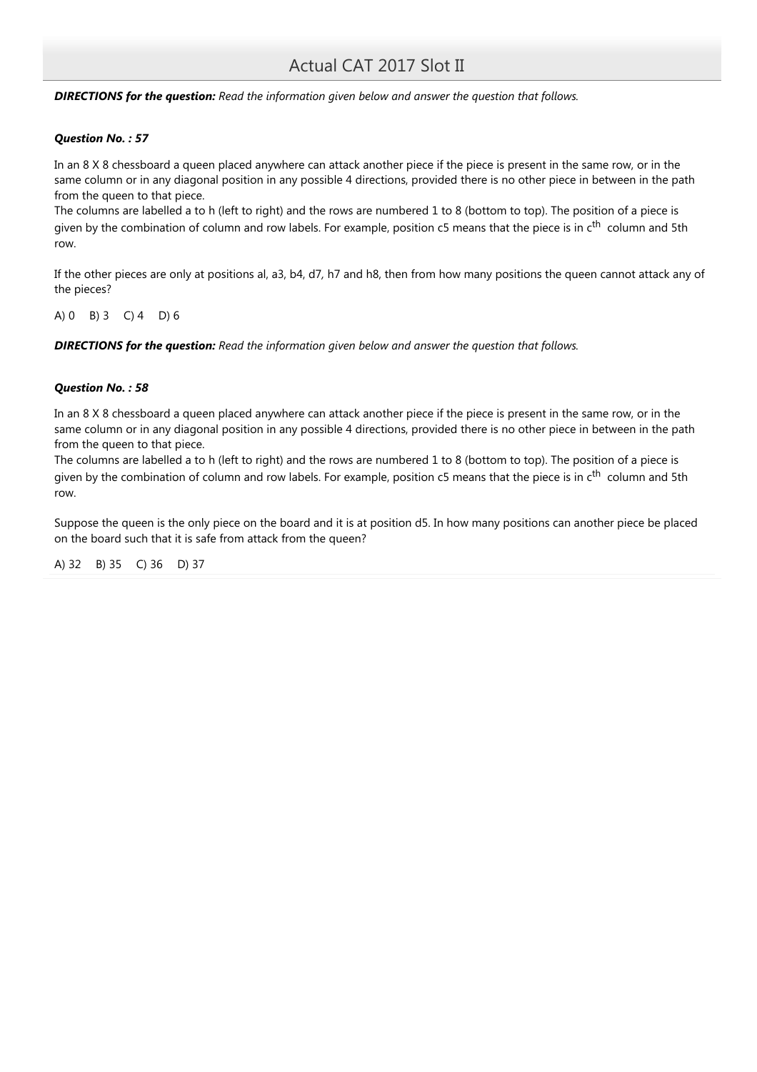**DIRECTIONS for the question:** Read the information given below and answer the question that follows.

### Question No. : 57

In an 8 X 8 chessboard a queen placed anywhere can attack another piece if the piece is present in the same row, or in the same column or in any diagonal position in any possible 4 directions, provided there is no other piece in between in the path from the queen to that piece.

The columns are labelled a to h (left to right) and the rows are numbered 1 to 8 (bottom to top). The position of a piece is given by the combination of column and row labels. For example, position c5 means that the piece is in c<sup>th</sup> column and 5th row.

If the other pieces are only at positions al, a3, b4, d7, h7 and h8, then from how many positions the queen cannot attack any of the pieces?

A) 0 B) 3 C) 4 D) 6

**DIRECTIONS for the question:** Read the information given below and answer the question that follows.

### Question No. : 58

In an 8 X 8 chessboard a queen placed anywhere can attack another piece if the piece is present in the same row, or in the same column or in any diagonal position in any possible 4 directions, provided there is no other piece in between in the path from the queen to that piece.

The columns are labelled a to h (left to right) and the rows are numbered 1 to 8 (bottom to top). The position of a piece is given by the combination of column and row labels. For example, position c5 means that the piece is in  $c<sup>th</sup>$  column and 5th row.

Suppose the queen is the only piece on the board and it is at position d5. In how many positions can another piece be placed on the board such that it is safe from attack from the queen?

A) 32 B) 35 C) 36 D) 37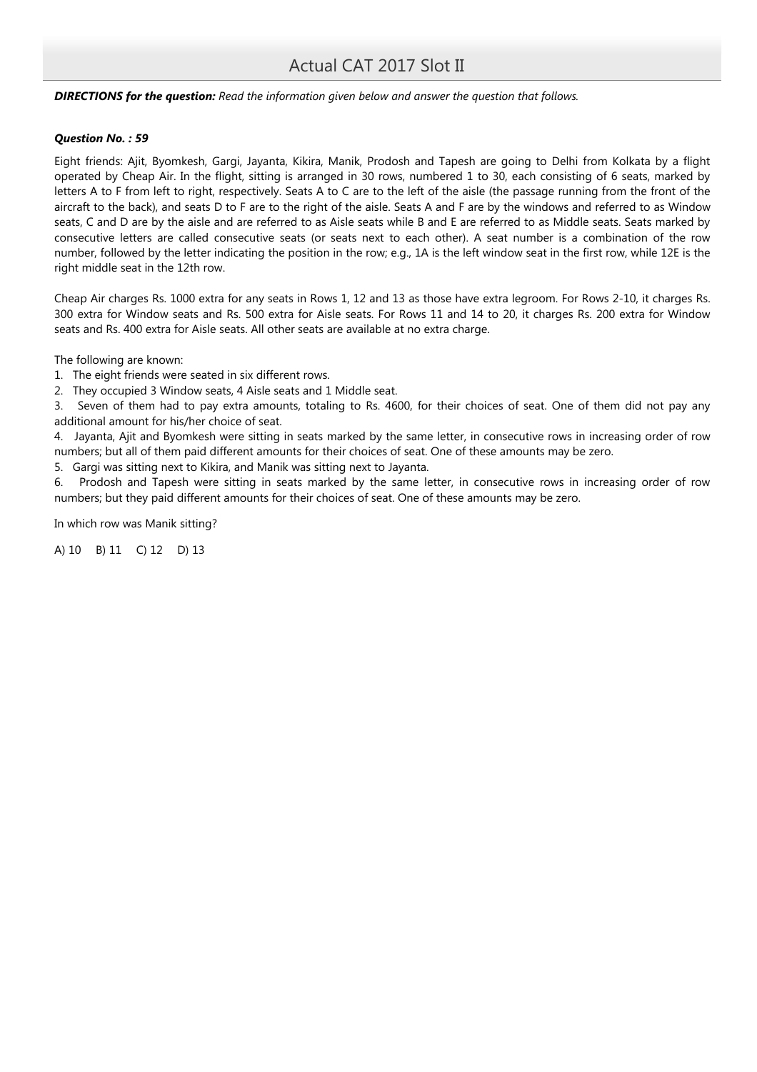### **DIRECTIONS for the question:** Read the information given below and answer the question that follows.

### Question No. : 59

Eight friends: Ajit, Byomkesh, Gargi, Jayanta, Kikira, Manik, Prodosh and Tapesh are going to Delhi from Kolkata by a flight operated by Cheap Air. In the flight, sitting is arranged in 30 rows, numbered 1 to 30, each consisting of 6 seats, marked by letters A to F from left to right, respectively. Seats A to C are to the left of the aisle (the passage running from the front of the aircraft to the back), and seats D to F are to the right of the aisle. Seats A and F are by the windows and referred to as Window seats, C and D are by the aisle and are referred to as Aisle seats while B and E are referred to as Middle seats. Seats marked by consecutive letters are called consecutive seats (or seats next to each other). A seat number is a combination of the row number, followed by the letter indicating the position in the row; e.g., 1A is the left window seat in the first row, while 12E is the right middle seat in the 12th row.

Cheap Air charges Rs. 1000 extra for any seats in Rows 1, 12 and 13 as those have extra legroom. For Rows 2-10, it charges Rs. 300 extra for Window seats and Rs. 500 extra for Aisle seats. For Rows 11 and 14 to 20, it charges Rs. 200 extra for Window seats and Rs. 400 extra for Aisle seats. All other seats are available at no extra charge.

The following are known:

- 1. The eight friends were seated in six different rows.
- 2. They occupied 3 Window seats, 4 Aisle seats and 1 Middle seat.

3. Seven of them had to pay extra amounts, totaling to Rs. 4600, for their choices of seat. One of them did not pay any additional amount for his/her choice of seat.

4. Jayanta, Ajit and Byomkesh were sitting in seats marked by the same letter, in consecutive rows in increasing order of row numbers; but all of them paid different amounts for their choices of seat. One of these amounts may be zero.

5. Gargi was sitting next to Kikira, and Manik was sitting next to Jayanta.

6. Prodosh and Tapesh were sitting in seats marked by the same letter, in consecutive rows in increasing order of row numbers; but they paid different amounts for their choices of seat. One of these amounts may be zero.

In which row was Manik sitting?

A) 10 B) 11 C) 12 D) 13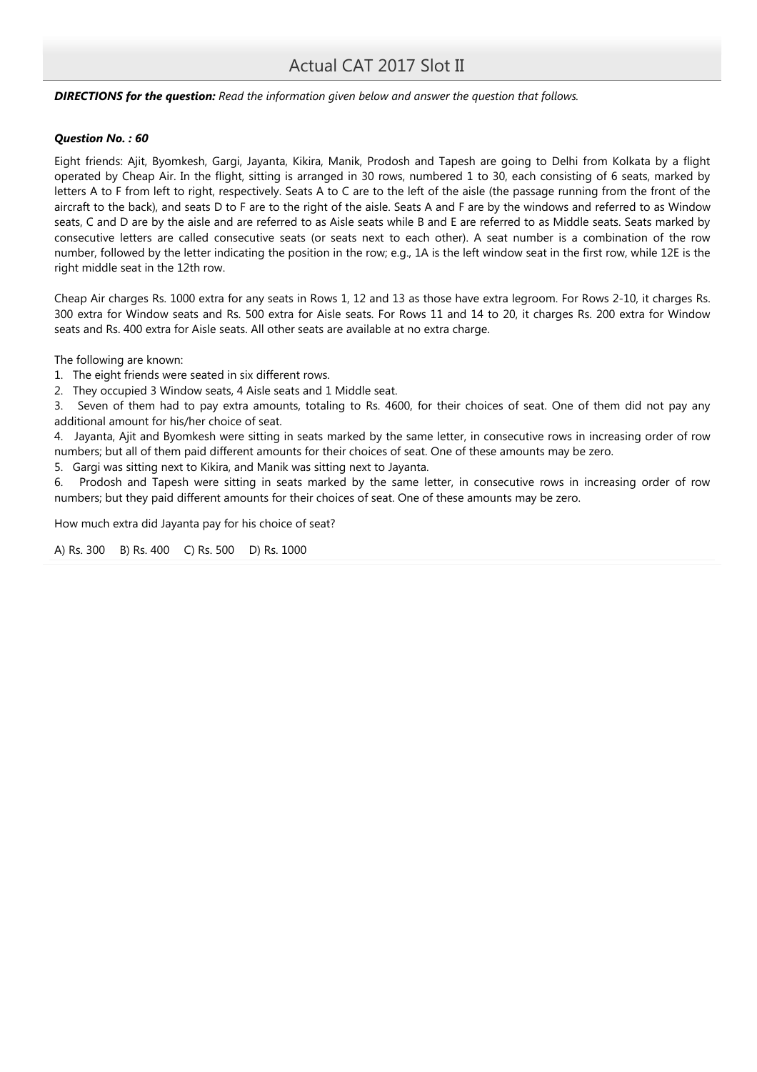### **DIRECTIONS for the question:** Read the information given below and answer the question that follows.

### Question No. : 60

Eight friends: Ajit, Byomkesh, Gargi, Jayanta, Kikira, Manik, Prodosh and Tapesh are going to Delhi from Kolkata by a flight operated by Cheap Air. In the flight, sitting is arranged in 30 rows, numbered 1 to 30, each consisting of 6 seats, marked by letters A to F from left to right, respectively. Seats A to C are to the left of the aisle (the passage running from the front of the aircraft to the back), and seats D to F are to the right of the aisle. Seats A and F are by the windows and referred to as Window seats, C and D are by the aisle and are referred to as Aisle seats while B and E are referred to as Middle seats. Seats marked by consecutive letters are called consecutive seats (or seats next to each other). A seat number is a combination of the row number, followed by the letter indicating the position in the row; e.g., 1A is the left window seat in the first row, while 12E is the right middle seat in the 12th row.

Cheap Air charges Rs. 1000 extra for any seats in Rows 1, 12 and 13 as those have extra legroom. For Rows 2-10, it charges Rs. 300 extra for Window seats and Rs. 500 extra for Aisle seats. For Rows 11 and 14 to 20, it charges Rs. 200 extra for Window seats and Rs. 400 extra for Aisle seats. All other seats are available at no extra charge.

The following are known:

- 1. The eight friends were seated in six different rows.
- 2. They occupied 3 Window seats, 4 Aisle seats and 1 Middle seat.

3. Seven of them had to pay extra amounts, totaling to Rs. 4600, for their choices of seat. One of them did not pay any additional amount for his/her choice of seat.

4. Jayanta, Ajit and Byomkesh were sitting in seats marked by the same letter, in consecutive rows in increasing order of row numbers; but all of them paid different amounts for their choices of seat. One of these amounts may be zero.

5. Gargi was sitting next to Kikira, and Manik was sitting next to Jayanta.

6. Prodosh and Tapesh were sitting in seats marked by the same letter, in consecutive rows in increasing order of row numbers; but they paid different amounts for their choices of seat. One of these amounts may be zero.

How much extra did Jayanta pay for his choice of seat?

A) Rs. 300 B) Rs. 400 C) Rs. 500 D) Rs. 1000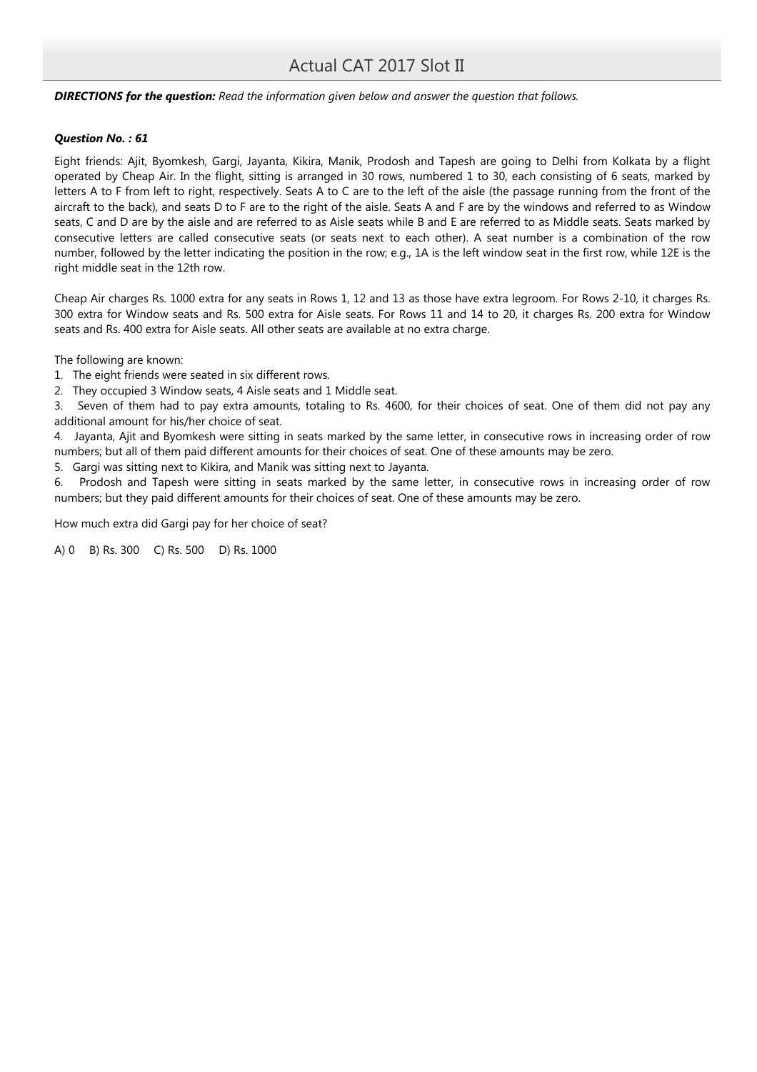### **DIRECTIONS for the question:** Read the information given below and answer the question that follows.

### Question No. : 61

Eight friends: Ajit, Byomkesh, Gargi, Jayanta, Kikira, Manik, Prodosh and Tapesh are going to Delhi from Kolkata by a flight operated by Cheap Air. In the flight, sitting is arranged in 30 rows, numbered 1 to 30, each consisting of 6 seats, marked by letters A to F from left to right, respectively. Seats A to C are to the left of the aisle (the passage running from the front of the aircraft to the back), and seats D to F are to the right of the aisle. Seats A and F are by the windows and referred to as Window seats, C and D are by the aisle and are referred to as Aisle seats while B and E are referred to as Middle seats. Seats marked by consecutive letters are called consecutive seats (or seats next to each other). A seat number is a combination of the row number, followed by the letter indicating the position in the row; e.g., 1A is the left window seat in the first row, while 12E is the right middle seat in the 12th row.

Cheap Air charges Rs. 1000 extra for any seats in Rows 1, 12 and 13 as those have extra legroom. For Rows 2-10, it charges Rs. 300 extra for Window seats and Rs. 500 extra for Aisle seats. For Rows 11 and 14 to 20, it charges Rs. 200 extra for Window seats and Rs. 400 extra for Aisle seats. All other seats are available at no extra charge.

The following are known:

- 1. The eight friends were seated in six different rows.
- 2. They occupied 3 Window seats, 4 Aisle seats and 1 Middle seat.

3. Seven of them had to pay extra amounts, totaling to Rs. 4600, for their choices of seat. One of them did not pay any additional amount for his/her choice of seat.

4. Jayanta, Ajit and Byomkesh were sitting in seats marked by the same letter, in consecutive rows in increasing order of row numbers; but all of them paid different amounts for their choices of seat. One of these amounts may be zero.

5. Gargi was sitting next to Kikira, and Manik was sitting next to Jayanta.

6. Prodosh and Tapesh were sitting in seats marked by the same letter, in consecutive rows in increasing order of row numbers; but they paid different amounts for their choices of seat. One of these amounts may be zero.

How much extra did Gargi pay for her choice of seat?

A) 0 B) Rs. 300 C) Rs. 500 D) Rs. 1000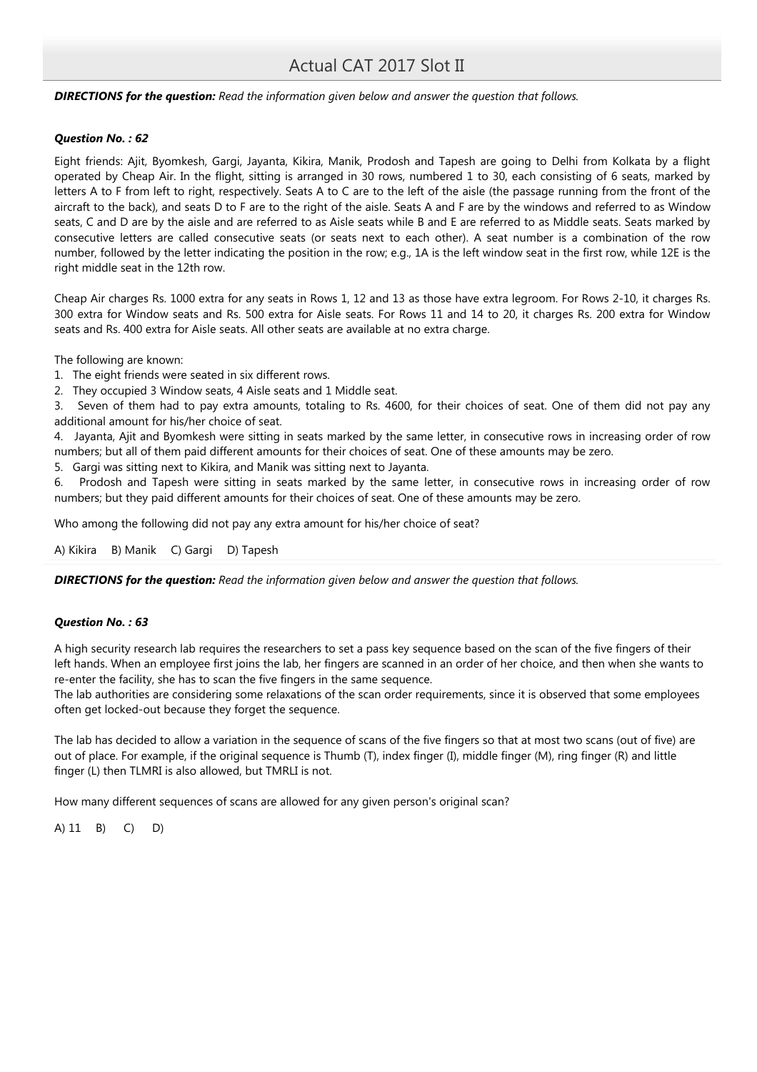### **DIRECTIONS for the question:** Read the information given below and answer the question that follows.

### Question No. : 62

Eight friends: Ajit, Byomkesh, Gargi, Jayanta, Kikira, Manik, Prodosh and Tapesh are going to Delhi from Kolkata by a flight operated by Cheap Air. In the flight, sitting is arranged in 30 rows, numbered 1 to 30, each consisting of 6 seats, marked by letters A to F from left to right, respectively. Seats A to C are to the left of the aisle (the passage running from the front of the aircraft to the back), and seats D to F are to the right of the aisle. Seats A and F are by the windows and referred to as Window seats, C and D are by the aisle and are referred to as Aisle seats while B and E are referred to as Middle seats. Seats marked by consecutive letters are called consecutive seats (or seats next to each other). A seat number is a combination of the row number, followed by the letter indicating the position in the row; e.g., 1A is the left window seat in the first row, while 12E is the right middle seat in the 12th row.

Cheap Air charges Rs. 1000 extra for any seats in Rows 1, 12 and 13 as those have extra legroom. For Rows 2-10, it charges Rs. 300 extra for Window seats and Rs. 500 extra for Aisle seats. For Rows 11 and 14 to 20, it charges Rs. 200 extra for Window seats and Rs. 400 extra for Aisle seats. All other seats are available at no extra charge.

The following are known:

- 1. The eight friends were seated in six different rows.
- 2. They occupied 3 Window seats, 4 Aisle seats and 1 Middle seat.

3. Seven of them had to pay extra amounts, totaling to Rs. 4600, for their choices of seat. One of them did not pay any additional amount for his/her choice of seat.

4. Jayanta, Ajit and Byomkesh were sitting in seats marked by the same letter, in consecutive rows in increasing order of row numbers; but all of them paid different amounts for their choices of seat. One of these amounts may be zero.

5. Gargi was sitting next to Kikira, and Manik was sitting next to Jayanta.

6. Prodosh and Tapesh were sitting in seats marked by the same letter, in consecutive rows in increasing order of row numbers; but they paid different amounts for their choices of seat. One of these amounts may be zero.

Who among the following did not pay any extra amount for his/her choice of seat?

A) Kikira B) Manik C) Gargi D) Tapesh

**DIRECTIONS for the question:** Read the information given below and answer the question that follows.

### Question No. : 63

A high security research lab requires the researchers to set a pass key sequence based on the scan of the five fingers of their left hands. When an employee first joins the lab, her fingers are scanned in an order of her choice, and then when she wants to re-enter the facility, she has to scan the five fingers in the same sequence.

The lab authorities are considering some relaxations of the scan order requirements, since it is observed that some employees often get locked-out because they forget the sequence.

The lab has decided to allow a variation in the sequence of scans of the five fingers so that at most two scans (out of five) are out of place. For example, if the original sequence is Thumb (T), index finger (I), middle finger (M), ring finger (R) and little finger (L) then TLMRI is also allowed, but TMRLI is not.

How many different sequences of scans are allowed for any given person's original scan?

A) 11 B) C) D)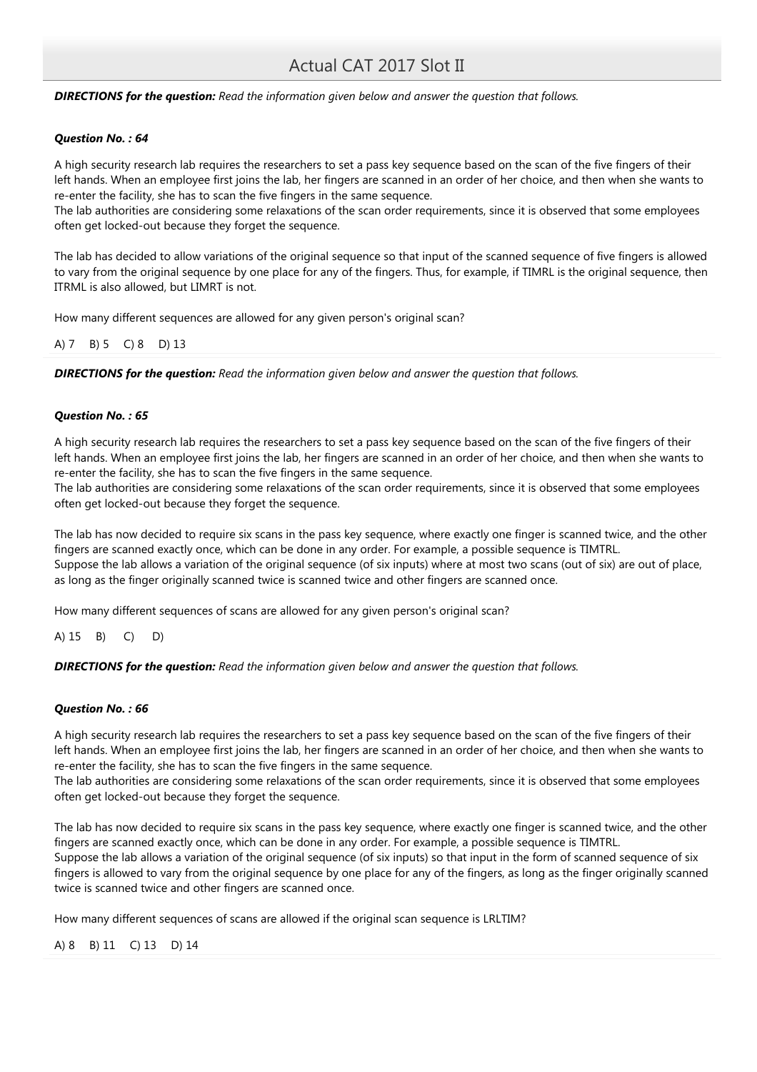**DIRECTIONS for the question:** Read the information given below and answer the question that follows.

### Question No. : 64

A high security research lab requires the researchers to set a pass key sequence based on the scan of the five fingers of their left hands. When an employee first joins the lab, her fingers are scanned in an order of her choice, and then when she wants to re-enter the facility, she has to scan the five fingers in the same sequence.

The lab authorities are considering some relaxations of the scan order requirements, since it is observed that some employees often get locked-out because they forget the sequence.

The lab has decided to allow variations of the original sequence so that input of the scanned sequence of five fingers is allowed to vary from the original sequence by one place for any of the fingers. Thus, for example, if TIMRL is the original sequence, then ITRML is also allowed, but LIMRT is not.

How many different sequences are allowed for any given person's original scan?

A) 7 B) 5 C) 8 D) 13

**DIRECTIONS for the question:** Read the information given below and answer the question that follows.

### Question No. : 65

A high security research lab requires the researchers to set a pass key sequence based on the scan of the five fingers of their left hands. When an employee first joins the lab, her fingers are scanned in an order of her choice, and then when she wants to re-enter the facility, she has to scan the five fingers in the same sequence.

The lab authorities are considering some relaxations of the scan order requirements, since it is observed that some employees often get locked-out because they forget the sequence.

The lab has now decided to require six scans in the pass key sequence, where exactly one finger is scanned twice, and the other fingers are scanned exactly once, which can be done in any order. For example, a possible sequence is TIMTRL. Suppose the lab allows a variation of the original sequence (of six inputs) where at most two scans (out of six) are out of place, as long as the finger originally scanned twice is scanned twice and other fingers are scanned once.

How many different sequences of scans are allowed for any given person's original scan?

A) 15 B) C) D)

**DIRECTIONS for the question:** Read the information given below and answer the question that follows.

### Question No. : 66

A high security research lab requires the researchers to set a pass key sequence based on the scan of the five fingers of their left hands. When an employee first joins the lab, her fingers are scanned in an order of her choice, and then when she wants to re-enter the facility, she has to scan the five fingers in the same sequence.

The lab authorities are considering some relaxations of the scan order requirements, since it is observed that some employees often get locked-out because they forget the sequence.

The lab has now decided to require six scans in the pass key sequence, where exactly one finger is scanned twice, and the other fingers are scanned exactly once, which can be done in any order. For example, a possible sequence is TIMTRL. Suppose the lab allows a variation of the original sequence (of six inputs) so that input in the form of scanned sequence of six fingers is allowed to vary from the original sequence by one place for any of the fingers, as long as the finger originally scanned twice is scanned twice and other fingers are scanned once.

How many different sequences of scans are allowed if the original scan sequence is LRLTIM?

## A) 8 B) 11 C) 13 D) 14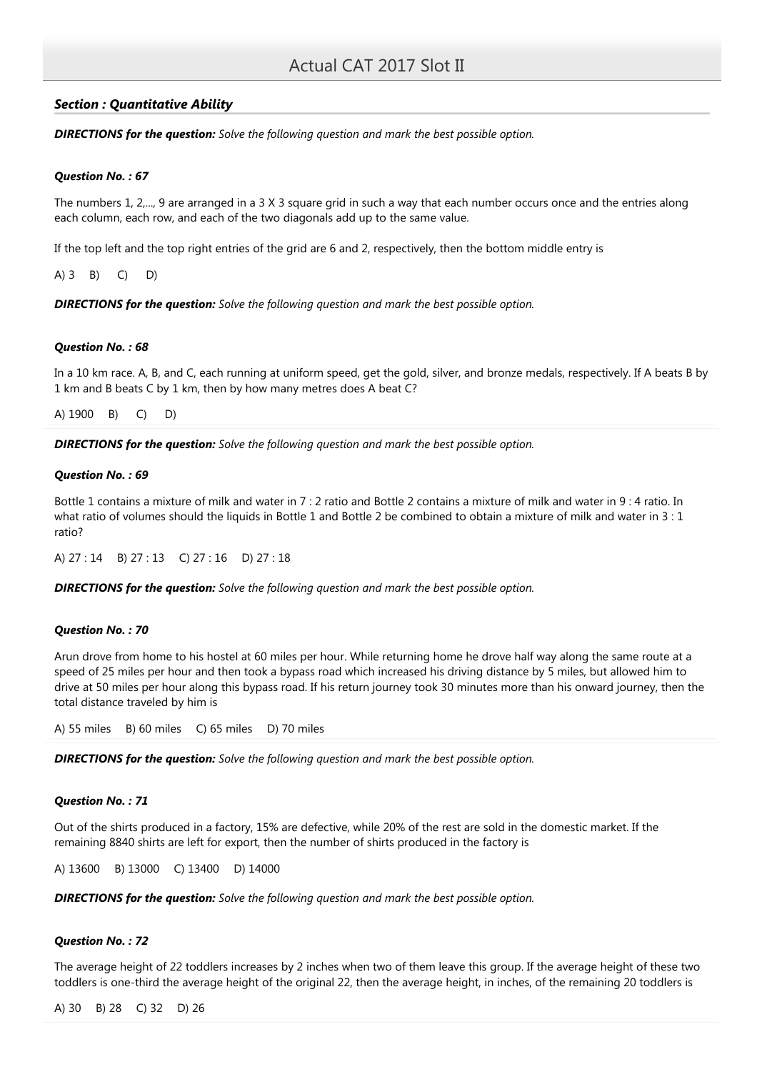# Section : Quantitative Ability

**DIRECTIONS for the question:** Solve the following question and mark the best possible option.

# Question No. : 67

The numbers 1, 2,..., 9 are arranged in a 3 X 3 square grid in such a way that each number occurs once and the entries along each column, each row, and each of the two diagonals add up to the same value.

If the top left and the top right entries of the grid are 6 and 2, respectively, then the bottom middle entry is

A) 3 B) C) D)

**DIRECTIONS for the question:** Solve the following question and mark the best possible option.

## Question No. : 68

In a 10 km race. A, B, and C, each running at uniform speed, get the gold, silver, and bronze medals, respectively. If A beats B by 1 km and B beats C by 1 km, then by how many metres does A beat C?

A) 1900 B) C) D)

**DIRECTIONS for the question:** Solve the following question and mark the best possible option.

### Question No. : 69

Bottle 1 contains a mixture of milk and water in 7 : 2 ratio and Bottle 2 contains a mixture of milk and water in 9 : 4 ratio. In what ratio of volumes should the liquids in Bottle 1 and Bottle 2 be combined to obtain a mixture of milk and water in 3 : 1 ratio?

A) 27 : 14 B) 27 : 13 C) 27 : 16 D) 27 : 18

**DIRECTIONS for the question:** Solve the following question and mark the best possible option.

# Question No. : 70

Arun drove from home to his hostel at 60 miles per hour. While returning home he drove half way along the same route at a speed of 25 miles per hour and then took a bypass road which increased his driving distance by 5 miles, but allowed him to drive at 50 miles per hour along this bypass road. If his return journey took 30 minutes more than his onward journey, then the total distance traveled by him is

A) 55 miles B) 60 miles C) 65 miles D) 70 miles

**DIRECTIONS for the question:** Solve the following question and mark the best possible option.

## Question No. : 71

Out of the shirts produced in a factory, 15% are defective, while 20% of the rest are sold in the domestic market. If the remaining 8840 shirts are left for export, then the number of shirts produced in the factory is

A) 13600 B) 13000 C) 13400 D) 14000

**DIRECTIONS for the question:** Solve the following question and mark the best possible option.

## Question No. : 72

The average height of 22 toddlers increases by 2 inches when two of them leave this group. If the average height of these two toddlers is one-third the average height of the original 22, then the average height, in inches, of the remaining 20 toddlers is

A) 30 B) 28 C) 32 D) 26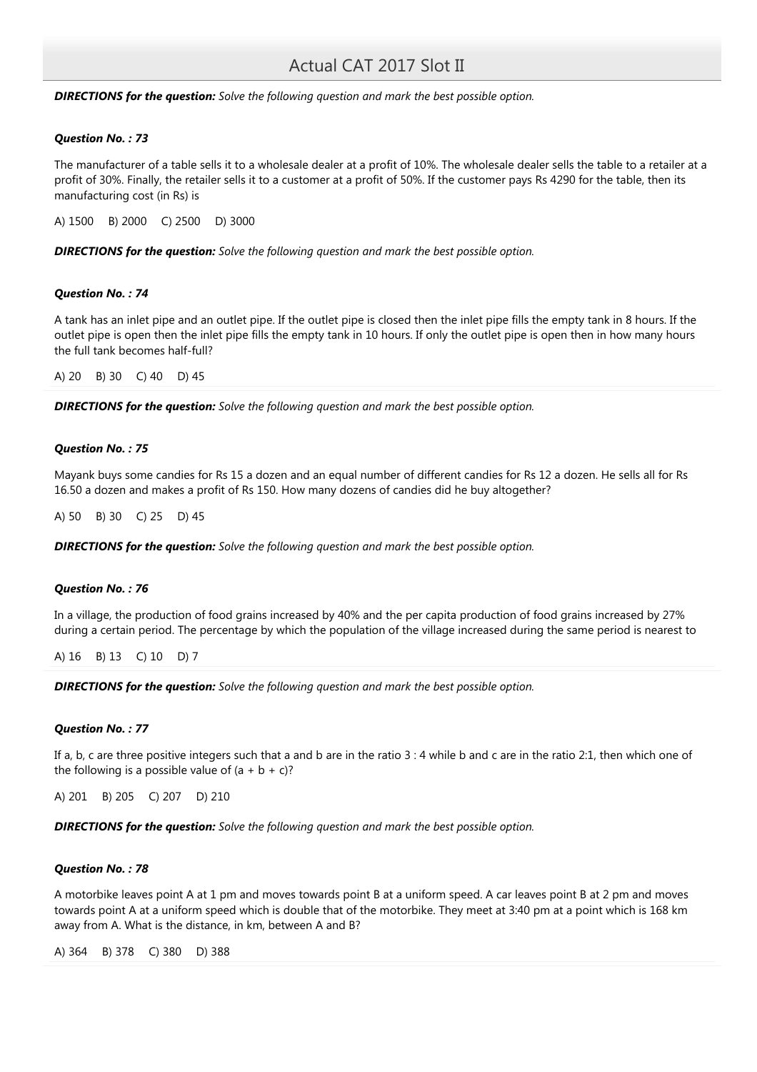**DIRECTIONS for the question:** Solve the following question and mark the best possible option.

### Question No. : 73

The manufacturer of a table sells it to a wholesale dealer at a profit of 10%. The wholesale dealer sells the table to a retailer at a profit of 30%. Finally, the retailer sells it to a customer at a profit of 50%. If the customer pays Rs 4290 for the table, then its manufacturing cost (in Rs) is

A) 1500 B) 2000 C) 2500 D) 3000

**DIRECTIONS for the question:** Solve the following question and mark the best possible option.

### Question No. : 74

A tank has an inlet pipe and an outlet pipe. If the outlet pipe is closed then the inlet pipe fills the empty tank in 8 hours. If the outlet pipe is open then the inlet pipe fills the empty tank in 10 hours. If only the outlet pipe is open then in how many hours the full tank becomes half-full?

A) 20 B) 30 C) 40 D) 45

**DIRECTIONS for the question:** Solve the following question and mark the best possible option.

### Question No. : 75

Mayank buys some candies for Rs 15 a dozen and an equal number of different candies for Rs 12 a dozen. He sells all for Rs 16.50 a dozen and makes a profit of Rs 150. How many dozens of candies did he buy altogether?

A) 50 B) 30 C) 25 D) 45

**DIRECTIONS for the question:** Solve the following question and mark the best possible option.

## Question No. : 76

In a village, the production of food grains increased by 40% and the per capita production of food grains increased by 27% during a certain period. The percentage by which the population of the village increased during the same period is nearest to

A) 16 B) 13 C) 10 D) 7

**DIRECTIONS for the question:** Solve the following question and mark the best possible option.

### Question No. : 77

If a, b, c are three positive integers such that a and b are in the ratio 3 : 4 while b and c are in the ratio 2:1, then which one of the following is a possible value of  $(a + b + c)$ ?

A) 201 B) 205 C) 207 D) 210

**DIRECTIONS for the question:** Solve the following question and mark the best possible option.

### Question No. : 78

A motorbike leaves point A at 1 pm and moves towards point B at a uniform speed. A car leaves point B at 2 pm and moves towards point A at a uniform speed which is double that of the motorbike. They meet at 3:40 pm at a point which is 168 km away from A. What is the distance, in km, between A and B?

A) 364 B) 378 C) 380 D) 388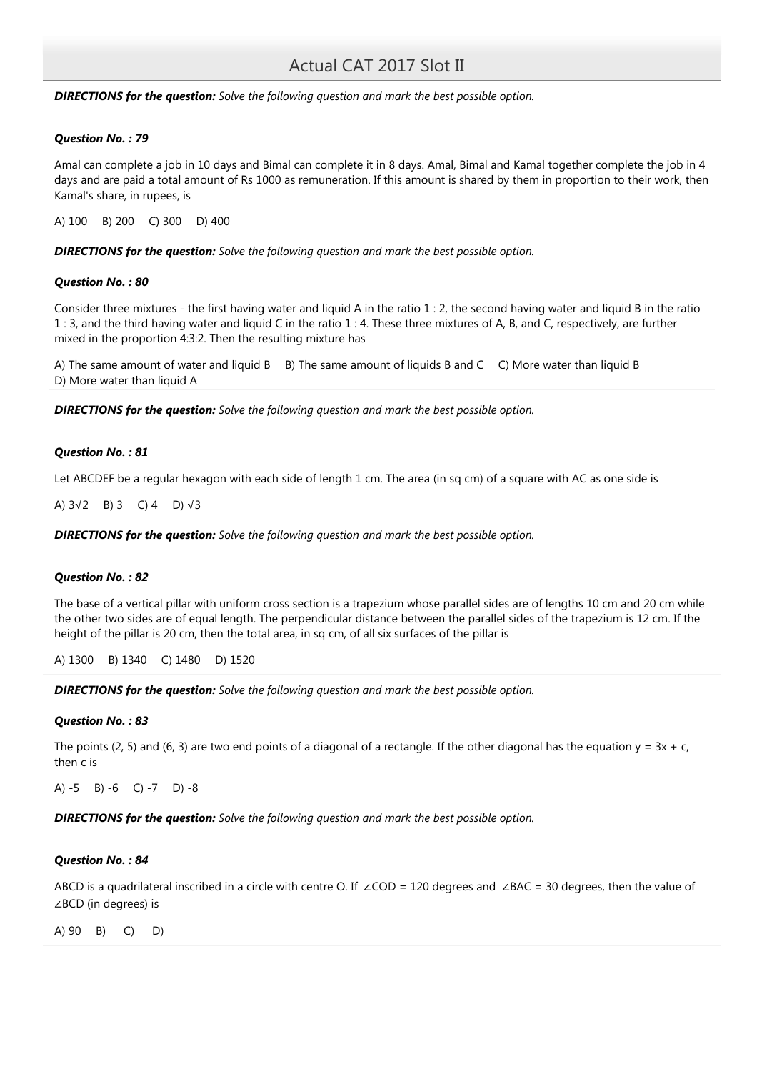### **DIRECTIONS for the question:** Solve the following question and mark the best possible option.

### Question No. : 79

Amal can complete a job in 10 days and Bimal can complete it in 8 days. Amal, Bimal and Kamal together complete the job in 4 days and are paid a total amount of Rs 1000 as remuneration. If this amount is shared by them in proportion to their work, then Kamal's share, in rupees, is

A) 100 B) 200 C) 300 D) 400

**DIRECTIONS for the question:** Solve the following question and mark the best possible option.

### Question No. : 80

Consider three mixtures - the first having water and liquid A in the ratio 1 : 2, the second having water and liquid B in the ratio 1 : 3, and the third having water and liquid C in the ratio 1 : 4. These three mixtures of A, B, and C, respectively, are further mixed in the proportion 4:3:2. Then the resulting mixture has

A) The same amount of water and liquid B B) The same amount of liquids B and C C) More water than liquid B D) More water than liquid A

**DIRECTIONS for the question:** Solve the following question and mark the best possible option.

### Question No. : 81

Let ABCDEF be a regular hexagon with each side of length 1 cm. The area (in sq cm) of a square with AC as one side is

A) 3√2 B) 3 C) 4 D) √3

**DIRECTIONS for the question:** Solve the following question and mark the best possible option.

## Question No. : 82

The base of a vertical pillar with uniform cross section is a trapezium whose parallel sides are of lengths 10 cm and 20 cm while the other two sides are of equal length. The perpendicular distance between the parallel sides of the trapezium is 12 cm. If the height of the pillar is 20 cm, then the total area, in sq cm, of all six surfaces of the pillar is

A) 1300 B) 1340 C) 1480 D) 1520

**DIRECTIONS for the question:** Solve the following question and mark the best possible option.

### Question No. : 83

The points (2, 5) and (6, 3) are two end points of a diagonal of a rectangle. If the other diagonal has the equation  $y = 3x + c$ , then c is

A) -5 B) -6 C) -7 D) -8

**DIRECTIONS for the question:** Solve the following question and mark the best possible option.

### Question No. : 84

ABCD is a quadrilateral inscribed in a circle with centre O. If ∠COD = 120 degrees and ∠BAC = 30 degrees, then the value of ∠BCD (in degrees) is

A) 90 B) C) D)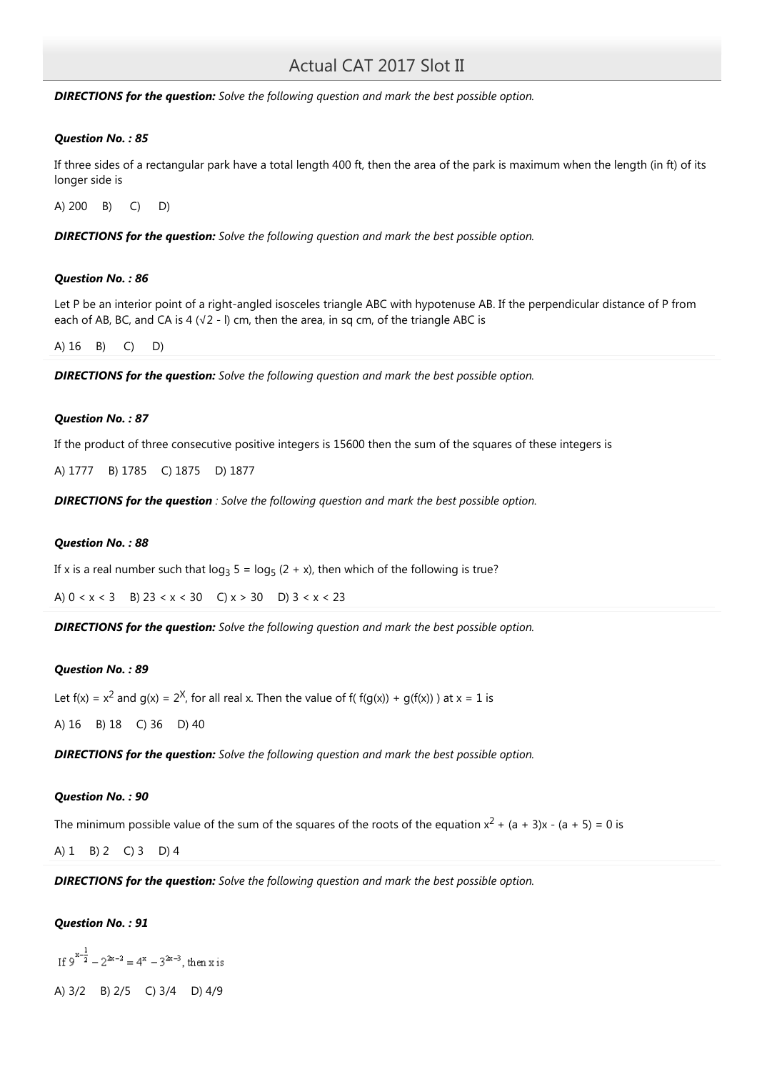**DIRECTIONS for the question:** Solve the following question and mark the best possible option.

### Question No. : 85

If three sides of a rectangular park have a total length 400 ft, then the area of the park is maximum when the length (in ft) of its longer side is

A) 200 B) C) D)

**DIRECTIONS for the question:** Solve the following question and mark the best possible option.

### Question No. : 86

Let P be an interior point of a right-angled isosceles triangle ABC with hypotenuse AB. If the perpendicular distance of P from each of AB, BC, and CA is 4 ( $\sqrt{2}$  - I) cm, then the area, in sq cm, of the triangle ABC is

A) 16 B) C) D)

**DIRECTIONS for the question:** Solve the following question and mark the best possible option.

### Question No. : 87

If the product of three consecutive positive integers is 15600 then the sum of the squares of these integers is

A) 1777 B) 1785 C) 1875 D) 1877

**DIRECTIONS for the question** : Solve the following question and mark the best possible option.

### Question No. : 88

If x is a real number such that log<sub>3</sub> 5 = log<sub>5</sub> (2 + x), then which of the following is true?

A)  $0 < x < 3$  B)  $23 < x < 30$  C)  $x > 30$  D)  $3 < x < 23$ 

**DIRECTIONS for the question:** Solve the following question and mark the best possible option.

### Question No. : 89

Let  $f(x) = x^2$  and  $g(x) = 2^X$ , for all real x. Then the value of  $f(f(g(x)) + g(f(x)))$  at  $x = 1$  is

A) 16 B) 18 C) 36 D) 40

**DIRECTIONS for the question:** Solve the following question and mark the best possible option.

### Question No. : 90

The minimum possible value of the sum of the squares of the roots of the equation  $x^2 + (a + 3)x - (a + 5) = 0$  is

A) 1 B) 2 C) 3 D) 4

**DIRECTIONS for the question:** Solve the following question and mark the best possible option.

## Question No. : 91

If  $9^{x-\frac{1}{2}} - 2^{2x-2} = 4^x - 3^{2x-3}$ , then x is

A) 3/2 B) 2/5 C) 3/4 D) 4/9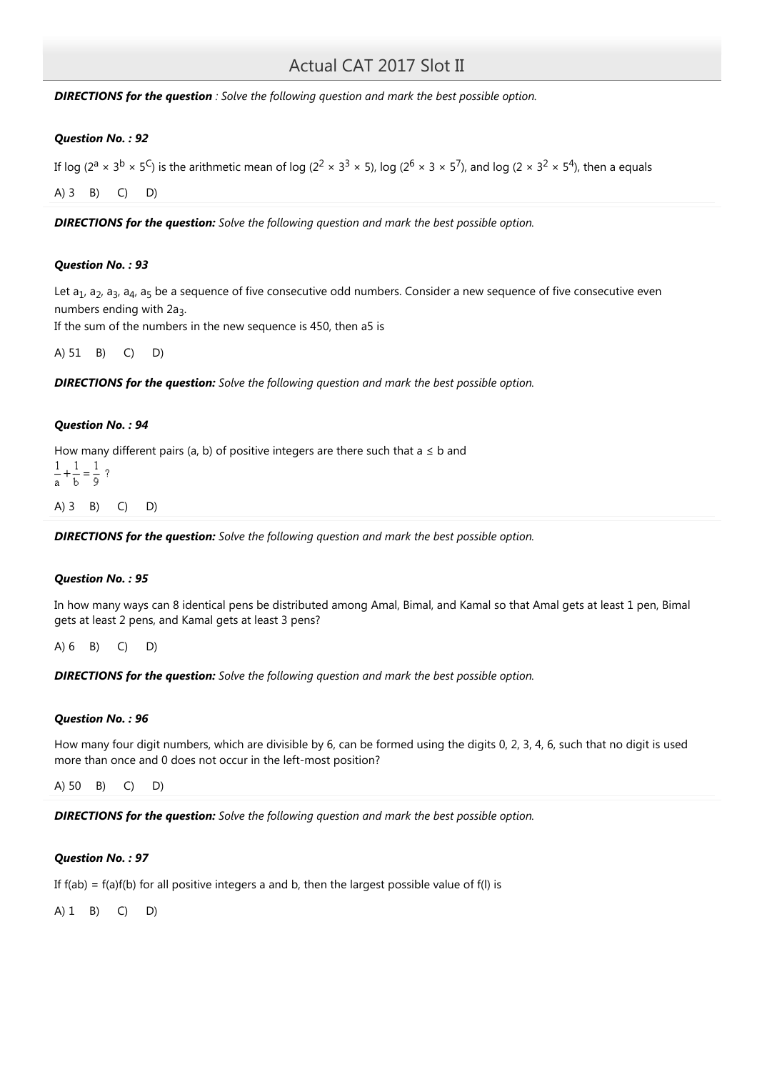**DIRECTIONS for the question**: Solve the following question and mark the best possible option.

### Question No. : 92

If log (2<sup>a</sup> × 3<sup>b</sup> × 5<sup>C</sup>) is the arithmetic mean of log (2<sup>2</sup> × 3<sup>3</sup> × 5), log (2<sup>6</sup> × 3 × 5<sup>7</sup>), and log (2 × 3<sup>2</sup> × 5<sup>4</sup>), then a equals

A) 3 B) C) D)

**DIRECTIONS for the question:** Solve the following question and mark the best possible option.

### Question No. : 93

Let  $a_1$ ,  $a_2$ ,  $a_3$ ,  $a_4$ ,  $a_5$  be a sequence of five consecutive odd numbers. Consider a new sequence of five consecutive even numbers ending with  $2a_3$ .

If the sum of the numbers in the new sequence is 450, then a5 is

A) 51 B) C) D)

**DIRECTIONS for the question:** Solve the following question and mark the best possible option.

### Question No. : 94

How many different pairs (a, b) of positive integers are there such that  $a \leq b$  and

$$
\frac{1}{a} + \frac{1}{b} = \frac{1}{9}
$$
?\n  
\nA) 3 B) C) D)

**DIRECTIONS for the question:** Solve the following question and mark the best possible option.

## Question No. : 95

In how many ways can 8 identical pens be distributed among Amal, Bimal, and Kamal so that Amal gets at least 1 pen, Bimal gets at least 2 pens, and Kamal gets at least 3 pens?

A) 6 B) C) D)

**DIRECTIONS for the question:** Solve the following question and mark the best possible option.

### Question No. : 96

How many four digit numbers, which are divisible by 6, can be formed using the digits 0, 2, 3, 4, 6, such that no digit is used more than once and 0 does not occur in the left-most position?

A) 50 B) C) D)

**DIRECTIONS for the question:** Solve the following question and mark the best possible option.

## Question No. : 97

If  $f(ab) = f(a)f(b)$  for all positive integers a and b, then the largest possible value of  $f(l)$  is

A) 1 B) C) D)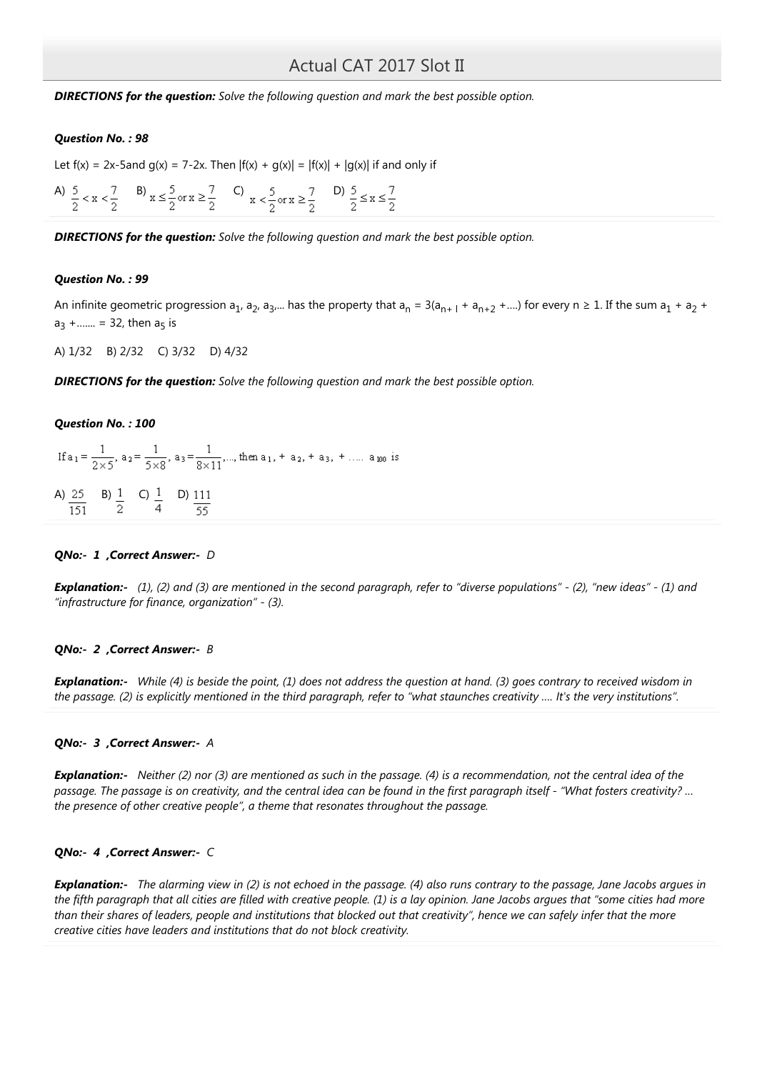**DIRECTIONS for the question:** Solve the following question and mark the best possible option.

### Question No. : 98

Let  $f(x) = 2x-5$ and  $g(x) = 7-2x$ . Then  $|f(x) + g(x)| = |f(x)| + |g(x)|$  if and only if

A)  $\frac{5}{2} < x < \frac{7}{2}$  B)  $x \le \frac{5}{2}$  or  $x \ge \frac{7}{2}$  C)  $x < \frac{5}{2}$  or  $x \ge \frac{7}{2}$  D)  $\frac{5}{2} \le x \le \frac{7}{2}$ 

**DIRECTIONS for the question:** Solve the following question and mark the best possible option.

### Question No. : 99

An infinite geometric progression a<sub>1</sub>, a<sub>2</sub>, a<sub>3</sub>,… has the property that a<sub>n</sub> = 3(a<sub>n+ l</sub> + a<sub>n+2</sub> +….) for every n ≥ 1. If the sum a<sub>1</sub> + a<sub>2</sub> +  $a_3 + ... = 32$ , then  $a_5$  is

A) 1/32 B) 2/32 C) 3/32 D) 4/32

**DIRECTIONS for the question:** Solve the following question and mark the best possible option.

# Question No. : 100

If  $a_1 = \frac{1}{2\times 5}$ ,  $a_2 = \frac{1}{5\times 8}$ ,  $a_3 = \frac{1}{8\times 11}$ ,..., then  $a_1$ ,  $a_2$ ,  $a_3$ ,  $a_4$ ,  $a_5$ ,  $a_7$ ,  $a_{100}$  is A)  $\frac{25}{151}$  B)  $\frac{1}{2}$  C)  $\frac{1}{4}$  D)  $\frac{111}{55}$ 

# QNo:- 1 ,Correct Answer:- D

**Explanation:-** (1), (2) and (3) are mentioned in the second paragraph, refer to "diverse populations" - (2), "new ideas" - (1) and "infrastructure for finance, organization" - (3).

### QNo:- 2 ,Correct Answer:- B

Explanation:- While (4) is beside the point, (1) does not address the question at hand. (3) goes contrary to received wisdom in the passage. (2) is explicitly mentioned in the third paragraph, refer to "what staunches creativity …. It's the very institutions".

### QNo:- 3, Correct Answer:- A

**Explanation:-** Neither (2) nor (3) are mentioned as such in the passage. (4) is a recommendation, not the central idea of the passage. The passage is on creativity, and the central idea can be found in the first paragraph itself - "What fosters creativity? … the presence of other creative people", a theme that resonates throughout the passage.

### QNo:- 4 ,Correct Answer:- C

**Explanation:-** The alarming view in (2) is not echoed in the passage. (4) also runs contrary to the passage, Jane Jacobs argues in the fifth paragraph that all cities are filled with creative people. (1) is a lay opinion. Jane Jacobs argues that "some cities had more than their shares of leaders, people and institutions that blocked out that creativity", hence we can safely infer that the more creative cities have leaders and institutions that do not block creativity.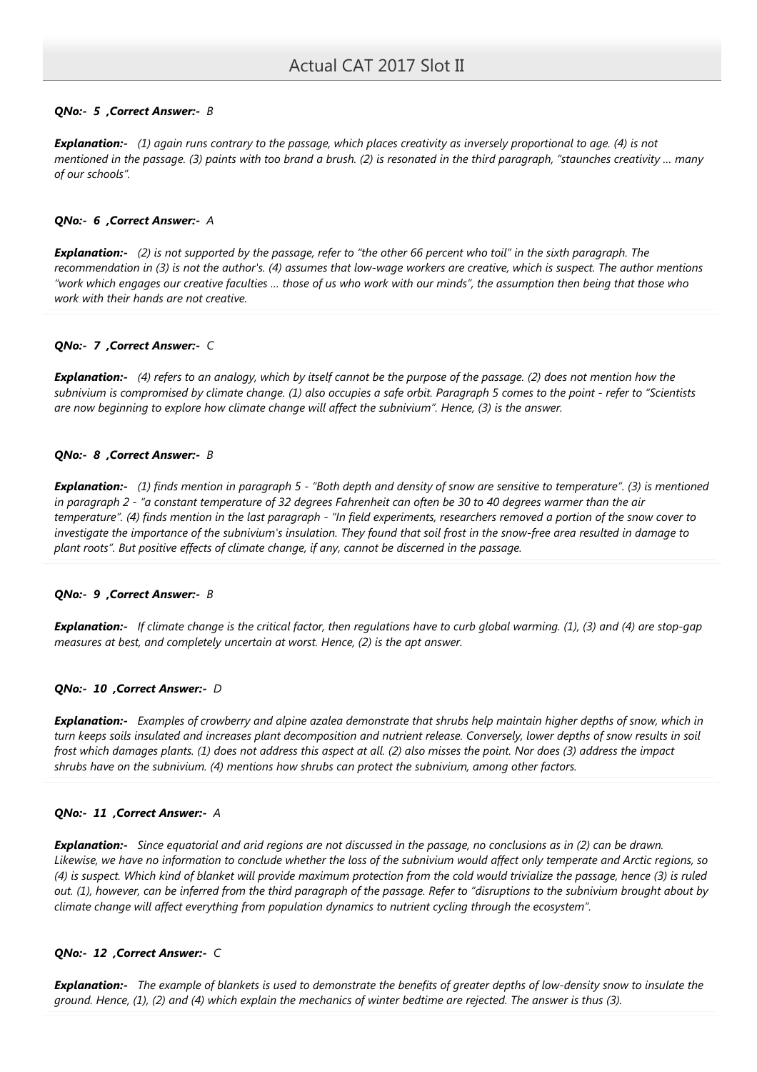# QNo:- 5, Correct Answer:- B

Explanation:- (1) again runs contrary to the passage, which places creativity as inversely proportional to age. (4) is not mentioned in the passage. (3) paints with too brand a brush. (2) is resonated in the third paragraph, "staunches creativity … many of our schools".

### QNo:- 6 ,Correct Answer:- A

**Explanation:-** (2) is not supported by the passage, refer to "the other 66 percent who toil" in the sixth paragraph. The recommendation in (3) is not the author's. (4) assumes that low-wage workers are creative, which is suspect. The author mentions "work which engages our creative faculties … those of us who work with our minds", the assumption then being that those who work with their hands are not creative.

## QNo:- 7 , Correct Answer:- C

**Explanation:-** (4) refers to an analogy, which by itself cannot be the purpose of the passage. (2) does not mention how the subnivium is compromised by climate change. (1) also occupies a safe orbit. Paragraph 5 comes to the point - refer to "Scientists are now beginning to explore how climate change will affect the subnivium". Hence, (3) is the answer.

## QNo:- 8, Correct Answer:- B

Explanation:- (1) finds mention in paragraph 5 - "Both depth and density of snow are sensitive to temperature". (3) is mentioned in paragraph 2 - "a constant temperature of 32 degrees Fahrenheit can often be 30 to 40 degrees warmer than the air temperature". (4) finds mention in the last paragraph - "In field experiments, researchers removed a portion of the snow cover to investigate the importance of the subnivium's insulation. They found that soil frost in the snow-free area resulted in damage to plant roots". But positive effects of climate change, if any, cannot be discerned in the passage.

### QNo:- 9 , Correct Answer:- B

**Explanation:-** If climate change is the critical factor, then regulations have to curb global warming. (1), (3) and (4) are stop-gap measures at best, and completely uncertain at worst. Hence, (2) is the apt answer.

### QNo:- 10 ,Correct Answer:- D

**Explanation:-** Examples of crowberry and alpine azalea demonstrate that shrubs help maintain higher depths of snow, which in turn keeps soils insulated and increases plant decomposition and nutrient release. Conversely, lower depths of snow results in soil frost which damages plants. (1) does not address this aspect at all. (2) also misses the point. Nor does (3) address the impact shrubs have on the subnivium. (4) mentions how shrubs can protect the subnivium, among other factors.

### QNo:- 11 ,Correct Answer:- A

**Explanation:-** Since equatorial and arid regions are not discussed in the passage, no conclusions as in (2) can be drawn. Likewise, we have no information to conclude whether the loss of the subnivium would affect only temperate and Arctic regions, so (4) is suspect. Which kind of blanket will provide maximum protection from the cold would trivialize the passage, hence (3) is ruled out. (1), however, can be inferred from the third paragraph of the passage. Refer to "disruptions to the subnivium brought about by climate change will affect everything from population dynamics to nutrient cycling through the ecosystem".

### QNo:- 12 ,Correct Answer:- C

**Explanation:-** The example of blankets is used to demonstrate the benefits of greater depths of low-density snow to insulate the ground. Hence, (1), (2) and (4) which explain the mechanics of winter bedtime are rejected. The answer is thus (3).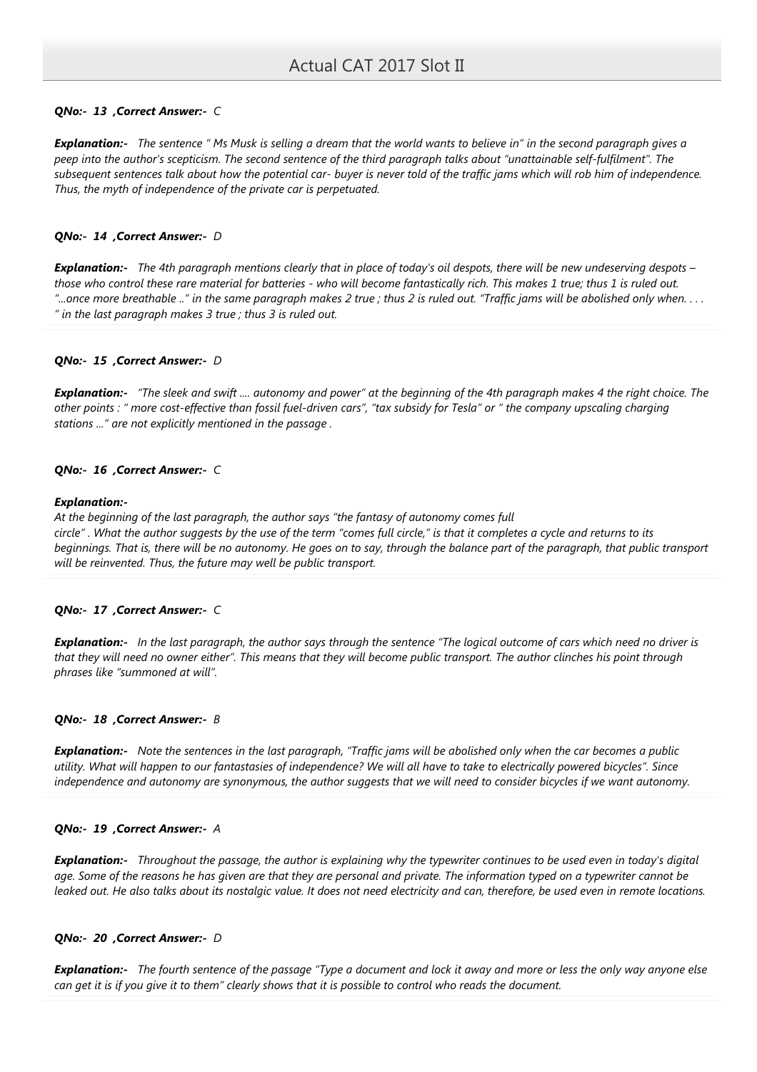# QNo:- 13 ,Correct Answer:- C

Explanation:- The sentence " Ms Musk is selling a dream that the world wants to believe in" in the second paragraph gives a peep into the author's scepticism. The second sentence of the third paragraph talks about "unattainable self-fulfilment". The subsequent sentences talk about how the potential car- buyer is never told of the traffic jams which will rob him of independence. Thus, the myth of independence of the private car is perpetuated.

### QNo:- 14 ,Correct Answer:- D

Explanation:- The 4th paragraph mentions clearly that in place of today's oil despots, there will be new undeserving despots those who control these rare material for batteries - who will become fantastically rich. This makes 1 true; thus 1 is ruled out. "...once more breathable .." in the same paragraph makes 2 true ; thus 2 is ruled out. "Traffic jams will be abolished only when. . . . " in the last paragraph makes 3 true ; thus 3 is ruled out.

### QNo:- 15 ,Correct Answer:- D

**Explanation:-** "The sleek and swift .... autonomy and power" at the beginning of the 4th paragraph makes 4 the right choice. The other points : " more cost-effective than fossil fuel-driven cars", "tax subsidy for Tesla" or " the company upscaling charging stations ..." are not explicitly mentioned in the passage .

### QNo:- 16 ,Correct Answer:- C

### Explanation:-

At the beginning of the last paragraph, the author says "the fantasy of autonomy comes full circle" . What the author suggests by the use of the term "comes full circle," is that it completes a cycle and returns to its beginnings. That is, there will be no autonomy. He goes on to say, through the balance part of the paragraph, that public transport will be reinvented. Thus, the future may well be public transport.

## QNo:- 17 ,Correct Answer:- C

**Explanation:-** In the last paragraph, the author says through the sentence "The logical outcome of cars which need no driver is that they will need no owner either". This means that they will become public transport. The author clinches his point through phrases like "summoned at will".

### QNo:- 18 , Correct Answer:- B

Explanation:- Note the sentences in the last paragraph, "Traffic jams will be abolished only when the car becomes a public utility. What will happen to our fantastasies of independence? We will all have to take to electrically powered bicycles". Since independence and autonomy are synonymous, the author suggests that we will need to consider bicycles if we want autonomy.

### QNo:- 19 ,Correct Answer:- A

**Explanation:-** Throughout the passage, the author is explaining why the typewriter continues to be used even in today's digital age. Some of the reasons he has given are that they are personal and private. The information typed on a typewriter cannot be leaked out. He also talks about its nostalgic value. It does not need electricity and can, therefore, be used even in remote locations.

## QNo:- 20 ,Correct Answer:- D

Explanation:- The fourth sentence of the passage "Type a document and lock it away and more or less the only way anyone else can get it is if you give it to them" clearly shows that it is possible to control who reads the document.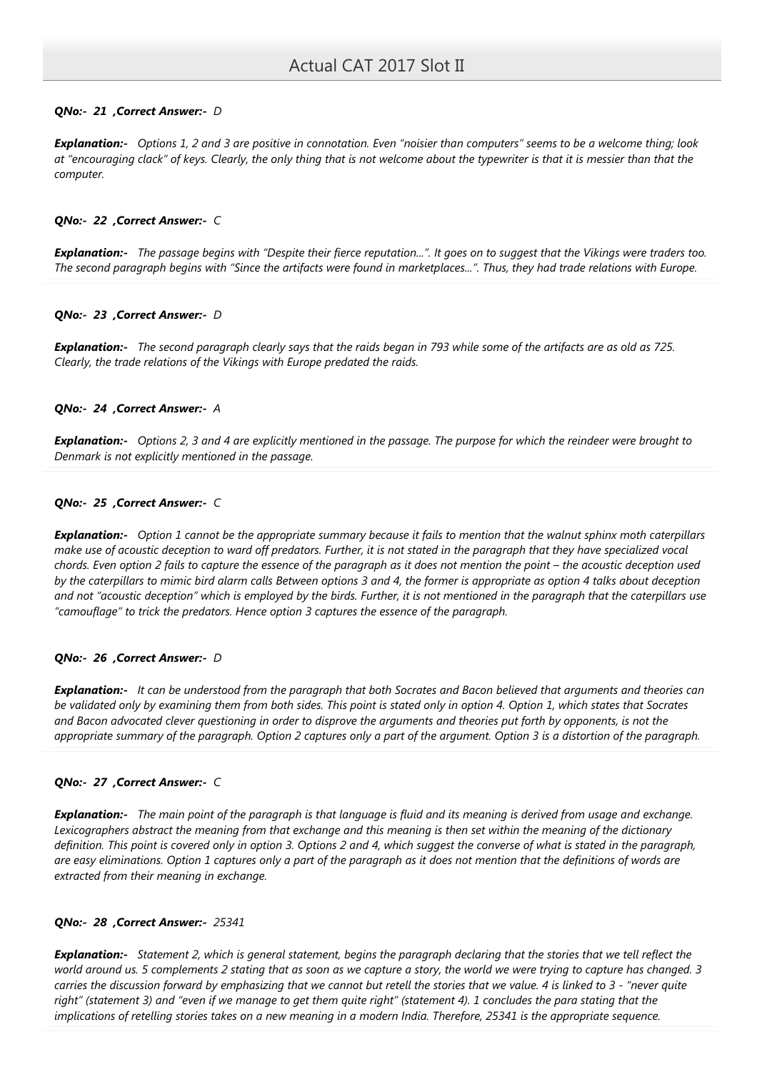## QNo:- 21 , Correct Answer:- D

Explanation:- Options 1, 2 and 3 are positive in connotation. Even "noisier than computers" seems to be a welcome thing; look at "encouraging clack" of keys. Clearly, the only thing that is not welcome about the typewriter is that it is messier than that the computer.

### QNo:- 22 ,Correct Answer:- C

**Explanation:-** The passage begins with "Despite their fierce reputation...". It goes on to suggest that the Vikings were traders too. The second paragraph begins with "Since the artifacts were found in marketplaces...". Thus, they had trade relations with Europe.

### QNo:- 23 ,Correct Answer:- D

Explanation:- The second paragraph clearly says that the raids began in 793 while some of the artifacts are as old as 725. Clearly, the trade relations of the Vikings with Europe predated the raids.

### QNo:- 24 , Correct Answer:- A

**Explanation:-** Options 2, 3 and 4 are explicitly mentioned in the passage. The purpose for which the reindeer were brought to Denmark is not explicitly mentioned in the passage.

### QNo:- 25 ,Correct Answer:- C

Explanation:- Option 1 cannot be the appropriate summary because it fails to mention that the walnut sphinx moth caterpillars make use of acoustic deception to ward off predators. Further, it is not stated in the paragraph that they have specialized vocal chords. Even option 2 fails to capture the essence of the paragraph as it does not mention the point – the acoustic deception used by the caterpillars to mimic bird alarm calls Between options 3 and 4, the former is appropriate as option 4 talks about deception and not "acoustic deception" which is employed by the birds. Further, it is not mentioned in the paragraph that the caterpillars use "camouflage" to trick the predators. Hence option 3 captures the essence of the paragraph.

### QNo:- 26 ,Correct Answer:- D

Explanation:- It can be understood from the paragraph that both Socrates and Bacon believed that arguments and theories can be validated only by examining them from both sides. This point is stated only in option 4. Option 1, which states that Socrates and Bacon advocated clever questioning in order to disprove the arguments and theories put forth by opponents, is not the appropriate summary of the paragraph. Option 2 captures only a part of the argument. Option 3 is a distortion of the paragraph.

### QNo:- 27 ,Correct Answer:- C

**Explanation:-** The main point of the paragraph is that language is fluid and its meaning is derived from usage and exchange. Lexicographers abstract the meaning from that exchange and this meaning is then set within the meaning of the dictionary definition. This point is covered only in option 3. Options 2 and 4, which suggest the converse of what is stated in the paragraph, are easy eliminations. Option 1 captures only a part of the paragraph as it does not mention that the definitions of words are extracted from their meaning in exchange.

### QNo:- 28 ,Correct Answer:- 25341

**Explanation:-** Statement 2, which is general statement, begins the paragraph declaring that the stories that we tell reflect the world around us. 5 complements 2 stating that as soon as we capture a story, the world we were trying to capture has changed. 3 carries the discussion forward by emphasizing that we cannot but retell the stories that we value. 4 is linked to 3 - "never quite right" (statement 3) and "even if we manage to get them quite right" (statement 4). 1 concludes the para stating that the implications of retelling stories takes on a new meaning in a modern India. Therefore, 25341 is the appropriate sequence.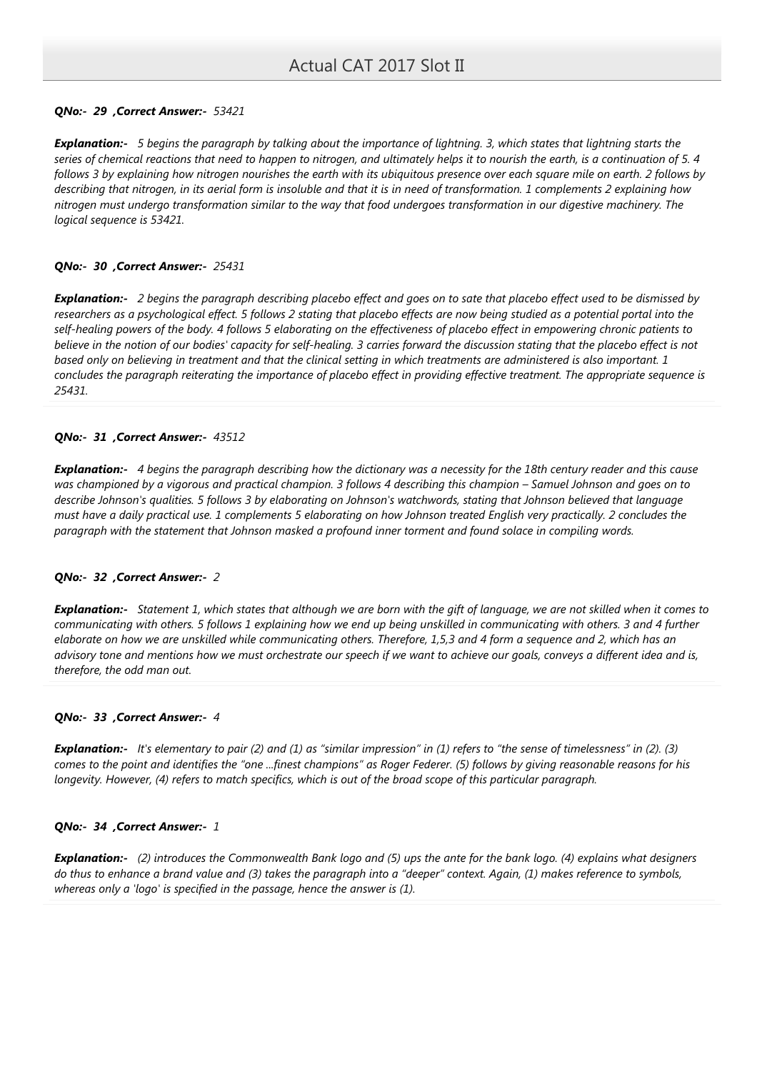# QNo:- 29 ,Correct Answer:- 53421

Explanation:- 5 begins the paragraph by talking about the importance of lightning. 3, which states that lightning starts the series of chemical reactions that need to happen to nitrogen, and ultimately helps it to nourish the earth, is a continuation of 5. 4 follows 3 by explaining how nitrogen nourishes the earth with its ubiquitous presence over each square mile on earth. 2 follows by describing that nitrogen, in its aerial form is insoluble and that it is in need of transformation. 1 complements 2 explaining how nitrogen must undergo transformation similar to the way that food undergoes transformation in our digestive machinery. The logical sequence is 53421.

## QNo:- 30 ,Correct Answer:- 25431

Explanation:- 2 begins the paragraph describing placebo effect and goes on to sate that placebo effect used to be dismissed by researchers as a psychological effect. 5 follows 2 stating that placebo effects are now being studied as a potential portal into the self-healing powers of the body. 4 follows 5 elaborating on the effectiveness of placebo effect in empowering chronic patients to believe in the notion of our bodies' capacity for self-healing. 3 carries forward the discussion stating that the placebo effect is not based only on believing in treatment and that the clinical setting in which treatments are administered is also important. 1 concludes the paragraph reiterating the importance of placebo effect in providing effective treatment. The appropriate sequence is 25431.

# QNo:- 31 ,Correct Answer:- 43512

**Explanation:-** 4 begins the paragraph describing how the dictionary was a necessity for the 18th century reader and this cause was championed by a vigorous and practical champion. 3 follows 4 describing this champion – Samuel Johnson and goes on to describe Johnson's qualities. 5 follows 3 by elaborating on Johnson's watchwords, stating that Johnson believed that language must have a daily practical use. 1 complements 5 elaborating on how Johnson treated English very practically. 2 concludes the paragraph with the statement that Johnson masked a profound inner torment and found solace in compiling words.

## QNo:- 32 ,Correct Answer:- 2

**Explanation:-** Statement 1, which states that although we are born with the gift of language, we are not skilled when it comes to communicating with others. 5 follows 1 explaining how we end up being unskilled in communicating with others. 3 and 4 further elaborate on how we are unskilled while communicating others. Therefore, 1,5,3 and 4 form a sequence and 2, which has an advisory tone and mentions how we must orchestrate our speech if we want to achieve our goals, conveys a different idea and is, therefore, the odd man out.

## QNo:- 33 ,Correct Answer:- 4

**Explanation:-** It's elementary to pair (2) and (1) as "similar impression" in (1) refers to "the sense of timelessness" in (2). (3) comes to the point and identifies the "one ...finest champions" as Roger Federer. (5) follows by giving reasonable reasons for his longevity. However, (4) refers to match specifics, which is out of the broad scope of this particular paragraph.

## QNo:- 34 ,Correct Answer:- 1

Explanation:- (2) introduces the Commonwealth Bank logo and (5) ups the ante for the bank logo. (4) explains what designers do thus to enhance a brand value and (3) takes the paragraph into a "deeper" context. Again, (1) makes reference to symbols, whereas only a 'logo' is specified in the passage, hence the answer is (1).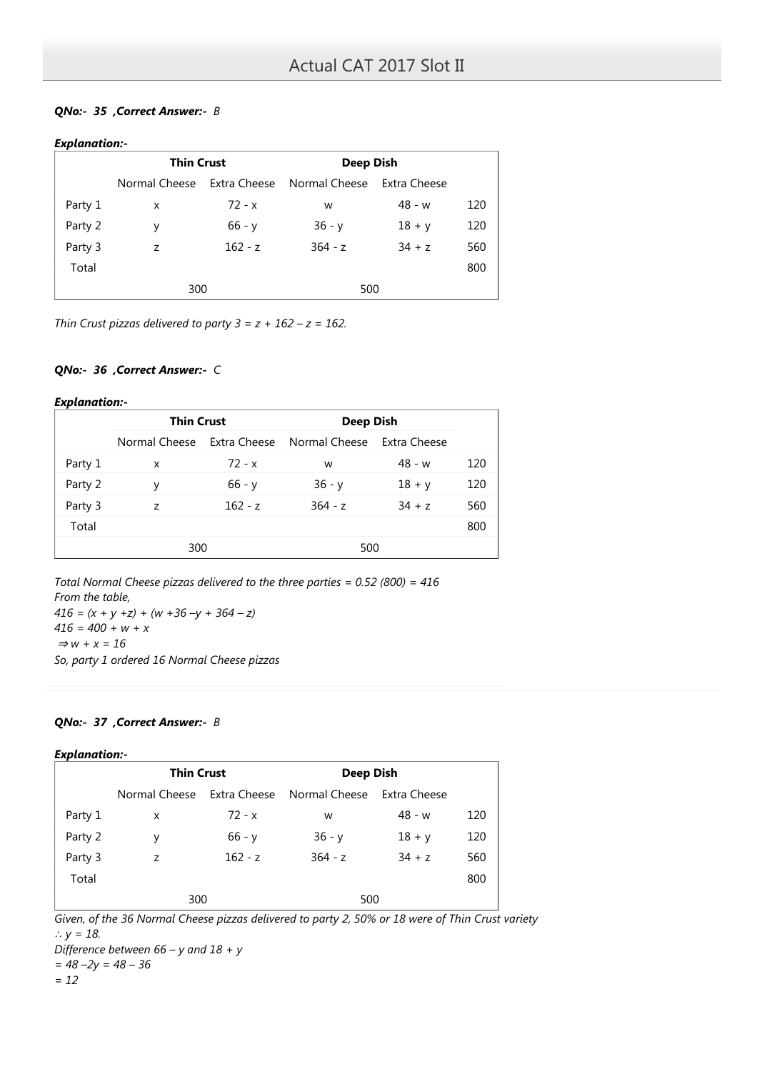# QNo:- 35 ,Correct Answer:- B

# Explanation:-

|         | <b>Thin Crust</b> |              | Deep Dish                  |          |     |
|---------|-------------------|--------------|----------------------------|----------|-----|
|         | Normal Cheese     | Extra Cheese | Normal Cheese Extra Cheese |          |     |
| Party 1 | X                 | $72 - x$     | W                          | $48 - w$ | 120 |
| Party 2 | У                 | $66 - y$     | $36 - y$                   | $18 + y$ | 120 |
| Party 3 | Z                 | $162 - z$    | $364 - z$                  | $34 + z$ | 560 |
| Total   |                   |              |                            |          | 800 |
|         | 300               |              | 500                        |          |     |

Thin Crust pizzas delivered to party  $3 = z + 162 - z = 162$ .

# QNo:- 36 ,Correct Answer:- C

### Explanation:-

|         | <b>Thin Crust</b> |              | Deep Dish                  |          |     |
|---------|-------------------|--------------|----------------------------|----------|-----|
|         | Normal Cheese     | Extra Cheese | Normal Cheese Extra Cheese |          |     |
| Party 1 | x                 | $72 - x$     | W                          | $48 - w$ | 120 |
| Party 2 | v                 | $66 - v$     | $36 - y$                   | $18 + y$ | 120 |
| Party 3 | 7                 | $162 - z$    | $364 - z$                  | $34 + z$ | 560 |
| Total   |                   |              |                            |          | 800 |
|         | 300               |              | 500                        |          |     |

Total Normal Cheese pizzas delivered to the three parties = 0.52 (800) = 416 From the table,  $416 = (x + y + z) + (w + 36 - y + 364 - z)$  $416 = 400 + w + x$  $\Rightarrow$  w + x = 16 So, party 1 ordered 16 Normal Cheese pizzas

## QNo:- 37 , Correct Answer:- B

## Explanation:-

|         | <b>Thin Crust</b> |           | Deep Dish                  |              |     |
|---------|-------------------|-----------|----------------------------|--------------|-----|
|         | Normal Cheese     |           | Extra Cheese Normal Cheese | Extra Cheese |     |
| Party 1 | x                 | $72 - x$  | w                          | $48 - w$     | 120 |
| Party 2 | y                 | $66 - y$  | $36 - y$                   | $18 + y$     | 120 |
| Party 3 | Z                 | $162 - z$ | $364 - z$                  | $34 + z$     | 560 |
| Total   |                   |           |                            |              | 800 |
|         | 300               |           | 500                        |              |     |

Given, of the 36 Normal Cheese pizzas delivered to party 2, 50% or 18 were of Thin Crust variety ∴  $y = 18$ .

Difference between  $66 - y$  and  $18 + y$ 

 $= 48 - 2y = 48 - 36$ 

 $= 12$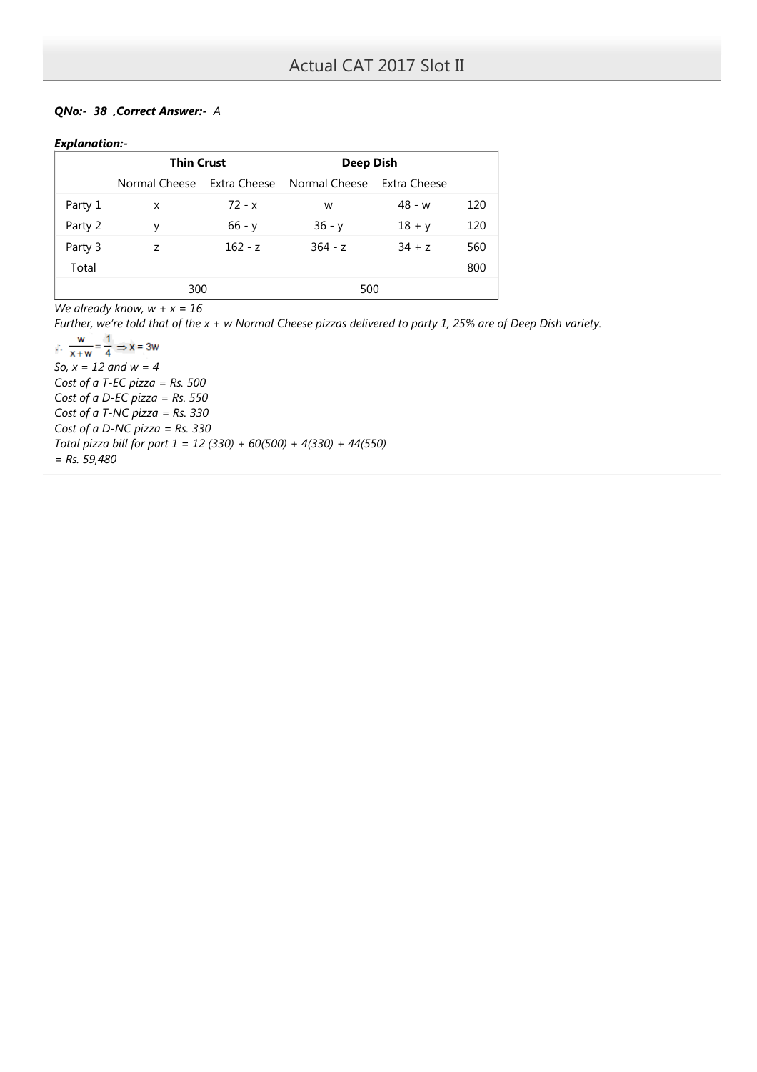# QNo:- 38 ,Correct Answer:- A

# Explanation:-

|         | <b>Thin Crust</b> |              | Deep Dish                  |          |     |
|---------|-------------------|--------------|----------------------------|----------|-----|
|         | Normal Cheese     | Extra Cheese | Normal Cheese Extra Cheese |          |     |
| Party 1 | x                 | $72 - x$     | W                          | $48 - w$ | 120 |
| Party 2 | v                 | $66 - y$     | $36 - y$                   | $18 + y$ | 120 |
| Party 3 | 7                 | $162 - z$    | $364 - z$                  | $34 + z$ | 560 |
| Total   |                   |              |                            |          | 800 |
|         | 300               |              | 500                        |          |     |

We already know,  $w + x = 16$ 

Further, we're told that of the x + w Normal Cheese pizzas delivered to party 1, 25% are of Deep Dish variety.

W  $\therefore \frac{w}{x+w} =$  $\mathbf{1}$  $\Rightarrow$  x = 3w  $\overline{4}$ So,  $x = 12$  and  $w = 4$ Cost of a T-EC pizza =  $Rs. 500$ Cost of a D-EC pizza =  $Rs. 550$ Cost of a T-NC pizza =  $Rs. 330$ Cost of a D-NC pizza =  $Rs. 330$ Total pizza bill for part  $1 = 12 (330) + 60(500) + 4(330) + 44(550)$  $=$  Rs. 59,480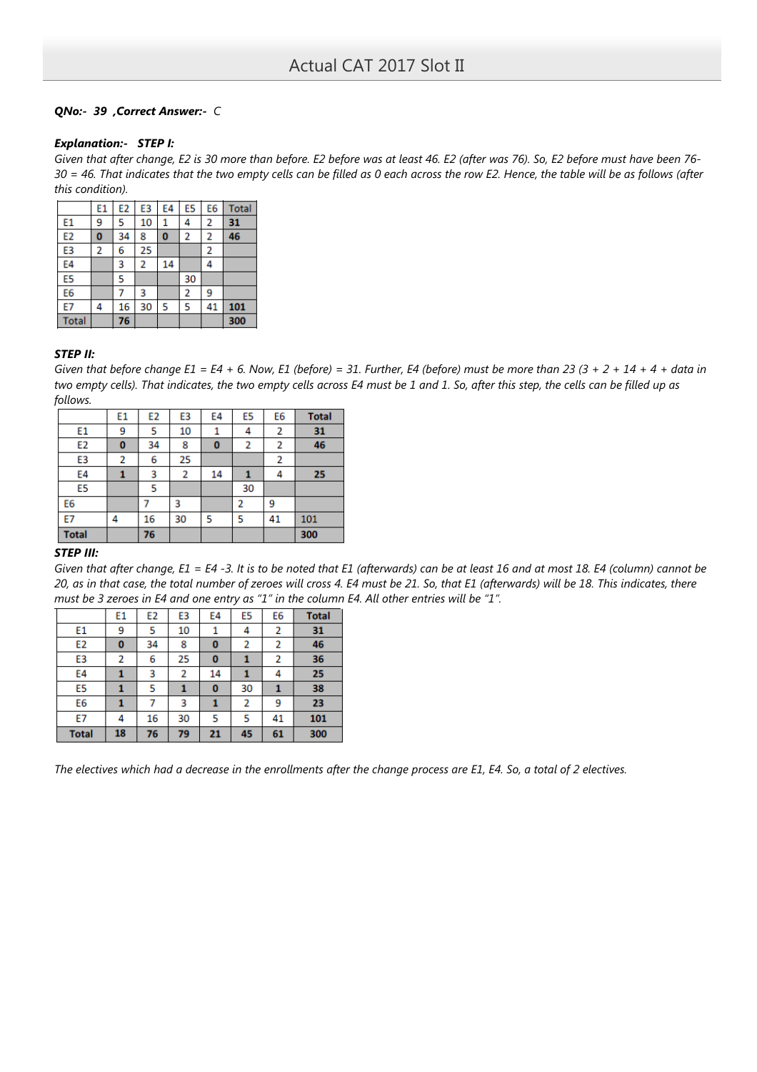# QNo:- 39 ,Correct Answer:- C

### Explanation:- STEP I:

Given that after change, E2 is 30 more than before. E2 before was at least 46. E2 (after was 76). So, E2 before must have been 76- 30 = 46. That indicates that the two empty cells can be filled as 0 each across the row E2. Hence, the table will be as follows (after this condition).

|                | E1 | E <sub>2</sub> | E3 | E4       | E <sub>5</sub> | E <sub>6</sub> | <b>Total</b> |
|----------------|----|----------------|----|----------|----------------|----------------|--------------|
| E1             | 9  | 5              | 10 | 1        | 4              | 2              | 31           |
| E <sub>2</sub> | 0  | 34             | 8  | $\bf{0}$ | 2              | 2              | 46           |
| E3             | 2  | 6              | 25 |          |                | 2              |              |
| E4             |    | 3              | 2  | 14       |                | 4              |              |
| E5             |    | 5              |    |          | 30             |                |              |
| E <sub>6</sub> |    |                | 3  |          | 2              | 9              |              |
| E7             | 4  | 16             | 30 | 5        | 5              | 41             | 101          |
| <b>Total</b>   |    | 76             |    |          |                |                | 300          |

### STEP II:

Given that before change  $E1 = E4 + 6$ . Now, E1 (before) = 31. Further, E4 (before) must be more than 23 (3 + 2 + 14 + 4 + data in two empty cells). That indicates, the two empty cells across E4 must be 1 and 1. So, after this step, the cells can be filled up as follows.

|                | E1       | E <sub>2</sub> | E3 | E4 | E <sub>5</sub> | E6 | <b>Total</b> |
|----------------|----------|----------------|----|----|----------------|----|--------------|
| E1             | 9        | 5              | 10 |    | 4              | 2  | 31           |
| E <sub>2</sub> | $\bf{0}$ | 34             | 8  | 0  | 2              | 2  | 46           |
| E3             | 2        | 6              | 25 |    |                | 2  |              |
| E4             |          | 3              | 2  | 14 |                | 4  | 25           |
| E5             |          | 5              |    |    | 30             |    |              |
| E6             |          |                | 3  |    | 2              | 9  |              |
| E7             | 4        | 16             | 30 | 5  | 5              | 41 | 101          |
| <b>Total</b>   |          | 76             |    |    |                |    | 300          |

## STEP III:

Given that after change, E1 = E4 -3. It is to be noted that E1 (afterwards) can be at least 16 and at most 18. E4 (column) cannot be 20, as in that case, the total number of zeroes will cross 4. E4 must be 21. So, that E1 (afterwards) will be 18. This indicates, there must be 3 zeroes in E4 and one entry as "1" in the column E4. All other entries will be "1".

|                | E1 | E <sub>2</sub> | E3 | E4       | E5 | E6 | <b>Total</b> |
|----------------|----|----------------|----|----------|----|----|--------------|
| E1             | 9  | 5              | 10 |          | 4  | 2  | 31           |
| E <sub>2</sub> | 0  | 34             | 8  | 0        | 2  | 2  | 46           |
| E3             | 2  | 6              | 25 | 0        |    | 2  | 36           |
| E4             |    | 3              | 2  | 14       |    | 4  | 25           |
| E5             |    | 5              |    | $\bf{0}$ | 30 | 1  | 38           |
| E6             |    |                | 3  |          | 2  | 9  | 23           |
| <b>E7</b>      | 4  | 16             | 30 | 5        | 5  | 41 | 101          |
| <b>Total</b>   | 18 | 76             | 79 | 21       | 45 | 61 | 300          |

The electives which had a decrease in the enrollments after the change process are E1, E4. So, a total of 2 electives.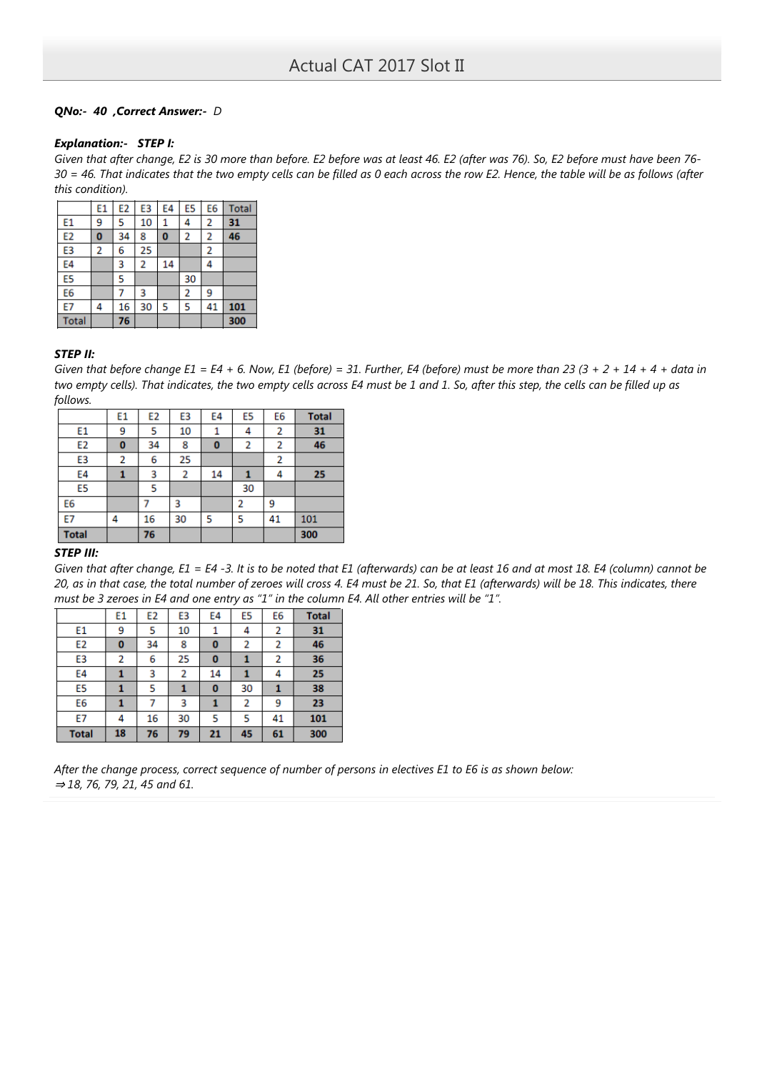# QNo:- 40 ,Correct Answer:- D

### Explanation:- STEP I:

Given that after change, E2 is 30 more than before. E2 before was at least 46. E2 (after was 76). So, E2 before must have been 76- 30 = 46. That indicates that the two empty cells can be filled as 0 each across the row E2. Hence, the table will be as follows (after this condition).

|                | E1 | E <sub>2</sub> | E3 | E4       | E <sub>5</sub> | E <sub>6</sub> | <b>Total</b> |
|----------------|----|----------------|----|----------|----------------|----------------|--------------|
| E1             | 9  | 5              | 10 | 1        | 4              | 2              | 31           |
| E <sub>2</sub> | 0  | 34             | 8  | $\bf{0}$ | $\overline{2}$ | 2              | 46           |
| E3             | 2  | 6              | 25 |          |                | 2              |              |
| E4             |    | 3              | 2  | 14       |                | 4              |              |
| E5             |    | 5              |    |          | 30             |                |              |
| E <sub>6</sub> |    |                | 3  |          | 2              | 9              |              |
| E7             | 4  | 16             | 30 | 5        | 5              | 41             | 101          |
| <b>Total</b>   |    | 76             |    |          |                |                | 300          |

### STEP II:

Given that before change  $E1 = E4 + 6$ . Now, E1 (before) = 31. Further, E4 (before) must be more than 23 (3 + 2 + 14 + 4 + data in two empty cells). That indicates, the two empty cells across E4 must be 1 and 1. So, after this step, the cells can be filled up as follows.

|                | E1       | E <sub>2</sub> | E3 | E4 | E <sub>5</sub> | E6 | <b>Total</b> |
|----------------|----------|----------------|----|----|----------------|----|--------------|
| E1             | 9        | 5              | 10 |    | 4              | 2  | 31           |
| E <sub>2</sub> | $\bf{0}$ | 34             | 8  | 0  | 2              | 2  | 46           |
| E <sub>3</sub> | 2        | 6              | 25 |    |                | 2  |              |
| E4             |          | 3              | 2  | 14 |                | 4  | 25           |
| E5             |          | 5              |    |    | 30             |    |              |
| E6             |          |                | 3  |    | 2              | 9  |              |
| E7             | 4        | 16             | 30 | 5  | 5              | 41 | 101          |
| <b>Total</b>   |          | 76             |    |    |                |    | 300          |

# STEP III:

Given that after change, E1 = E4 -3. It is to be noted that E1 (afterwards) can be at least 16 and at most 18. E4 (column) cannot be 20, as in that case, the total number of zeroes will cross 4. E4 must be 21. So, that E1 (afterwards) will be 18. This indicates, there must be 3 zeroes in E4 and one entry as "1" in the column E4. All other entries will be "1".

|                | E1 | E <sub>2</sub> | E3 | E4 | E5 | E <sub>6</sub> | <b>Total</b> |
|----------------|----|----------------|----|----|----|----------------|--------------|
| E1             | 9  | 5              | 10 |    | 4  | 2              | 31           |
| E <sub>2</sub> | 0  | 34             | 8  | 0  | 2  | 2              | 46           |
| E3             | 2  | 6              | 25 | 0  | 1  | 2              | 36           |
| E4             |    | 3              | 2  | 14 | 1  | 4              | 25           |
| E5             |    | 5              |    | 0  | 30 | 1              | 38           |
| E6             |    |                | 3  |    | 2  | 9              | 23           |
| E7             | 4  | 16             | 30 | 5  | 5  | 41             | 101          |
| <b>Total</b>   | 18 | 76             | 79 | 21 | 45 | 61             | 300          |

After the change process, correct sequence of number of persons in electives E1 to E6 is as shown below: ⇒ 18, 76, 79, 21, 45 and 61.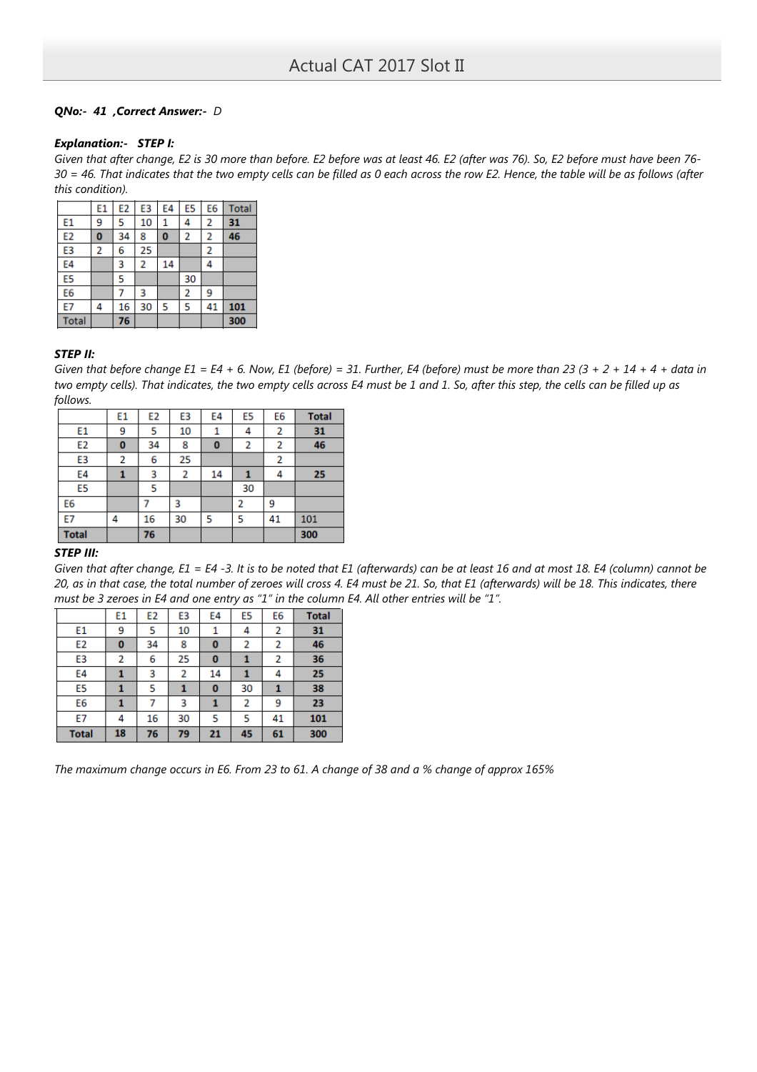# QNo:- 41 ,Correct Answer:- D

### Explanation:- STEP I:

Given that after change, E2 is 30 more than before. E2 before was at least 46. E2 (after was 76). So, E2 before must have been 76- 30 = 46. That indicates that the two empty cells can be filled as 0 each across the row E2. Hence, the table will be as follows (after this condition).

|                | E1 | E <sub>2</sub> | E3 | E4       | E <sub>5</sub> | E <sub>6</sub> | <b>Total</b> |
|----------------|----|----------------|----|----------|----------------|----------------|--------------|
| E1             | 9  | 5              | 10 | 1        | 4              | 2              | 31           |
| E <sub>2</sub> | 0  | 34             | 8  | $\bf{0}$ | $\overline{2}$ | 2              | 46           |
| E3             | 2  | 6              | 25 |          |                | 2              |              |
| E4             |    | 3              | 2  | 14       |                | 4              |              |
| E5             |    | 5              |    |          | 30             |                |              |
| E <sub>6</sub> |    |                | 3  |          | 2              | 9              |              |
| E7             | 4  | 16             | 30 | 5        | 5              | 41             | 101          |
| <b>Total</b>   |    | 76             |    |          |                |                | 300          |

### STEP II:

Given that before change  $E1 = E4 + 6$ . Now, E1 (before) = 31. Further, E4 (before) must be more than 23 (3 + 2 + 14 + 4 + data in two empty cells). That indicates, the two empty cells across E4 must be 1 and 1. So, after this step, the cells can be filled up as follows.

|                | E1       | E <sub>2</sub> | E3 | E4 | E5 | E6 | <b>Total</b> |
|----------------|----------|----------------|----|----|----|----|--------------|
| E1             | 9        | 5              | 10 |    | 4  | 2  | 31           |
| E <sub>2</sub> | $\bf{0}$ | 34             | 8  | 0  | 2  | 2  | 46           |
| E3             | 2        | 6              | 25 |    |    | 2  |              |
| E4             |          | 3              | 2  | 14 |    | 4  | 25           |
| E5             |          | 5              |    |    | 30 |    |              |
| E6             |          |                | 3  |    | 2  | 9  |              |
| E7             | 4        | 16             | 30 | 5  | 5  | 41 | 101          |
| <b>Total</b>   |          | 76             |    |    |    |    | 300          |

## STEP III:

Given that after change, E1 = E4 -3. It is to be noted that E1 (afterwards) can be at least 16 and at most 18. E4 (column) cannot be 20, as in that case, the total number of zeroes will cross 4. E4 must be 21. So, that E1 (afterwards) will be 18. This indicates, there must be 3 zeroes in E4 and one entry as "1" in the column E4. All other entries will be "1".

|                | E1 | E <sub>2</sub> | E3 | E4 | E5 | E <sub>6</sub> | <b>Total</b> |
|----------------|----|----------------|----|----|----|----------------|--------------|
| E1             | 9  | 5              | 10 |    | 4  | 2              | 31           |
| E <sub>2</sub> | 0  | 34             | 8  | 0  | 2  | 2              | 46           |
| E3             | 2  | 6              | 25 | 0  |    | 2              | 36           |
| E4             |    | 3              | 2  | 14 |    | 4              | 25           |
| E5             |    | 5              |    | 0  | 30 | 1              | 38           |
| E6             |    |                | 3  |    | 2  | 9              | 23           |
| E7             | 4  | 16             | 30 | 5  | 5  | 41             | 101          |
| <b>Total</b>   | 18 | 76             | 79 | 21 | 45 | 61             | 300          |

The maximum change occurs in E6. From 23 to 61. A change of 38 and a % change of approx 165%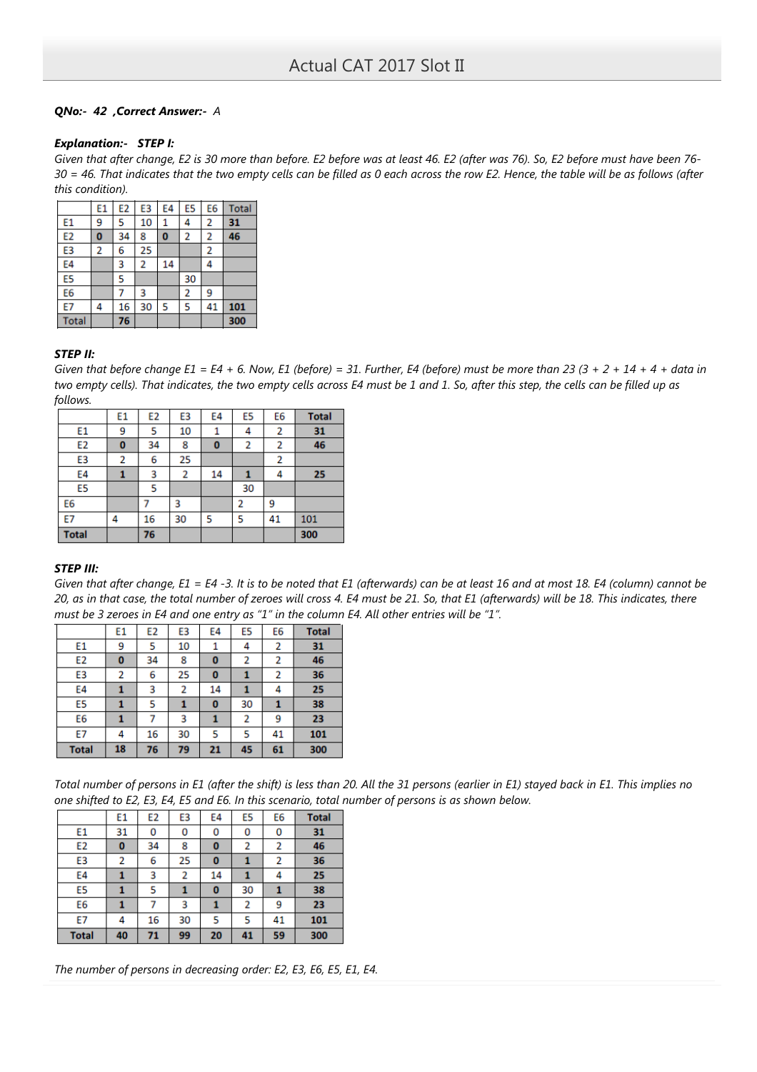# QNo:- 42 ,Correct Answer:- A

### Explanation:- STEP I:

Given that after change, E2 is 30 more than before. E2 before was at least 46. E2 (after was 76). So, E2 before must have been 76- 30 = 46. That indicates that the two empty cells can be filled as 0 each across the row E2. Hence, the table will be as follows (after this condition).

|                | E1 | E <sub>2</sub> | E3 | E4       | E5 | E <sub>6</sub> | <b>Total</b> |
|----------------|----|----------------|----|----------|----|----------------|--------------|
| E1             | 9  | 5              | 10 | 1        | 4  | 2              | 31           |
| E <sub>2</sub> | 0  | 34             | 8  | $\bf{0}$ | 2  | 2              | 46           |
| E3             | 2  | 6              | 25 |          |    | 2              |              |
| E4             |    | 3              | 2  | 14       |    | 4              |              |
| E5             |    | 5              |    |          | 30 |                |              |
| E6             |    |                | 3  |          | 2  | 9              |              |
| E7             | 4  | 16             | 30 | 5        | 5  | 41             | 101          |
| <b>Total</b>   |    | 76             |    |          |    |                | 300          |

### STEP II:

Given that before change  $E1 = E4 + 6$ . Now, E1 (before) = 31. Further, E4 (before) must be more than 23 (3 + 2 + 14 + 4 + data in two empty cells). That indicates, the two empty cells across E4 must be 1 and 1. So, after this step, the cells can be filled up as follows.

|                | E1 | E <sub>2</sub> | E3 | E4 | E <sub>5</sub> | E6 | <b>Total</b> |
|----------------|----|----------------|----|----|----------------|----|--------------|
| E1             | 9  | 5              | 10 |    | 4              | 2  | 31           |
| E2             | 0  | 34             | 8  | 0  | 2              | 2  | 46           |
| E <sub>3</sub> | 2  | 6              | 25 |    |                | 2  |              |
| E4             |    | 3              | 2  | 14 |                | 4  | 25           |
| E5             |    | 5              |    |    | 30             |    |              |
| E6             |    |                | 3  |    | 2              | 9  |              |
| E7             | 4  | 16             | 30 | 5  | 5              | 41 | 101          |
| <b>Total</b>   |    | 76             |    |    |                |    | 300          |

## STEP III:

Given that after change,  $E1 = E4 -3$ . It is to be noted that E1 (afterwards) can be at least 16 and at most 18. E4 (column) cannot be 20, as in that case, the total number of zeroes will cross 4. E4 must be 21. So, that E1 (afterwards) will be 18. This indicates, there must be 3 zeroes in E4 and one entry as "1" in the column E4. All other entries will be "1".

|                | E1 | E <sub>2</sub> | E3 | E4       | E5 | E <sub>6</sub> | <b>Total</b> |
|----------------|----|----------------|----|----------|----|----------------|--------------|
| E1             | 9  | 5              | 10 |          | 4  | 2              | 31           |
| E <sub>2</sub> | 0  | 34             | 8  | 0        | 2  | 2              | 46           |
| E <sub>3</sub> | 2  | 6              | 25 | 0        |    | 2              | 36           |
| E4             |    | 3              | 2  | 14       |    | 4              | 25           |
| E5             |    | 5              |    | $\bf{0}$ | 30 |                | 38           |
| E6             |    |                | 3  |          | 2  | 9              | 23           |
| E7             | 4  | 16             | 30 | 5        | 5  | 41             | 101          |
| <b>Total</b>   | 18 | 76             | 79 | 21       | 45 | 61             | 300          |

Total number of persons in E1 (after the shift) is less than 20. All the 31 persons (earlier in E1) stayed back in E1. This implies no one shifted to E2, E3, E4, E5 and E6. In this scenario, total number of persons is as shown below.

|                | E1 | E <sub>2</sub> | E3 | E4 | E5 | E6 | <b>Total</b> |
|----------------|----|----------------|----|----|----|----|--------------|
| E1             | 31 | 0              | 0  | 0  | 0  | 0  | 31           |
| E <sub>2</sub> | 0  | 34             | 8  | 0  | 2  | 2  | 46           |
| E3             | 2  | 6              | 25 | 0  | 1  | 2  | 36           |
| E4             |    | 3              | 2  | 14 | 1  | 4  | 25           |
| E5             |    | 5              |    | 0  | 30 | 1  | 38           |
| E6             |    | 7              | 3  | 1  | 2  | 9  | 23           |
| E7             | 4  | 16             | 30 | 5  | 5  | 41 | 101          |
| <b>Total</b>   | 40 | 71             | 99 | 20 | 41 | 59 | 300          |

The number of persons in decreasing order: E2, E3, E6, E5, E1, E4.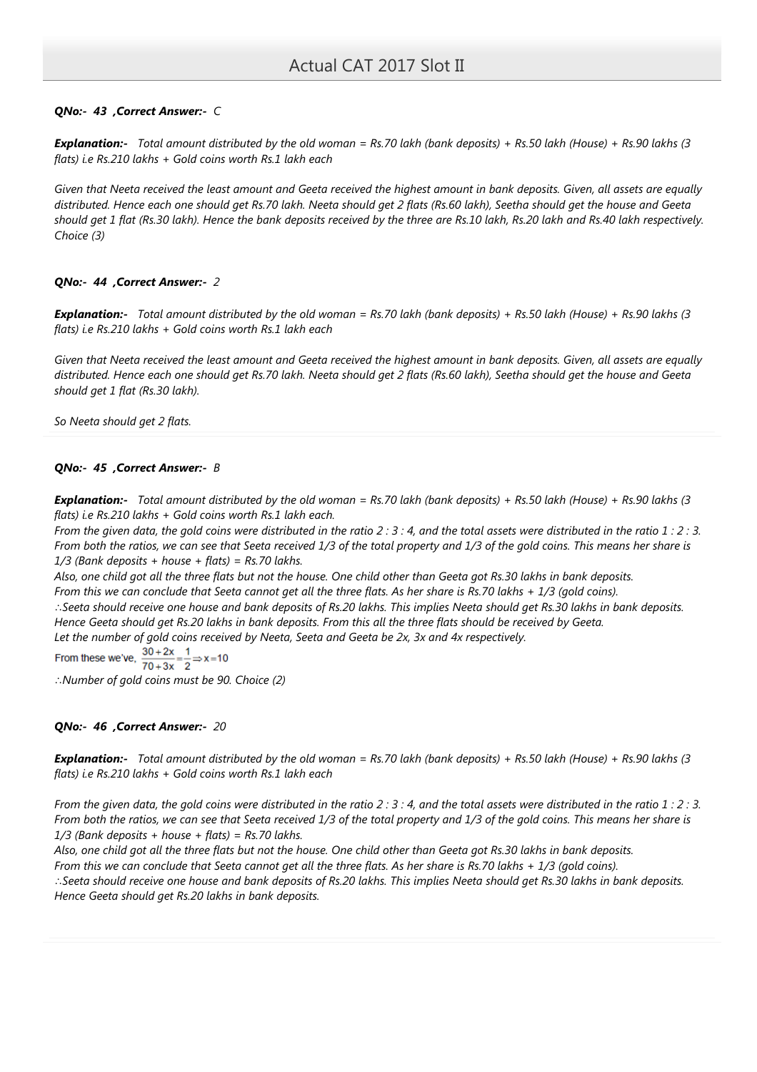# QNo:- 43 ,Correct Answer:- C

**Explanation:-** Total amount distributed by the old woman = Rs.70 lakh (bank deposits) + Rs.50 lakh (House) + Rs.90 lakhs (3 flats) i.e Rs.210 lakhs + Gold coins worth Rs.1 lakh each

Given that Neeta received the least amount and Geeta received the highest amount in bank deposits. Given, all assets are equally distributed. Hence each one should get Rs.70 lakh. Neeta should get 2 flats (Rs.60 lakh), Seetha should get the house and Geeta should get 1 flat (Rs.30 lakh). Hence the bank deposits received by the three are Rs.10 lakh, Rs.20 lakh and Rs.40 lakh respectively. Choice (3)

## QNo:- 44 ,Correct Answer:- 2

**Explanation:-** Total amount distributed by the old woman = Rs.70 lakh (bank deposits) + Rs.50 lakh (House) + Rs.90 lakhs (3 flats) i.e Rs.210 lakhs + Gold coins worth Rs.1 lakh each

Given that Neeta received the least amount and Geeta received the highest amount in bank deposits. Given, all assets are equally distributed. Hence each one should get Rs.70 lakh. Neeta should get 2 flats (Rs.60 lakh), Seetha should get the house and Geeta should get 1 flat (Rs.30 lakh).

So Neeta should get 2 flats.

### QNo:- 45 ,Correct Answer:- B

**Explanation:-** Total amount distributed by the old woman = Rs.70 lakh (bank deposits) + Rs.50 lakh (House) + Rs.90 lakhs (3 flats) i.e Rs.210 lakhs + Gold coins worth Rs.1 lakh each.

From the given data, the gold coins were distributed in the ratio 2 : 3 : 4, and the total assets were distributed in the ratio 1 : 2 : 3. From both the ratios, we can see that Seeta received 1/3 of the total property and 1/3 of the gold coins. This means her share is  $1/3$  (Bank deposits + house + flats) = Rs.70 lakhs.

Also, one child got all the three flats but not the house. One child other than Geeta got Rs.30 lakhs in bank deposits. From this we can conclude that Seeta cannot get all the three flats. As her share is Rs.70 lakhs + 1/3 (gold coins). ∴Seeta should receive one house and bank deposits of Rs.20 lakhs. This implies Neeta should get Rs.30 lakhs in bank deposits. Hence Geeta should get Rs.20 lakhs in bank deposits. From this all the three flats should be received by Geeta. Let the number of gold coins received by Neeta, Seeta and Geeta be 2x, 3x and 4x respectively.<br>From these we've,  $\frac{30+2x}{70+3x} = \frac{1}{2} \Rightarrow x=10$ 

∴Number of gold coins must be 90. Choice (2)

## QNo:- 46 ,Correct Answer:- 20

Explanation:- Total amount distributed by the old woman = Rs.70 lakh (bank deposits) + Rs.50 lakh (House) + Rs.90 lakhs (3 flats) i.e Rs.210 lakhs + Gold coins worth Rs.1 lakh each

From the given data, the gold coins were distributed in the ratio 2 : 3 : 4, and the total assets were distributed in the ratio 1 : 2 : 3. From both the ratios, we can see that Seeta received 1/3 of the total property and 1/3 of the gold coins. This means her share is  $1/3$  (Bank deposits + house + flats) = Rs.70 lakhs.

Also, one child got all the three flats but not the house. One child other than Geeta got Rs.30 lakhs in bank deposits. From this we can conclude that Seeta cannot get all the three flats. As her share is Rs.70 lakhs + 1/3 (gold coins). ∴Seeta should receive one house and bank deposits of Rs.20 lakhs. This implies Neeta should get Rs.30 lakhs in bank deposits. Hence Geeta should get Rs.20 lakhs in bank deposits.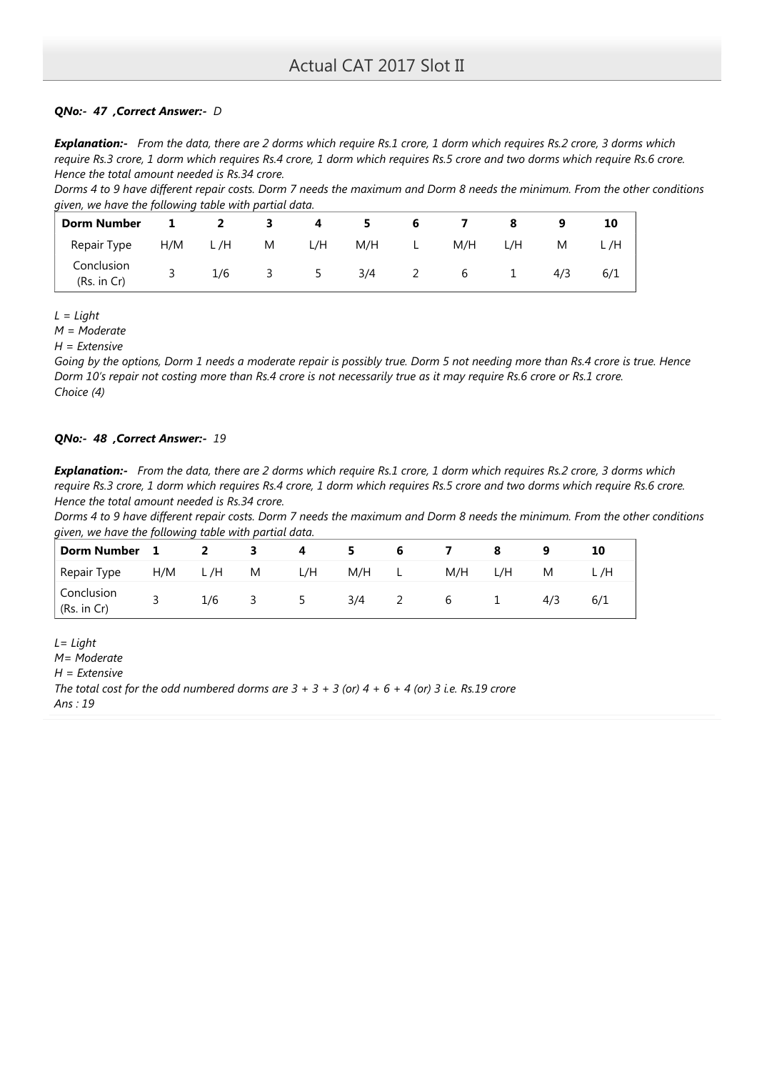# QNo:- 47 ,Correct Answer:- D

**Explanation:-** From the data, there are 2 dorms which require Rs.1 crore, 1 dorm which requires Rs.2 crore, 3 dorms which require Rs.3 crore, 1 dorm which requires Rs.4 crore, 1 dorm which requires Rs.5 crore and two dorms which require Rs.6 crore. Hence the total amount needed is Rs.34 crore.

Dorms 4 to 9 have different repair costs. Dorm 7 needs the maximum and Dorm 8 needs the minimum. From the other conditions given, we have the following table with partial data.

| <b>Dorm Number</b>        | $\mathbf{1}$ | $\overline{2}$ | - 3                     | $\overline{\mathbf{4}}$ | 5   | 6        |     |              |     | 10  |
|---------------------------|--------------|----------------|-------------------------|-------------------------|-----|----------|-----|--------------|-----|-----|
| Repair Type               | H/M          | L/H M          |                         | L/H                     | M/H | and Land | M/H | L/H          | M   | L/H |
| Conclusion<br>(Rs. in Cr) |              | 1/6            | $\overline{\mathbf{3}}$ | 5                       | 3/4 | 2        | 6   | $\mathbf{1}$ | 4/3 | 6/1 |

 $L = Light$ 

M = Moderate

 $H =$  Extensive

Going by the options, Dorm 1 needs a moderate repair is possibly true. Dorm 5 not needing more than Rs.4 crore is true. Hence Dorm 10's repair not costing more than Rs.4 crore is not necessarily true as it may require Rs.6 crore or Rs.1 crore. Choice (4)

# QNo:- 48 ,Correct Answer:- 19

**Explanation:-** From the data, there are 2 dorms which require Rs.1 crore, 1 dorm which requires Rs.2 crore, 3 dorms which require Rs.3 crore, 1 dorm which requires Rs.4 crore, 1 dorm which requires Rs.5 crore and two dorms which require Rs.6 crore. Hence the total amount needed is Rs.34 crore.

Dorms 4 to 9 have different repair costs. Dorm 7 needs the maximum and Dorm 8 needs the minimum. From the other conditions given, we have the following table with partial data.

| <b>Dorm Number</b>        |     |     |   |     |     | O  |     |     |     | 10   |
|---------------------------|-----|-----|---|-----|-----|----|-----|-----|-----|------|
| Repair Type               | H/M | L/H | M | L/H | M/H | ъ. | M/H | L/H | M   | L /H |
| Conclusion<br>(Rs. in Cr) |     | 1/6 | ٮ |     | 3/4 | _  | b   |     | 4/3 | 6/1  |

 $L = Light$ M= Moderate  $H =$  Extensive The total cost for the odd numbered dorms are  $3 + 3 + 3$  (or)  $4 + 6 + 4$  (or) 3 i.e. Rs.19 crore Ans : 19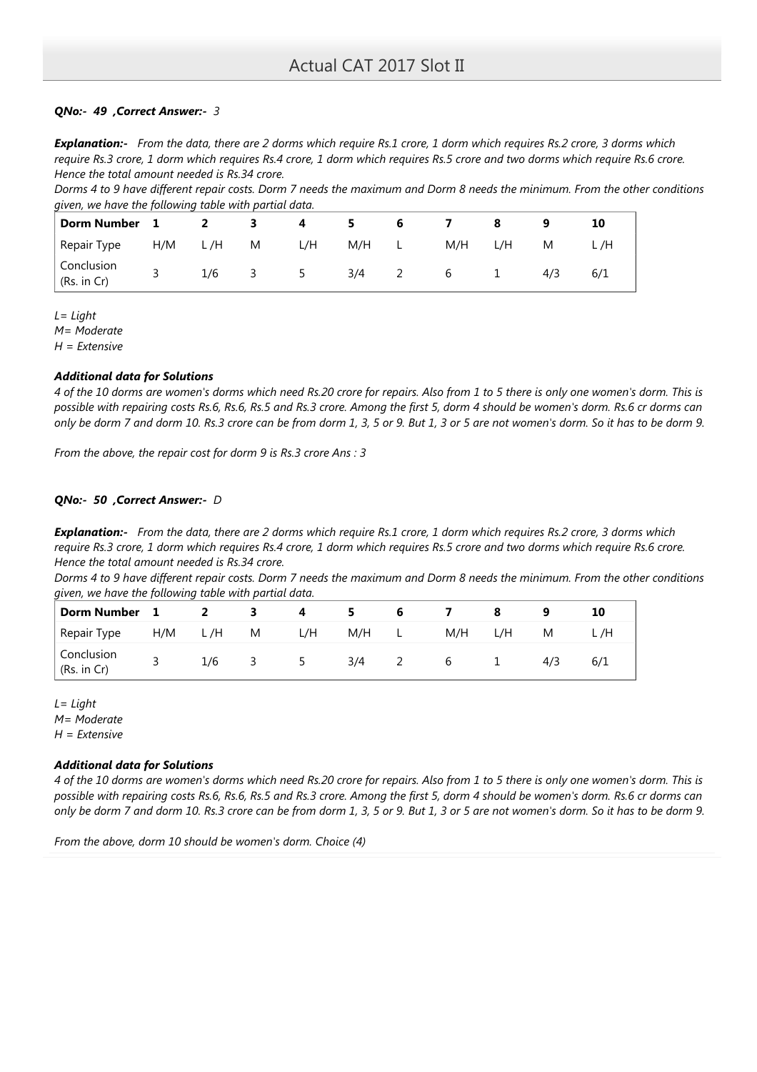# QNo:- 49 ,Correct Answer:- 3

Explanation:- From the data, there are 2 dorms which require Rs.1 crore, 1 dorm which requires Rs.2 crore, 3 dorms which require Rs.3 crore, 1 dorm which requires Rs.4 crore, 1 dorm which requires Rs.5 crore and two dorms which require Rs.6 crore. Hence the total amount needed is Rs.34 crore.

Dorms 4 to 9 have different repair costs. Dorm 7 needs the maximum and Dorm 8 needs the minimum. From the other conditions given, we have the following table with partial data.

| Dorm Number 1             |     | $\overline{2}$ | - 3       | -4  | 5.  | 6              |                 |     |     | 10   |
|---------------------------|-----|----------------|-----------|-----|-----|----------------|-----------------|-----|-----|------|
| Repair Type               | H/M | L/H M          |           | L/H |     | M/H L          | M/H             | L/H | M   | L /H |
| Conclusion<br>(Rs. in Cr) |     |                | $1/6$ 3 5 |     | 3/4 | $\overline{2}$ | $6\overline{6}$ |     | 4/3 | 6/1  |

 $L = Light$ 

M= Moderate

 $H =$  Extensive

## Additional data for Solutions

4 of the 10 dorms are women's dorms which need Rs.20 crore for repairs. Also from 1 to 5 there is only one women's dorm. This is possible with repairing costs Rs.6, Rs.6, Rs.5 and Rs.3 crore. Among the first 5, dorm 4 should be women's dorm. Rs.6 cr dorms can only be dorm 7 and dorm 10. Rs.3 crore can be from dorm 1, 3, 5 or 9. But 1, 3 or 5 are not women's dorm. So it has to be dorm 9.

From the above, the repair cost for dorm 9 is Rs.3 crore Ans : 3

## QNo:- 50 ,Correct Answer:- D

Explanation:- From the data, there are 2 dorms which require Rs.1 crore, 1 dorm which requires Rs.2 crore, 3 dorms which require Rs.3 crore, 1 dorm which requires Rs.4 crore, 1 dorm which requires Rs.5 crore and two dorms which require Rs.6 crore. Hence the total amount needed is Rs.34 crore.

Dorms 4 to 9 have different repair costs. Dorm 7 needs the maximum and Dorm 8 needs the minimum. From the other conditions given, we have the following table with partial data.

| Dorm Number 1             |     |     | - 3      | 4        |     |               |             |     |     |     |
|---------------------------|-----|-----|----------|----------|-----|---------------|-------------|-----|-----|-----|
| Repair Type               | H/M | L/H | <b>M</b> | L/H      | M/H | L.            | M/H         | L/H | M   |     |
| Conclusion<br>(Rs. in Cr) |     | 1/6 | -3-      | $\sim$ 5 | 3/4 | $\mathcal{L}$ | $\mathbf b$ |     | 4/3 | 6/1 |

 $L = Light$ M= Moderate  $H =$  Extensive

## Additional data for Solutions

4 of the 10 dorms are women's dorms which need Rs.20 crore for repairs. Also from 1 to 5 there is only one women's dorm. This is possible with repairing costs Rs.6, Rs.6, Rs.5 and Rs.3 crore. Among the first 5, dorm 4 should be women's dorm. Rs.6 cr dorms can only be dorm 7 and dorm 10. Rs.3 crore can be from dorm 1, 3, 5 or 9. But 1, 3 or 5 are not women's dorm. So it has to be dorm 9.

From the above, dorm 10 should be women's dorm. Choice (4)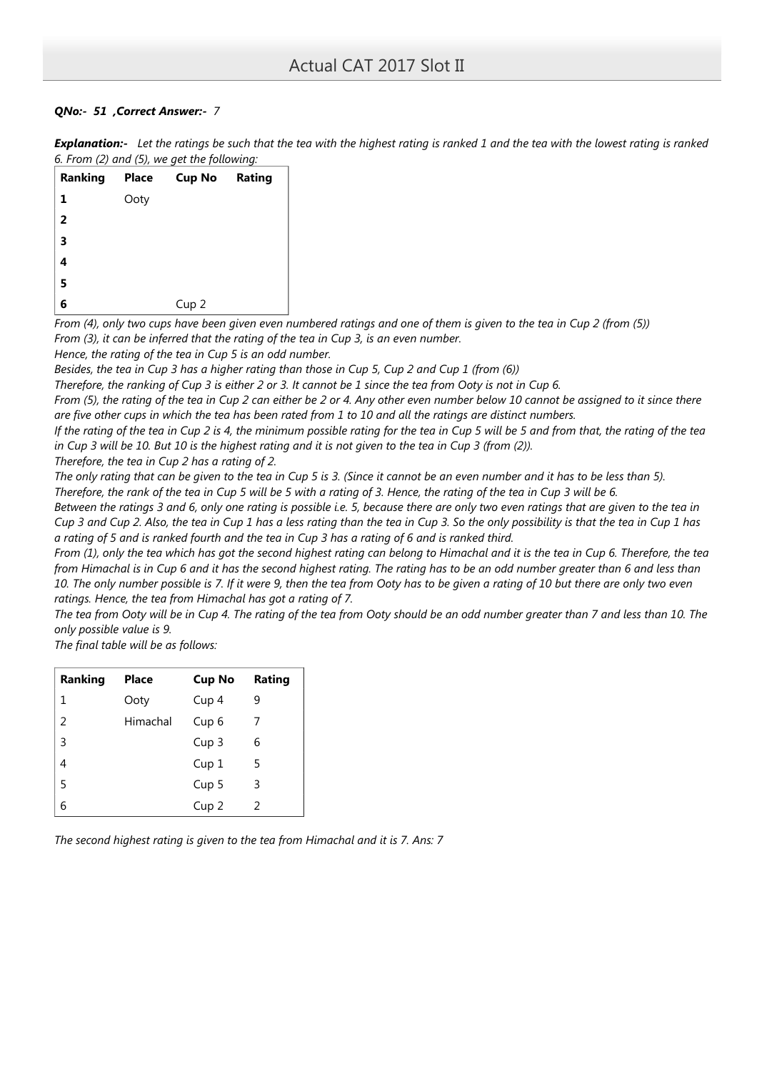# QNo:- 51 ,Correct Answer:- 7

| <b>Explanation:-</b> Let the ratings be such that the tea with the highest rating is ranked 1 and the tea with the lowest rating is ranked |  |
|--------------------------------------------------------------------------------------------------------------------------------------------|--|
| 6. From (2) and (5), we get the following:                                                                                                 |  |

| Ranking                 | <b>Place</b> | <b>Cup No Rating</b> |  |
|-------------------------|--------------|----------------------|--|
| 1                       | Ooty         |                      |  |
| $\overline{2}$          |              |                      |  |
| $\overline{\mathbf{3}}$ |              |                      |  |
| $\overline{\mathbf{4}}$ |              |                      |  |
| 5                       |              |                      |  |
| 6                       |              | Cup <sub>2</sub>     |  |

From (4), only two cups have been given even numbered ratings and one of them is given to the tea in Cup 2 (from (5)) From (3), it can be inferred that the rating of the tea in Cup 3, is an even number.

Hence, the rating of the tea in Cup 5 is an odd number.

Besides, the tea in Cup 3 has a higher rating than those in Cup 5, Cup 2 and Cup 1 (from (6))

Therefore, the ranking of Cup 3 is either 2 or 3. It cannot be 1 since the tea from Ooty is not in Cup 6.

From (5), the rating of the tea in Cup 2 can either be 2 or 4. Any other even number below 10 cannot be assigned to it since there are five other cups in which the tea has been rated from 1 to 10 and all the ratings are distinct numbers.

If the rating of the tea in Cup 2 is 4, the minimum possible rating for the tea in Cup 5 will be 5 and from that, the rating of the tea in Cup 3 will be 10. But 10 is the highest rating and it is not given to the tea in Cup 3 (from (2)).

Therefore, the tea in Cup 2 has a rating of 2.

The only rating that can be given to the tea in Cup 5 is 3. (Since it cannot be an even number and it has to be less than 5). Therefore, the rank of the tea in Cup 5 will be 5 with a rating of 3. Hence, the rating of the tea in Cup 3 will be 6.

Between the ratings 3 and 6, only one rating is possible i.e. 5, because there are only two even ratings that are given to the tea in Cup 3 and Cup 2. Also, the tea in Cup 1 has a less rating than the tea in Cup 3. So the only possibility is that the tea in Cup 1 has a rating of 5 and is ranked fourth and the tea in Cup 3 has a rating of 6 and is ranked third.

From (1), only the tea which has got the second highest rating can belong to Himachal and it is the tea in Cup 6. Therefore, the tea from Himachal is in Cup 6 and it has the second highest rating. The rating has to be an odd number greater than 6 and less than 10. The only number possible is 7. If it were 9, then the tea from Ooty has to be given a rating of 10 but there are only two even ratings. Hence, the tea from Himachal has got a rating of 7.

The tea from Ooty will be in Cup 4. The rating of the tea from Ooty should be an odd number greater than 7 and less than 10. The only possible value is 9.

The final table will be as follows:

| Ranking | <b>Place</b> | <b>Cup No</b>    | Rating |
|---------|--------------|------------------|--------|
| 1       | Ooty         | Cup 4            | 9      |
| 2       | Himachal     | Cup <sub>6</sub> | 7      |
| 3       |              | Cup <sub>3</sub> | 6      |
| 4       |              | Cup <sub>1</sub> | 5      |
| 5       |              | Cup <sub>5</sub> | 3      |
| 6       |              | Cup <sub>2</sub> | 2      |

The second highest rating is given to the tea from Himachal and it is 7. Ans: 7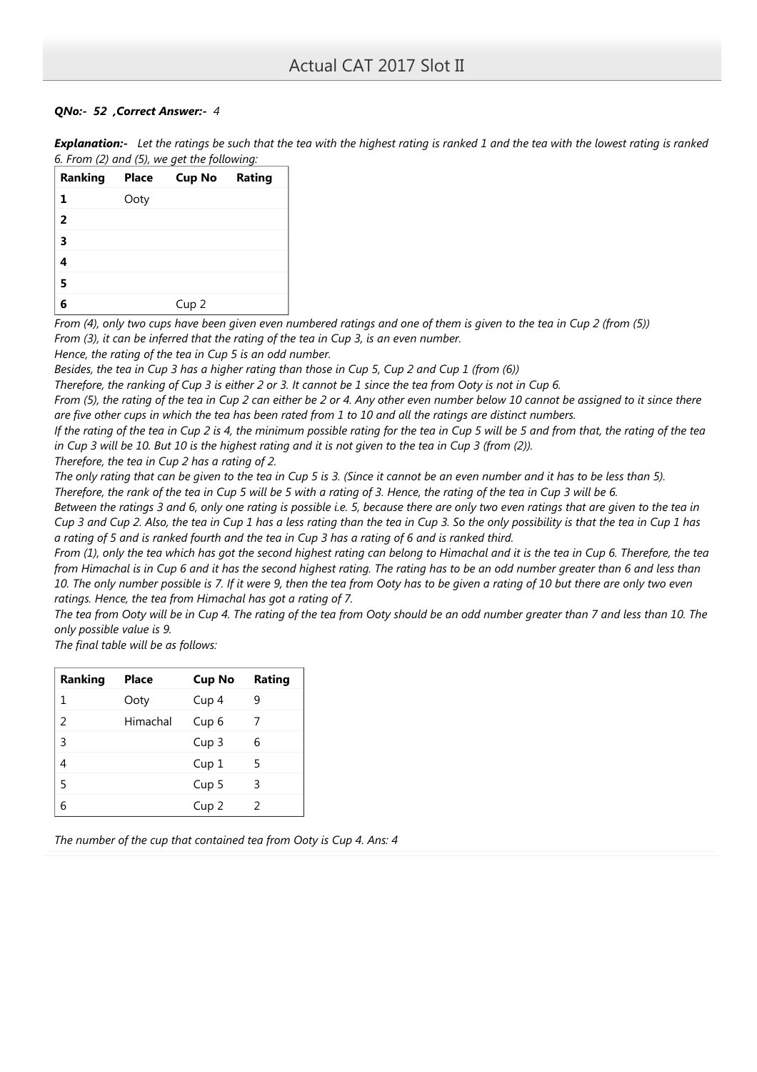# QNo:- 52 ,Correct Answer:- 4

| Explanation:- Let the ratings be such that the tea with the highest rating is ranked 1 and the tea with the lowest rating is ranked |
|-------------------------------------------------------------------------------------------------------------------------------------|
| 6. From (2) and (5), we get the following:                                                                                          |

| Ranking        | Place | <b>Cup No Rating</b> |  |
|----------------|-------|----------------------|--|
| 1              | Ooty  |                      |  |
| $\overline{2}$ |       |                      |  |
| 3              |       |                      |  |
|                |       |                      |  |
| 5              |       |                      |  |
|                |       | Cup <sub>2</sub>     |  |

From (4), only two cups have been given even numbered ratings and one of them is given to the tea in Cup 2 (from (5)) From (3), it can be inferred that the rating of the tea in Cup 3, is an even number.

Hence, the rating of the tea in Cup 5 is an odd number.

Besides, the tea in Cup 3 has a higher rating than those in Cup 5, Cup 2 and Cup 1 (from (6))

Therefore, the ranking of Cup 3 is either 2 or 3. It cannot be 1 since the tea from Ooty is not in Cup 6.

From (5), the rating of the tea in Cup 2 can either be 2 or 4. Any other even number below 10 cannot be assigned to it since there are five other cups in which the tea has been rated from 1 to 10 and all the ratings are distinct numbers.

If the rating of the tea in Cup 2 is 4, the minimum possible rating for the tea in Cup 5 will be 5 and from that, the rating of the tea in Cup 3 will be 10. But 10 is the highest rating and it is not given to the tea in Cup 3 (from (2)).

Therefore, the tea in Cup 2 has a rating of 2.

The only rating that can be given to the tea in Cup 5 is 3. (Since it cannot be an even number and it has to be less than 5). Therefore, the rank of the tea in Cup 5 will be 5 with a rating of 3. Hence, the rating of the tea in Cup 3 will be 6.

Between the ratings 3 and 6, only one rating is possible i.e. 5, because there are only two even ratings that are given to the tea in Cup 3 and Cup 2. Also, the tea in Cup 1 has a less rating than the tea in Cup 3. So the only possibility is that the tea in Cup 1 has a rating of 5 and is ranked fourth and the tea in Cup 3 has a rating of 6 and is ranked third.

From (1), only the tea which has got the second highest rating can belong to Himachal and it is the tea in Cup 6. Therefore, the tea from Himachal is in Cup 6 and it has the second highest rating. The rating has to be an odd number greater than 6 and less than 10. The only number possible is 7. If it were 9, then the tea from Ooty has to be given a rating of 10 but there are only two even ratings. Hence, the tea from Himachal has got a rating of 7.

The tea from Ooty will be in Cup 4. The rating of the tea from Ooty should be an odd number greater than 7 and less than 10. The only possible value is 9.

The final table will be as follows:

| <b>Ranking</b> | <b>Place</b> | <b>Cup No</b>    | Rating |
|----------------|--------------|------------------|--------|
| 1              | Ooty         | Cup 4            | 9      |
| $\mathfrak z$  | Himachal     | Cup <sub>6</sub> | 7      |
| 3              |              | Cup <sub>3</sub> | 6      |
| 4              |              | Cup <sub>1</sub> | 5      |
| 5              |              | Cup <sub>5</sub> | 3      |
| h              |              | Cup <sub>2</sub> | 2      |

The number of the cup that contained tea from Ooty is Cup 4. Ans: 4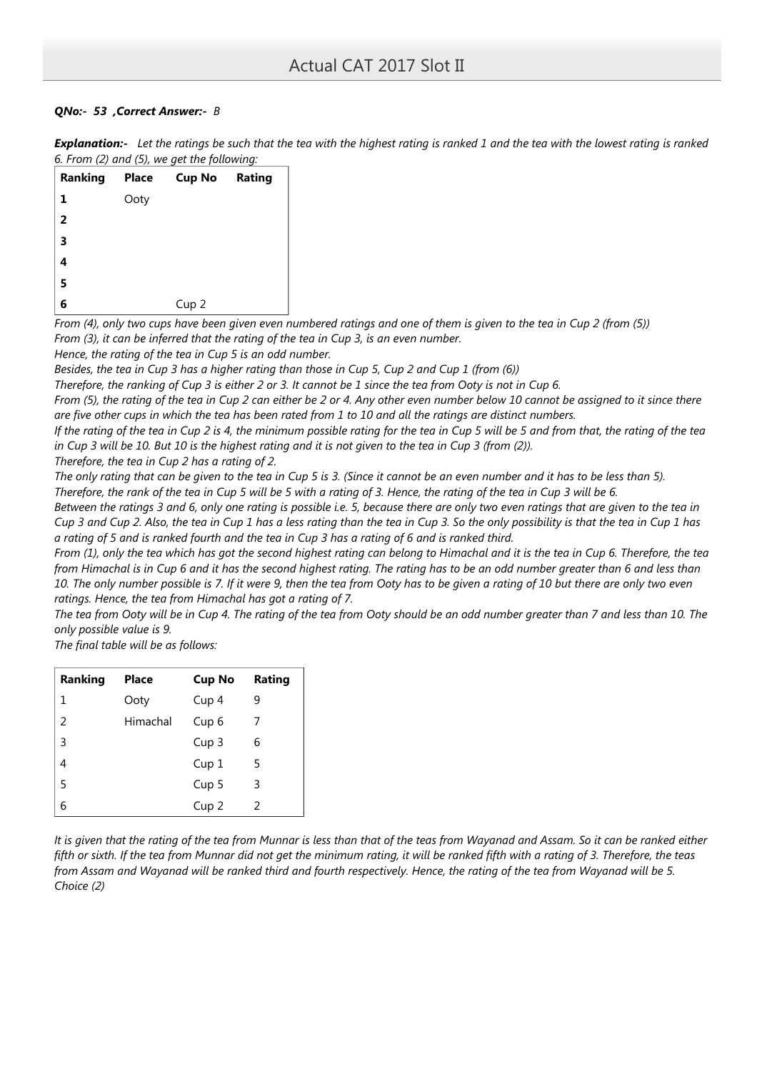# QNo:- 53 ,Correct Answer:- B

|                                            |  | <b>Explanation:-</b> Let the ratings be such that the tea with the highest rating is ranked 1 and the tea with the lowest rating is ranked |
|--------------------------------------------|--|--------------------------------------------------------------------------------------------------------------------------------------------|
| 6. From (2) and (5), we get the following: |  |                                                                                                                                            |

| Ranking        | Place | <b>Cup No Rating</b> |  |
|----------------|-------|----------------------|--|
| 1              | Ooty  |                      |  |
| $\overline{2}$ |       |                      |  |
| 3              |       |                      |  |
| 4              |       |                      |  |
| 5              |       |                      |  |
| 6              |       | Cup <sub>2</sub>     |  |

From (4), only two cups have been given even numbered ratings and one of them is given to the tea in Cup 2 (from (5)) From (3), it can be inferred that the rating of the tea in Cup 3, is an even number.

Hence, the rating of the tea in Cup 5 is an odd number.

Besides, the tea in Cup 3 has a higher rating than those in Cup 5, Cup 2 and Cup 1 (from (6))

Therefore, the ranking of Cup 3 is either 2 or 3. It cannot be 1 since the tea from Ooty is not in Cup 6.

From (5), the rating of the tea in Cup 2 can either be 2 or 4. Any other even number below 10 cannot be assigned to it since there are five other cups in which the tea has been rated from 1 to 10 and all the ratings are distinct numbers.

If the rating of the tea in Cup 2 is 4, the minimum possible rating for the tea in Cup 5 will be 5 and from that, the rating of the tea in Cup 3 will be 10. But 10 is the highest rating and it is not given to the tea in Cup 3 (from (2)).

Therefore, the tea in Cup 2 has a rating of 2.

The only rating that can be given to the tea in Cup 5 is 3. (Since it cannot be an even number and it has to be less than 5). Therefore, the rank of the tea in Cup 5 will be 5 with a rating of 3. Hence, the rating of the tea in Cup 3 will be 6.

Between the ratings 3 and 6, only one rating is possible i.e. 5, because there are only two even ratings that are given to the tea in Cup 3 and Cup 2. Also, the tea in Cup 1 has a less rating than the tea in Cup 3. So the only possibility is that the tea in Cup 1 has a rating of 5 and is ranked fourth and the tea in Cup 3 has a rating of 6 and is ranked third.

From (1), only the tea which has got the second highest rating can belong to Himachal and it is the tea in Cup 6. Therefore, the tea from Himachal is in Cup 6 and it has the second highest rating. The rating has to be an odd number greater than 6 and less than 10. The only number possible is 7. If it were 9, then the tea from Ooty has to be given a rating of 10 but there are only two even ratings. Hence, the tea from Himachal has got a rating of 7.

The tea from Ooty will be in Cup 4. The rating of the tea from Ooty should be an odd number greater than 7 and less than 10. The only possible value is 9.

The final table will be as follows:

| Ranking | <b>Place</b> | <b>Cup No</b>    | Rating |
|---------|--------------|------------------|--------|
| 1       | Ooty         | Cup <sub>4</sub> | 9      |
| 2       | Himachal     | Cup <sub>6</sub> | 7      |
| 3       |              | Cup <sub>3</sub> | 6      |
| 4       |              | Cup <sub>1</sub> | 5      |
| 5       |              | Cup <sub>5</sub> | 3      |
| 6       |              | Cup <sub>2</sub> | 2      |

It is given that the rating of the tea from Munnar is less than that of the teas from Wayanad and Assam. So it can be ranked either fifth or sixth. If the tea from Munnar did not get the minimum rating, it will be ranked fifth with a rating of 3. Therefore, the teas from Assam and Wayanad will be ranked third and fourth respectively. Hence, the rating of the tea from Wayanad will be 5. Choice (2)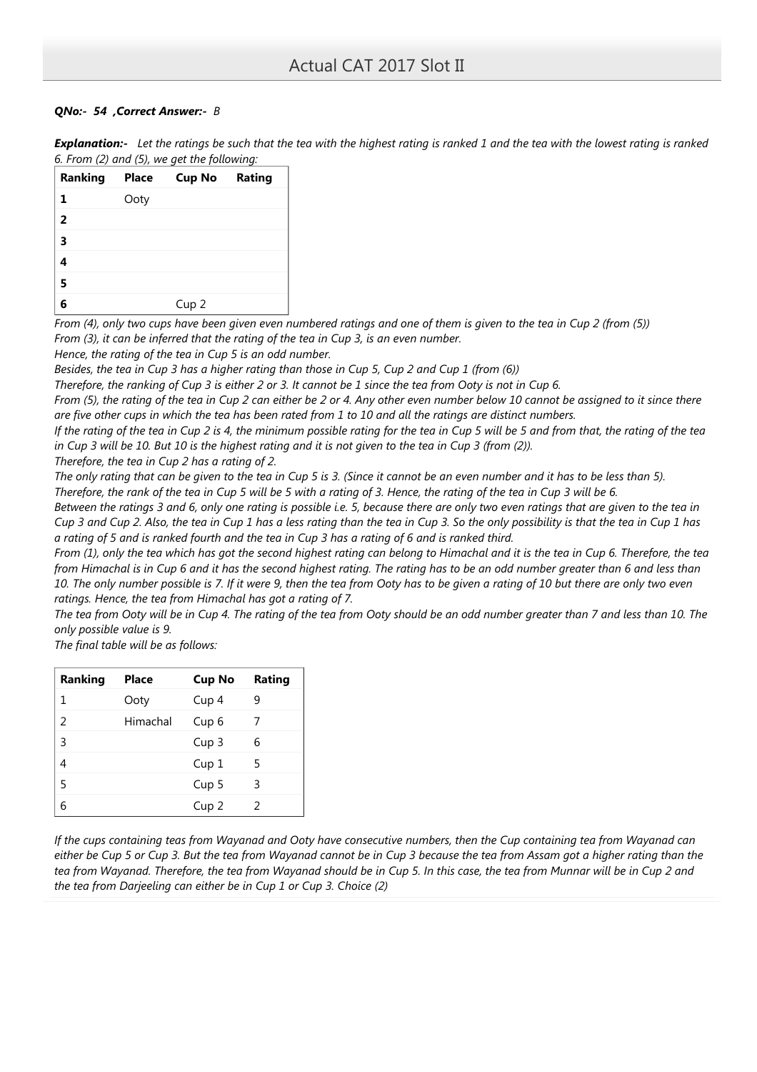# QNo:- 54 ,Correct Answer:- B

| Explanation:- Let the ratings be such that the tea with the highest rating is ranked 1 and the tea with the lowest rating is ranked |
|-------------------------------------------------------------------------------------------------------------------------------------|
| 6. From (2) and (5), we get the following:                                                                                          |

| Ranking        | Place | <b>Cup No Rating</b> |  |
|----------------|-------|----------------------|--|
| 1              | Ooty  |                      |  |
| $\overline{2}$ |       |                      |  |
| 3              |       |                      |  |
|                |       |                      |  |
| 5              |       |                      |  |
|                |       | Cup <sub>2</sub>     |  |

From (4), only two cups have been given even numbered ratings and one of them is given to the tea in Cup 2 (from (5)) From (3), it can be inferred that the rating of the tea in Cup 3, is an even number.

Hence, the rating of the tea in Cup 5 is an odd number.

Besides, the tea in Cup 3 has a higher rating than those in Cup 5, Cup 2 and Cup 1 (from (6))

Therefore, the ranking of Cup 3 is either 2 or 3. It cannot be 1 since the tea from Ooty is not in Cup 6.

From (5), the rating of the tea in Cup 2 can either be 2 or 4. Any other even number below 10 cannot be assigned to it since there are five other cups in which the tea has been rated from 1 to 10 and all the ratings are distinct numbers.

If the rating of the tea in Cup 2 is 4, the minimum possible rating for the tea in Cup 5 will be 5 and from that, the rating of the tea in Cup 3 will be 10. But 10 is the highest rating and it is not given to the tea in Cup 3 (from (2)).

Therefore, the tea in Cup 2 has a rating of 2.

The only rating that can be given to the tea in Cup 5 is 3. (Since it cannot be an even number and it has to be less than 5). Therefore, the rank of the tea in Cup 5 will be 5 with a rating of 3. Hence, the rating of the tea in Cup 3 will be 6.

Between the ratings 3 and 6, only one rating is possible i.e. 5, because there are only two even ratings that are given to the tea in Cup 3 and Cup 2. Also, the tea in Cup 1 has a less rating than the tea in Cup 3. So the only possibility is that the tea in Cup 1 has a rating of 5 and is ranked fourth and the tea in Cup 3 has a rating of 6 and is ranked third.

From (1), only the tea which has got the second highest rating can belong to Himachal and it is the tea in Cup 6. Therefore, the tea from Himachal is in Cup 6 and it has the second highest rating. The rating has to be an odd number greater than 6 and less than 10. The only number possible is 7. If it were 9, then the tea from Ooty has to be given a rating of 10 but there are only two even ratings. Hence, the tea from Himachal has got a rating of 7.

The tea from Ooty will be in Cup 4. The rating of the tea from Ooty should be an odd number greater than 7 and less than 10. The only possible value is 9.

The final table will be as follows:

| <b>Ranking</b> | <b>Place</b> | <b>Cup No</b>    | Rating |
|----------------|--------------|------------------|--------|
| 1              | Ooty         | Cup 4            | 9      |
| $\mathcal{P}$  | Himachal     | Cup <sub>6</sub> | 7      |
| 3              |              | Cup <sub>3</sub> | 6      |
| 4              |              | Cup <sub>1</sub> | 5      |
| 5              |              | Cup <sub>5</sub> | 3      |
| 6              |              | Cup <sub>2</sub> | 2      |

If the cups containing teas from Wayanad and Ooty have consecutive numbers, then the Cup containing tea from Wayanad can either be Cup 5 or Cup 3. But the tea from Wayanad cannot be in Cup 3 because the tea from Assam got a higher rating than the tea from Wayanad. Therefore, the tea from Wayanad should be in Cup 5. In this case, the tea from Munnar will be in Cup 2 and the tea from Darjeeling can either be in Cup 1 or Cup 3. Choice (2)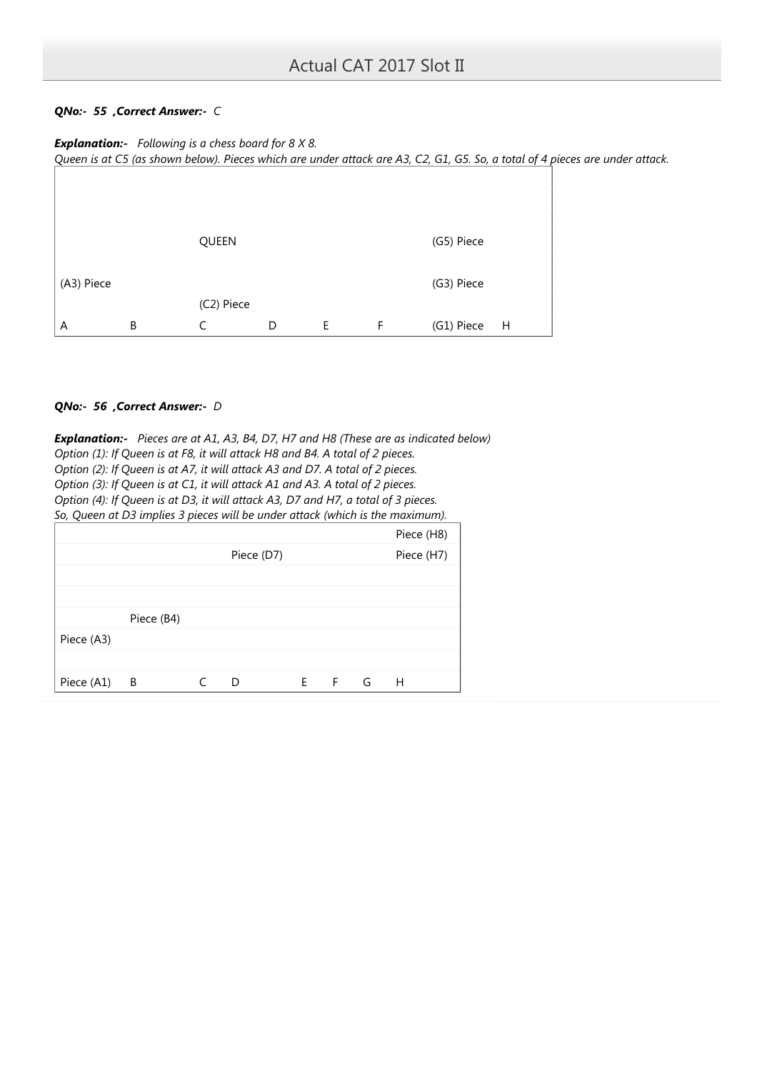# QNo:- 55 ,Correct Answer:- C

**Explanation:-** Following is a chess board for  $8 \times 8$ . Queen is at C5 (as shown below). Pieces which are under attack are A3, C2, G1, G5. So, a total of 4 pieces are under attack.



# QNo:- 56 ,Correct Answer:- D

**Explanation:-** Pieces are at A1, A3, B4, D7, H7 and H8 (These are as indicated below) Option (1): If Queen is at F8, it will attack H8 and B4. A total of 2 pieces. Option (2): If Queen is at A7, it will attack A3 and D7. A total of 2 pieces. Option (3): If Queen is at C1, it will attack A1 and A3. A total of 2 pieces. Option (4): If Queen is at D3, it will attack A3, D7 and H7, a total of 3 pieces. So, Queen at D3 implies 3 pieces will be under attack (which is the maximum).  $Diac_9$  ( $H8$ )

|            |                |            |             |   | <b>FIELE</b> (FIO) |  |
|------------|----------------|------------|-------------|---|--------------------|--|
|            |                | Piece (D7) |             |   | Piece (H7)         |  |
|            |                |            |             |   |                    |  |
|            |                |            |             |   |                    |  |
|            | Piece (B4)     |            |             |   |                    |  |
| Piece (A3) |                |            |             |   |                    |  |
|            |                |            |             |   |                    |  |
| Piece (A1) | $\overline{B}$ | D          | $E \cdot F$ | G | H                  |  |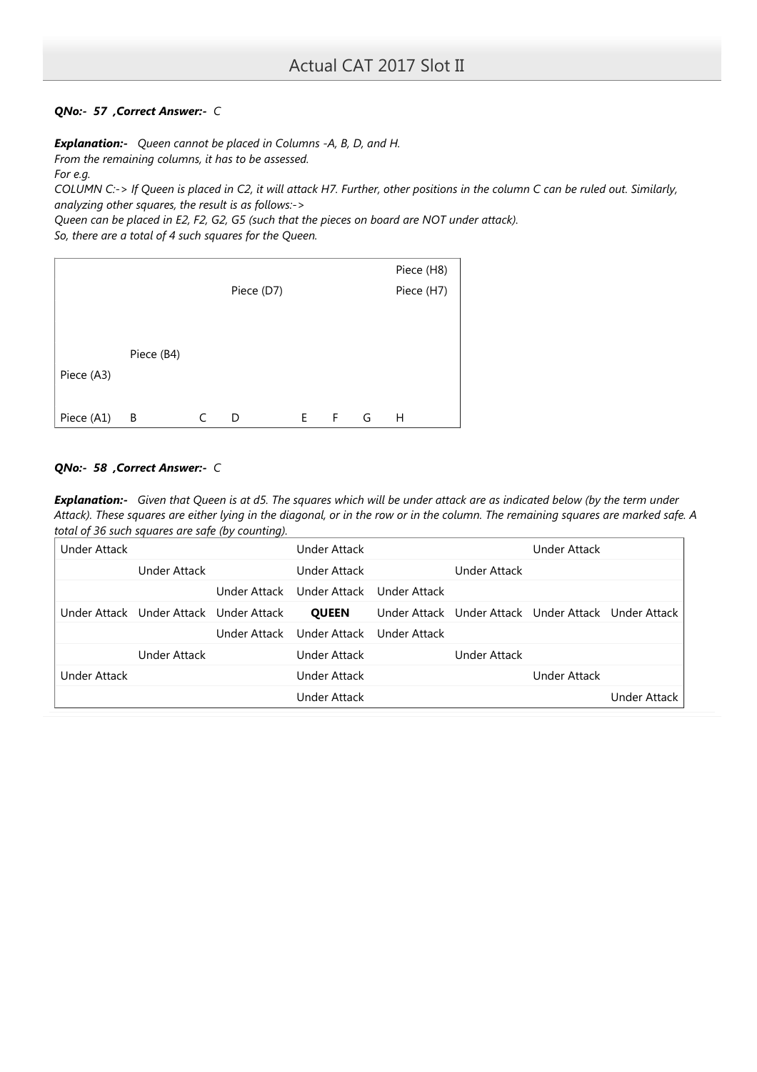# QNo:- 57 ,Correct Answer:- C

**Explanation:-** Queen cannot be placed in Columns -A, B, D, and H.

From the remaining columns, it has to be assessed.

For e.g.

COLUMN C:-> If Queen is placed in C2, it will attack H7. Further, other positions in the column C can be ruled out. Similarly, analyzing other squares, the result is as follows:->

Queen can be placed in E2, F2, G2, G5 (such that the pieces on board are NOT under attack). So, there are a total of 4 such squares for the Queen.

|            |            |            |    |    |   | Piece (H8) |
|------------|------------|------------|----|----|---|------------|
|            |            | Piece (D7) |    |    |   | Piece (H7) |
|            |            |            |    |    |   |            |
|            |            |            |    |    |   |            |
|            | Piece (B4) |            |    |    |   |            |
| Piece (A3) |            |            |    |    |   |            |
|            |            |            |    |    |   |            |
| Piece (A1) | В          | D          | E. | F. | G | H          |

# QNo:- 58 ,Correct Answer:- C

Explanation:- Given that Queen is at d5. The squares which will be under attack are as indicated below (by the term under Attack). These squares are either lying in the diagonal, or in the row or in the column. The remaining squares are marked safe. A total of 36 such squares are safe (by counting).

| Under Attack |                                        | Under Attack              |              |              | <b>Under Attack</b>                                 |                     |
|--------------|----------------------------------------|---------------------------|--------------|--------------|-----------------------------------------------------|---------------------|
|              | Under Attack                           | <b>Under Attack</b>       |              | Under Attack |                                                     |                     |
|              |                                        | Under Attack Under Attack | Under Attack |              |                                                     |                     |
|              | Under Attack Under Attack Under Attack | <b>QUEEN</b>              |              |              | Under Attack Under Attack Under Attack Under Attack |                     |
|              |                                        | Under Attack Under Attack | Under Attack |              |                                                     |                     |
|              | Under Attack                           | Under Attack              |              | Under Attack |                                                     |                     |
| Under Attack |                                        | Under Attack              |              |              | <b>Under Attack</b>                                 |                     |
|              |                                        | Under Attack              |              |              |                                                     | <b>Under Attack</b> |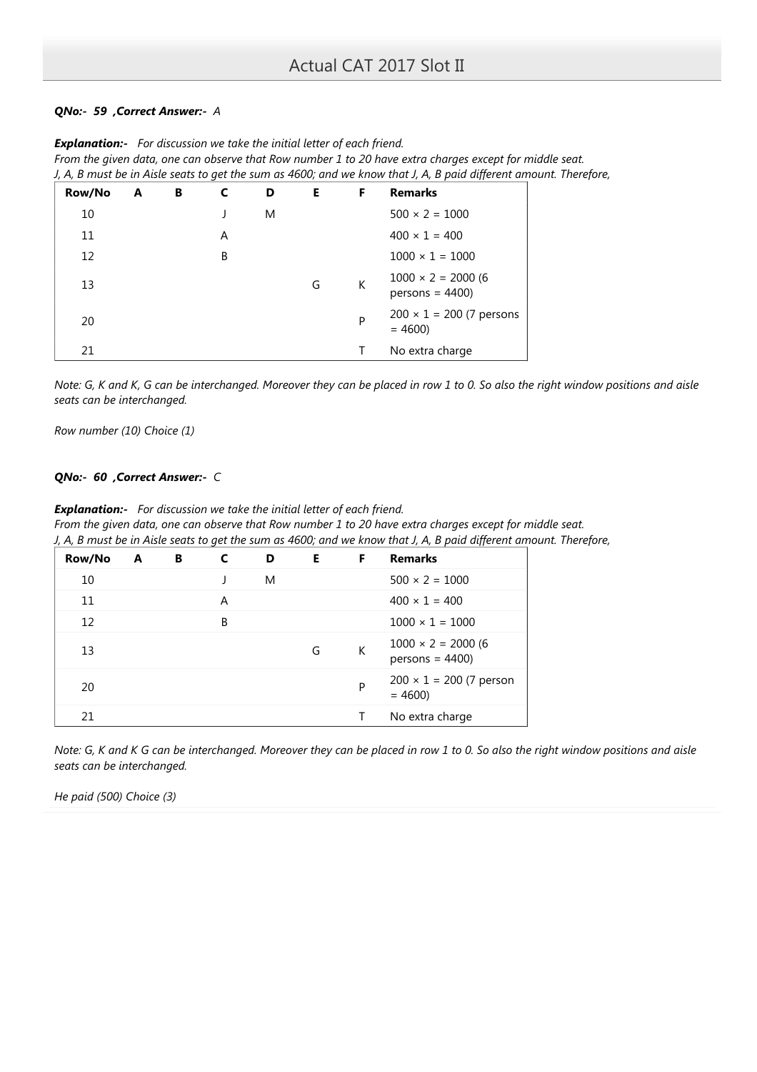# QNo:- 59 ,Correct Answer:- A

|        |   |   |   |   |    |    | J, A, B must be in Aisle seats to get the sum as 4600; and we know that J, A, B paid different amount. Therefo |  |
|--------|---|---|---|---|----|----|----------------------------------------------------------------------------------------------------------------|--|
| Row/No | A | B | C | D | E. | F. | <b>Remarks</b>                                                                                                 |  |
| 10     |   |   |   | M |    |    | $500 \times 2 = 1000$                                                                                          |  |
| 11     |   |   | A |   |    |    | $400 \times 1 = 400$                                                                                           |  |
| 12     |   |   | B |   |    |    | $1000 \times 1 = 1000$                                                                                         |  |
| 13     |   |   |   |   | G  | K  | $1000 \times 2 = 2000 (6)$<br>$persons = 4400$                                                                 |  |
| 20     |   |   |   |   |    | P  | $200 \times 1 = 200$ (7 persons<br>$= 4600$                                                                    |  |
| 21     |   |   |   |   |    |    | No extra charge                                                                                                |  |

**Explanation:-** For discussion we take the initial letter of each friend. From the given data, one can observe that Row number 1 to 20 have extra charges except for middle seat. J, A, B must be in Aisle seats to get the sum as 4600; and we know that J, A, B paid different amount. Therefore,

Note: G, K and K, G can be interchanged. Moreover they can be placed in row 1 to 0. So also the right window positions and aisle seats can be interchanged.

Row number (10) Choice (1)

# QNo:- 60 ,Correct Answer:- C

**Explanation:-** For discussion we take the initial letter of each friend. From the given data, one can observe that Row number 1 to 20 have extra charges except for middle seat. J, A, B must be in Aisle seats to get the sum as 4600; and we know that J, A, B paid different amount. Therefore,

| Row/No | A | В | C | D | E. | F. | <b>Remarks</b>                                 |
|--------|---|---|---|---|----|----|------------------------------------------------|
| 10     |   |   |   | M |    |    | $500 \times 2 = 1000$                          |
| 11     |   |   | A |   |    |    | $400 \times 1 = 400$                           |
| 12     |   |   | B |   |    |    | $1000 \times 1 = 1000$                         |
| 13     |   |   |   |   | G  | К  | $1000 \times 2 = 2000 (6)$<br>$persons = 4400$ |
| 20     |   |   |   |   |    | P  | $200 \times 1 = 200$ (7 person<br>$= 4600$     |
| 21     |   |   |   |   |    |    | No extra charge                                |

Note: G, K and K G can be interchanged. Moreover they can be placed in row 1 to 0. So also the right window positions and aisle seats can be interchanged.

He paid (500) Choice (3)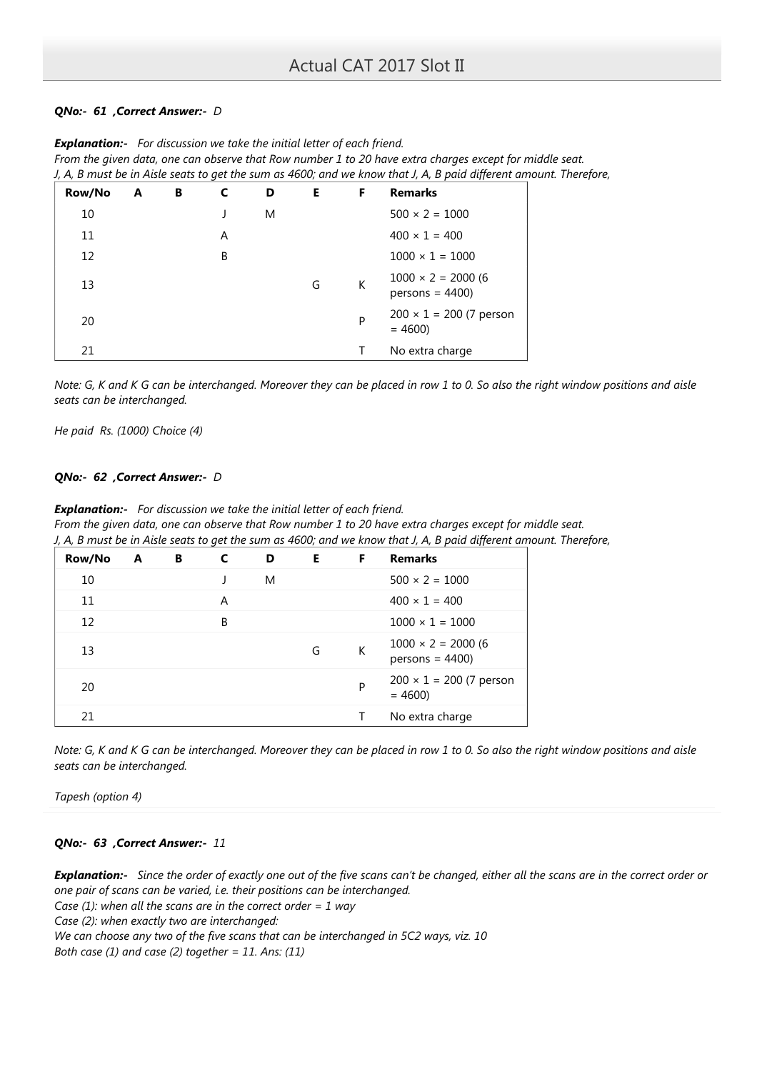# QNo:- 61 ,Correct Answer:- D

|        |   |   |   |   |    |   | J, A, B must be in Aisle seats to get the sum as 4600; and we know that J, A, B paid different amount. Therefo |  |
|--------|---|---|---|---|----|---|----------------------------------------------------------------------------------------------------------------|--|
| Row/No | A | В |   | D | E. | F | <b>Remarks</b>                                                                                                 |  |
| 10     |   |   |   | M |    |   | $500 \times 2 = 1000$                                                                                          |  |
| 11     |   |   | A |   |    |   | $400 \times 1 = 400$                                                                                           |  |
| 12     |   |   | В |   |    |   | $1000 \times 1 = 1000$                                                                                         |  |
| 13     |   |   |   |   | G  | K | $1000 \times 2 = 2000$ (6<br>$persons = 4400$                                                                  |  |
| 20     |   |   |   |   |    | P | $200 \times 1 = 200$ (7 person<br>$= 4600$                                                                     |  |
| 21     |   |   |   |   |    |   | No extra charge                                                                                                |  |

**Explanation:-** For discussion we take the initial letter of each friend. From the given data, one can observe that Row number 1 to 20 have extra charges except for middle seat. J, A, B must be in Aisle seats to get the sum as 4600; and we know that J, A, B paid different amount. Therefore,

Note: G, K and K G can be interchanged. Moreover they can be placed in row 1 to 0. So also the right window positions and aisle seats can be interchanged.

He paid Rs. (1000) Choice (4)

# QNo:- 62 , Correct Answer:- D

**Explanation:-** For discussion we take the initial letter of each friend. From the given data, one can observe that Row number 1 to 20 have extra charges except for middle seat. J, A, B must be in Aisle seats to get the sum as 4600; and we know that J, A, B paid different amount. Therefore,

| Row/No | A | В | C | D | E. | F | <b>Remarks</b>                                |
|--------|---|---|---|---|----|---|-----------------------------------------------|
| 10     |   |   |   | M |    |   | $500 \times 2 = 1000$                         |
| 11     |   |   | A |   |    |   | $400 \times 1 = 400$                          |
| 12     |   |   | B |   |    |   | $1000 \times 1 = 1000$                        |
| 13     |   |   |   |   | G  | К | $1000 \times 2 = 2000(6)$<br>$persons = 4400$ |
| 20     |   |   |   |   |    | P | $200 \times 1 = 200$ (7 person<br>$= 4600$    |
| 21     |   |   |   |   |    | Т | No extra charge                               |

Note: G, K and K G can be interchanged. Moreover they can be placed in row 1 to 0. So also the right window positions and aisle seats can be interchanged.

Tapesh (option 4)

# QNo:- 63 ,Correct Answer:- 11

Explanation:- Since the order of exactly one out of the five scans can't be changed, either all the scans are in the correct order or one pair of scans can be varied, i.e. their positions can be interchanged. Case (1): when all the scans are in the correct order = 1 way Case (2): when exactly two are interchanged: We can choose any two of the five scans that can be interchanged in 5C2 ways, viz. 10 Both case (1) and case (2) together =  $11$ . Ans: (11)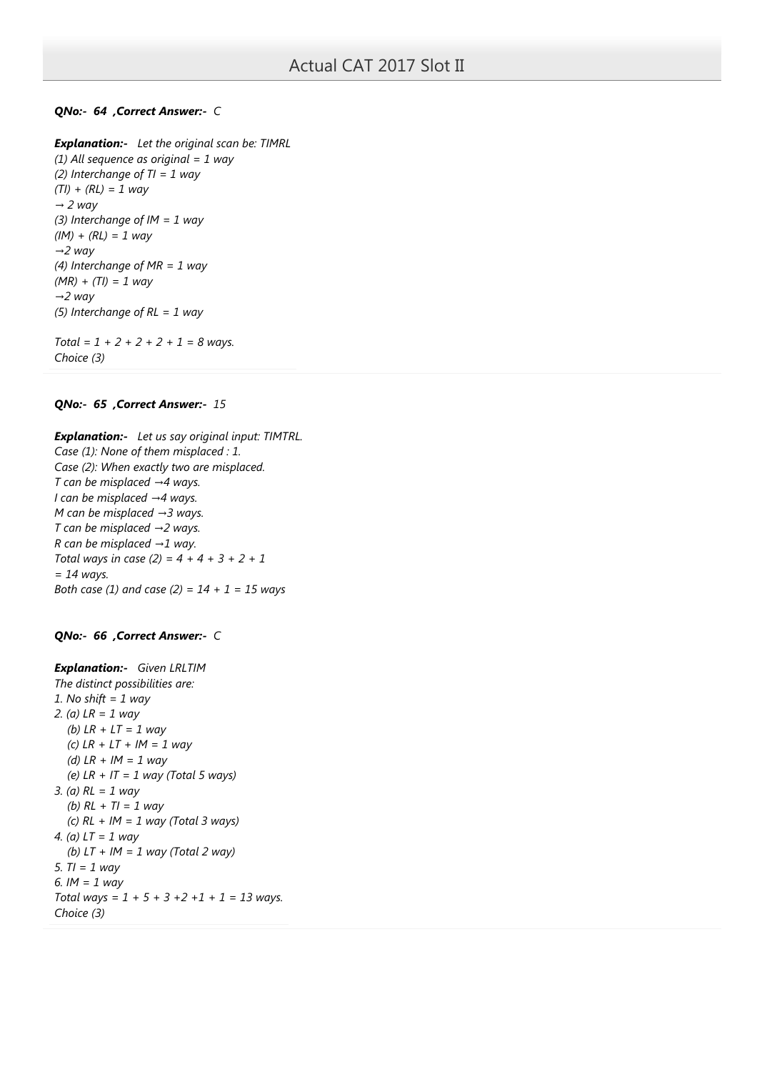# QNo:- 64 ,Correct Answer:- C

**Explanation:-** Let the original scan be: TIMRL (1) All sequence as original  $= 1$  way (2) Interchange of  $TI = 1$  way  $(TI) + (RL) = 1$  way  $\rightarrow$  2 way (3) Interchange of  $IM = 1$  way  $(IM) + (RL) = 1$  way  $\rightarrow$ 2 way (4) Interchange of  $MR = 1$  way  $(MR) + (TI) = 1$  way  $\rightarrow$ 2 way (5) Interchange of  $RL = 1$  way

Total =  $1 + 2 + 2 + 2 + 1 = 8$  ways. Choice (3)

## QNo:- 65 ,Correct Answer:- 15

**Explanation:-** Let us say original input: TIMTRL. Case (1): None of them misplaced : 1. Case (2): When exactly two are misplaced. T can be misplaced  $\rightarrow$  4 ways. I can be misplaced →4 ways. M can be misplaced  $\rightarrow$ 3 ways. T can be misplaced  $\rightarrow$  2 ways. R can be misplaced  $\rightarrow$  1 way. Total ways in case (2) =  $4 + 4 + 3 + 2 + 1$  $= 14$  ways. Both case (1) and case (2) =  $14 + 1 = 15$  ways

# QNo:- 66 ,Correct Answer:- C

```
Explanation:- Given LRLTIM
The distinct possibilities are:
1. No shift = 1 way
2. (a) LR = 1 way
  (b) LR + LT = 1 way
  (c) LR + LT + IM = 1 way
  (d) LR + IM = 1 way
  (e) LR + IT = 1 way (Total 5 ways)
3. (a) RL = 1 way
  (b) RL + TI = 1 way
  (c) RL + IM = 1 way (Total 3 ways)
4. (a) LT = 1 way
  (b) LT + IM = 1 way (Total 2 way)
5. TI = 1 way
6. IM = 1 way
Total ways = 1 + 5 + 3 + 2 + 1 + 1 = 13 ways.
Choice (3)
```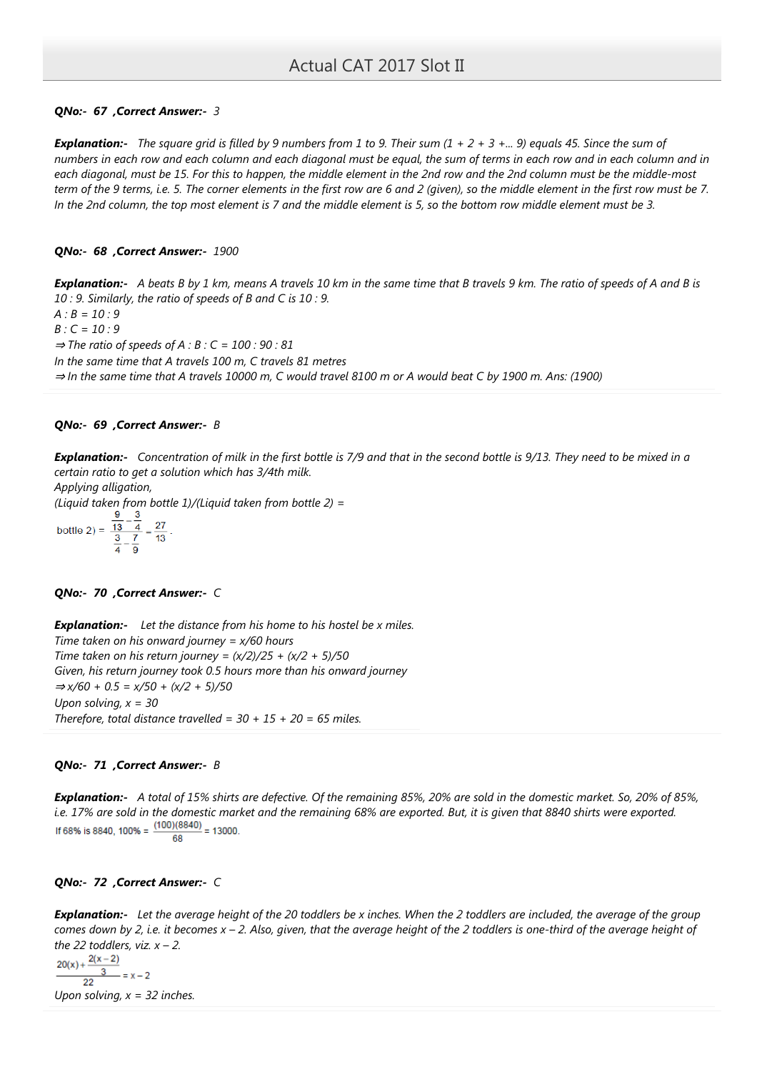# QNo:- 67 ,Correct Answer:- 3

**Explanation:-** The square grid is filled by 9 numbers from 1 to 9. Their sum  $(1 + 2 + 3 + ... 9)$  equals 45. Since the sum of numbers in each row and each column and each diagonal must be equal, the sum of terms in each row and in each column and in each diagonal, must be 15. For this to happen, the middle element in the 2nd row and the 2nd column must be the middle-most term of the 9 terms, i.e. 5. The corner elements in the first row are 6 and 2 (given), so the middle element in the first row must be 7. In the 2nd column, the top most element is 7 and the middle element is 5, so the bottom row middle element must be 3.

### QNo:- 68 ,Correct Answer:- 1900

Explanation:- A beats B by 1 km, means A travels 10 km in the same time that B travels 9 km. The ratio of speeds of A and B is 10 : 9. Similarly, the ratio of speeds of B and C is 10 : 9.

 $A : B = 10 : 9$ 

 $B: C = 10:9$ 

 $\Rightarrow$  The ratio of speeds of A : B : C = 100 : 90 : 81

In the same time that A travels 100 m, C travels 81 metres

⇒ In the same time that A travels 10000 m, C would travel 8100 m or A would beat C by 1900 m. Ans: (1900)

### QNo:- 69 ,Correct Answer:- B

**Explanation:-** Concentration of milk in the first bottle is 7/9 and that in the second bottle is 9/13. They need to be mixed in a certain ratio to get a solution which has 3/4th milk.

Applying alligation,

(Liquid taken from bottle 1)/(Liquid taken from bottle 2) =

bottle 2) = 
$$
\frac{\frac{9}{13} - \frac{3}{4}}{\frac{3}{4} - \frac{7}{9}} = \frac{27}{13}.
$$

### QNo:- 70 ,Correct Answer:- C

**Explanation:-** Let the distance from his home to his hostel be  $x$  miles. Time taken on his onward journey =  $x/60$  hours Time taken on his return journey =  $(x/2)/25 + (x/2 + 5)/50$ Given, his return journey took 0.5 hours more than his onward journey  $\Rightarrow$  x/60 + 0.5 = x/50 + (x/2 + 5)/50 Upon solving,  $x = 30$ Therefore, total distance travelled =  $30 + 15 + 20 = 65$  miles.

### QNo:- 71 ,Correct Answer:- B

Explanation:- A total of 15% shirts are defective. Of the remaining 85%, 20% are sold in the domestic market. So, 20% of 85%, i.e. 17% are sold in the domestic market and the remaining 68% are exported. But, it is given that 8840 shirts were exported.<br>If 68% is 8840, 100% =  $\frac{(100)(8840)}{2}$  = 13000. 68

## QNo:- 72 ,Correct Answer:- C

**Explanation:-** Let the average height of the 20 toddlers be x inches. When the 2 toddlers are included, the average of the group comes down by 2, i.e. it becomes  $x - 2$ . Also, given, that the average height of the 2 toddlers is one-third of the average height of the 22 toddlers, viz.  $x - 2$ .

$$
\frac{20(x) + \frac{2(x-2)}{3}}{22} = x-2
$$
  
Upon solving,  $x = 32$  inches.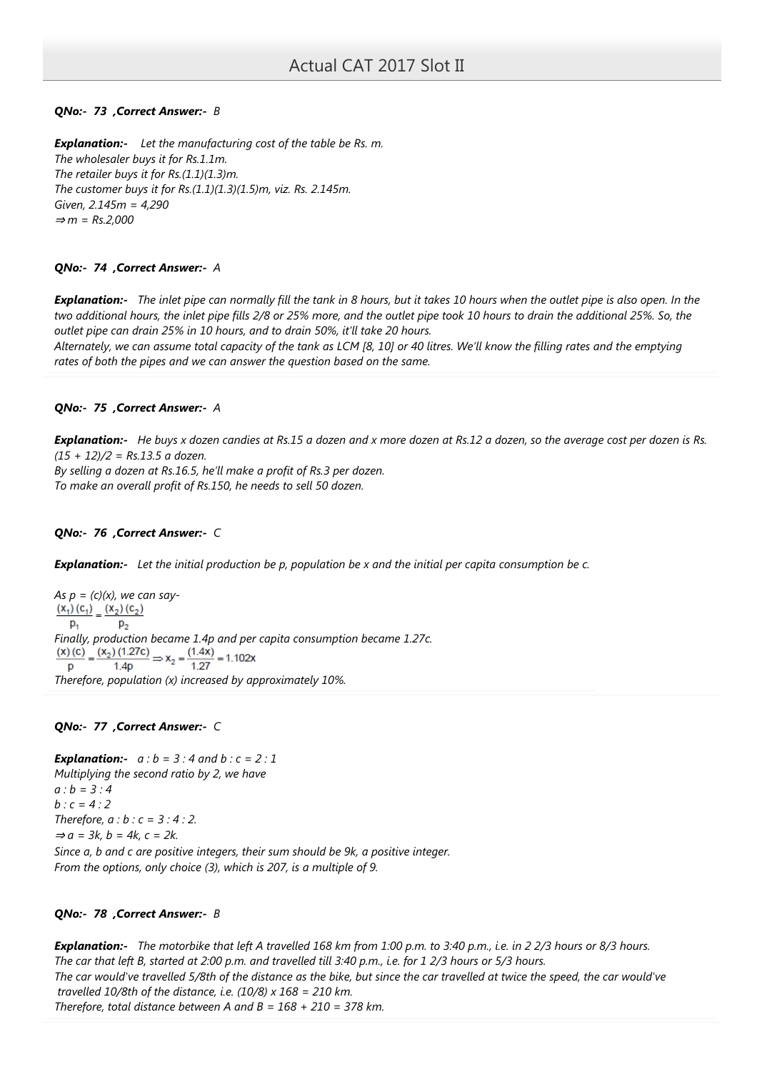# QNo:- 73 ,Correct Answer:- B

**Explanation:-** Let the manufacturing cost of the table be Rs. m. The wholesaler buys it for Rs.1.1m. The retailer buys it for  $Rs.(1.1)(1.3)m$ . The customer buys it for Rs.(1.1)(1.3)(1.5)m, viz. Rs. 2.145m. Given, 2.145m = 4,290  $\Rightarrow$  m = Rs.2,000

# QNo:- 74 , Correct Answer:- A

**Explanation:-** The inlet pipe can normally fill the tank in 8 hours, but it takes 10 hours when the outlet pipe is also open. In the two additional hours, the inlet pipe fills 2/8 or 25% more, and the outlet pipe took 10 hours to drain the additional 25%. So, the outlet pipe can drain 25% in 10 hours, and to drain 50%, it'll take 20 hours.

Alternately, we can assume total capacity of the tank as LCM [8, 10] or 40 litres. We'll know the filling rates and the emptying rates of both the pipes and we can answer the question based on the same.

## QNo:- 75 ,Correct Answer:- A

Explanation:- He buys x dozen candies at Rs.15 a dozen and x more dozen at Rs.12 a dozen, so the average cost per dozen is Rs.  $(15 + 12)/2 =$  Rs.13.5 a dozen.

By selling a dozen at Rs.16.5, he'll make a profit of Rs.3 per dozen. To make an overall profit of Rs.150, he needs to sell 50 dozen.

# QNo:- 76 ,Correct Answer:- C

**Explanation:-** Let the initial production be p, population be x and the initial per capita consumption be c.

As  $p = (c)(x)$ , we can say- $\frac{(x_1)(c_1)}{(c_1)} = \frac{(x_2)(c_2)}{(c_2)}$  $p_{1}$  $p_{2}$ Finally, production became 1.4p and per capita consumption became 1.27c.<br>  $\frac{(x)(c)}{p} = \frac{(x_2)(1.27c)}{1.4p} \Rightarrow x_2 = \frac{(1.4x)}{1.27} = 1.102x$  $1.4<sub>p</sub>$ p Therefore, population (x) increased by approximately 10%.

## QNo:- 77 ,Correct Answer:- C

**Explanation:-**  $a : b = 3 : 4$  and  $b : c = 2 : 1$ Multiplying the second ratio by 2, we have  $a : b = 3 : 4$  $b : c = 4 : 2$ Therefore,  $a:b:c=3:4:2$ .  $\Rightarrow a = 3k$ ,  $b = 4k$ ,  $c = 2k$ . Since a, b and c are positive integers, their sum should be 9k, a positive integer. From the options, only choice (3), which is 207, is a multiple of 9.

## QNo:- 78 ,Correct Answer:- B

Explanation:- The motorbike that left A travelled 168 km from 1:00 p.m. to 3:40 p.m., i.e. in 2 2/3 hours or 8/3 hours. The car that left B, started at 2:00 p.m. and travelled till 3:40 p.m., i.e. for 1 2/3 hours or 5/3 hours. The car would've travelled 5/8th of the distance as the bike, but since the car travelled at twice the speed, the car would've travelled 10/8th of the distance, i.e.  $(10/8) \times 168 = 210$  km. Therefore, total distance between A and  $B = 168 + 210 = 378$  km.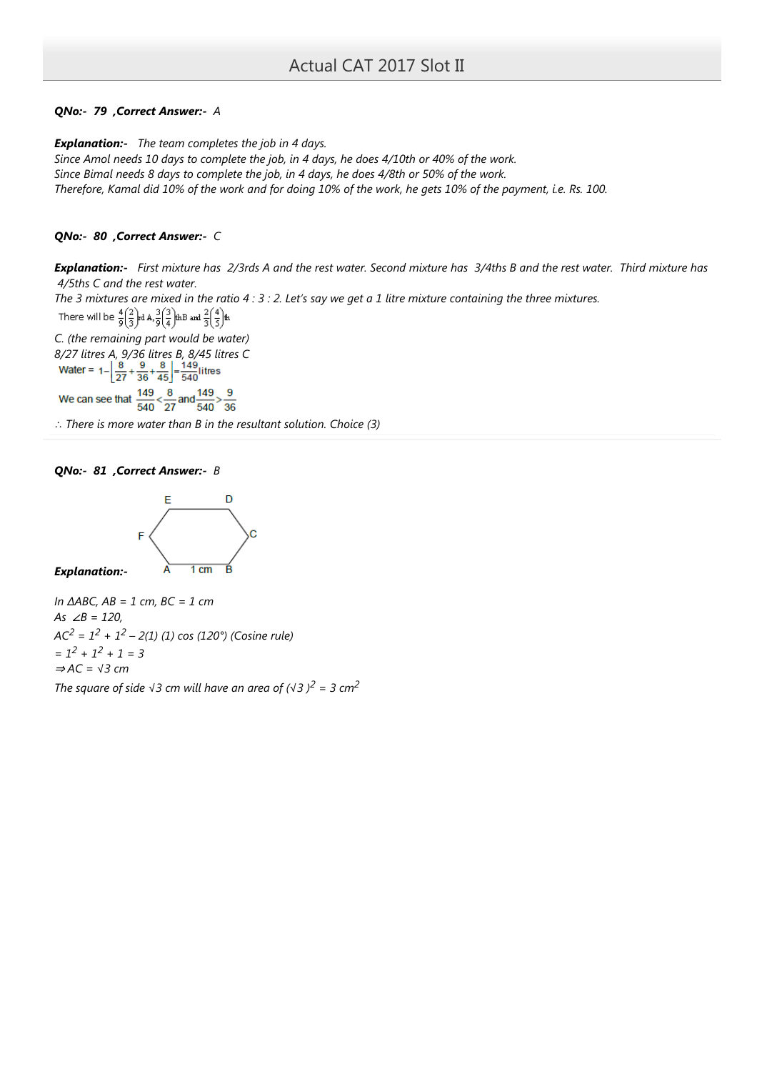# QNo:- 79 ,Correct Answer:- A

**Explanation:-** The team completes the job in 4 days.

Since Amol needs 10 days to complete the job, in 4 days, he does 4/10th or 40% of the work. Since Bimal needs 8 days to complete the job, in 4 days, he does 4/8th or 50% of the work. Therefore, Kamal did 10% of the work and for doing 10% of the work, he gets 10% of the payment, i.e. Rs. 100.

# QNo:- 80 ,Correct Answer:- C

Explanation:- First mixture has 2/3rds A and the rest water. Second mixture has 3/4ths B and the rest water. Third mixture has 4/5ths C and the rest water.

The 3 mixtures are mixed in the ratio  $4:3:2.$  Let's say we get a 1 litre mixture containing the three mixtures. There will be  $\frac{4}{9} \left(\frac{2}{3}\right)$ rd A,  $\frac{3}{9} \left(\frac{3}{4}\right)$ thB and  $\frac{2}{3} \left(\frac{4}{5}\right)$ th

C. (the remaining part would be water) 8/27 litres A, 9/36 litres B, 8/45 litres C<br>Water =  $1 - \left[\frac{8}{27} + \frac{9}{36} + \frac{8}{45}\right] = \frac{149}{540}$ litres

We can see that  $\frac{149}{540} < \frac{8}{27}$  and  $\frac{149}{540} > \frac{9}{36}$ 

∴ There is more water than B in the resultant solution. Choice (3)

QNo:- 81 , Correct Answer:- B



Explanation:-

In  $\triangle ABC$ , AB = 1 cm, BC = 1 cm As  $\angle B = 120$ ,  $AC<sup>2</sup> = 1<sup>2</sup> + 1<sup>2</sup> - 2(1)$  (1) cos (120°) (Cosine rule)  $= 1^2 + 1^2 + 1 = 3$  $\Rightarrow$  AC =  $\sqrt{3}$  cm The square of side  $\sqrt{3}$  cm will have an area of  $(\sqrt{3})^2 = 3$  cm<sup>2</sup>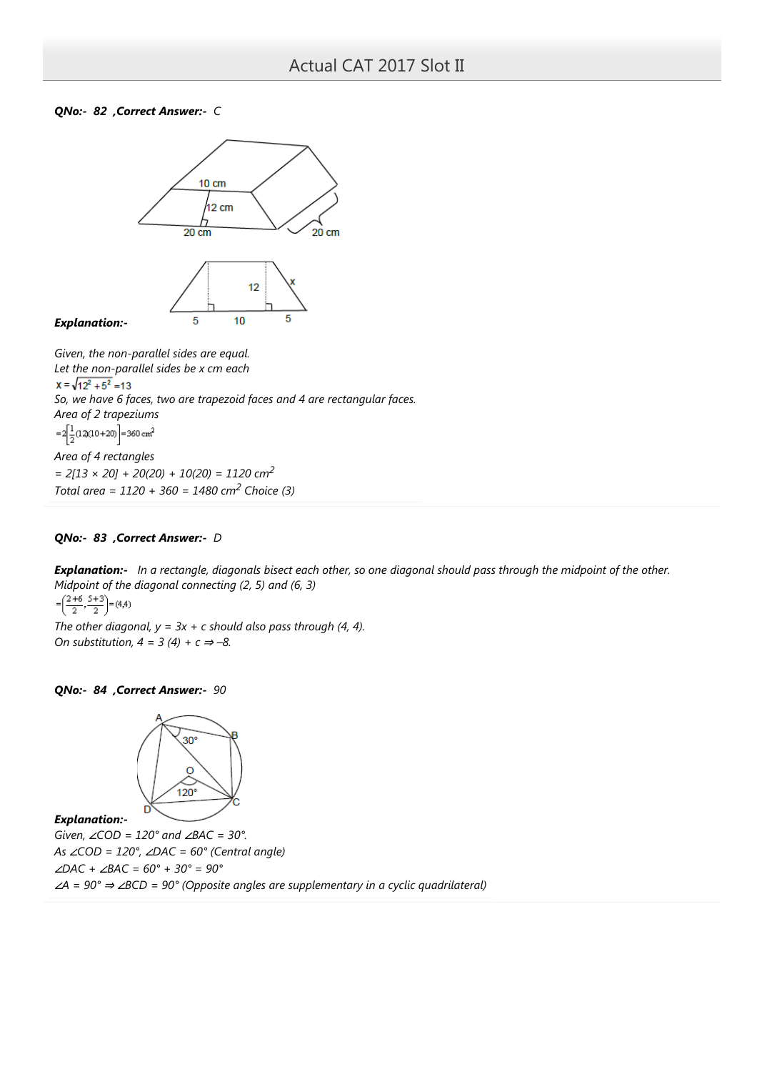### QNo:- 82 , Correct Answer:- C



Given, the non-parallel sides are equal. Let the non-parallel sides be x cm each  $x = \sqrt{12^2 + 5^2} = 13$ So, we have 6 faces, two are trapezoid faces and 4 are rectangular faces. Area of 2 trapeziums  $=2\left[\frac{1}{2}(12)(10+20)\right]=360$  cm<sup>2</sup> Area of 4 rectangles  $= 2[13 \times 20] + 20(20) + 10(20) = 1120$  cm<sup>2</sup> Total area =  $1120 + 360 = 1480$  cm<sup>2</sup> Choice (3)

# QNo:- 83 ,Correct Answer:- D

Explanation:- In a rectangle, diagonals bisect each other, so one diagonal should pass through the midpoint of the other. Midpoint of the diagonal connecting (2, 5) and (6, 3)

$$
=\left(\frac{2+6}{2},\frac{5+3}{2}\right)=(4,4)
$$

The other diagonal,  $y = 3x + c$  should also pass through (4, 4). On substitution,  $4 = 3(4) + c \Rightarrow -8$ .

### QNo:- 84 ,Correct Answer:- 90



### Explanation:-

Given,  $∠COD = 120°$  and  $∠BAC = 30°$ . As ∠COD = 120°, ∠DAC = 60° (Central angle) ∠DAC + ∠BAC = 60° + 30° = 90° ∠A = 90° ⇒ ∠BCD = 90° (Opposite angles are supplementary in a cyclic quadrilateral)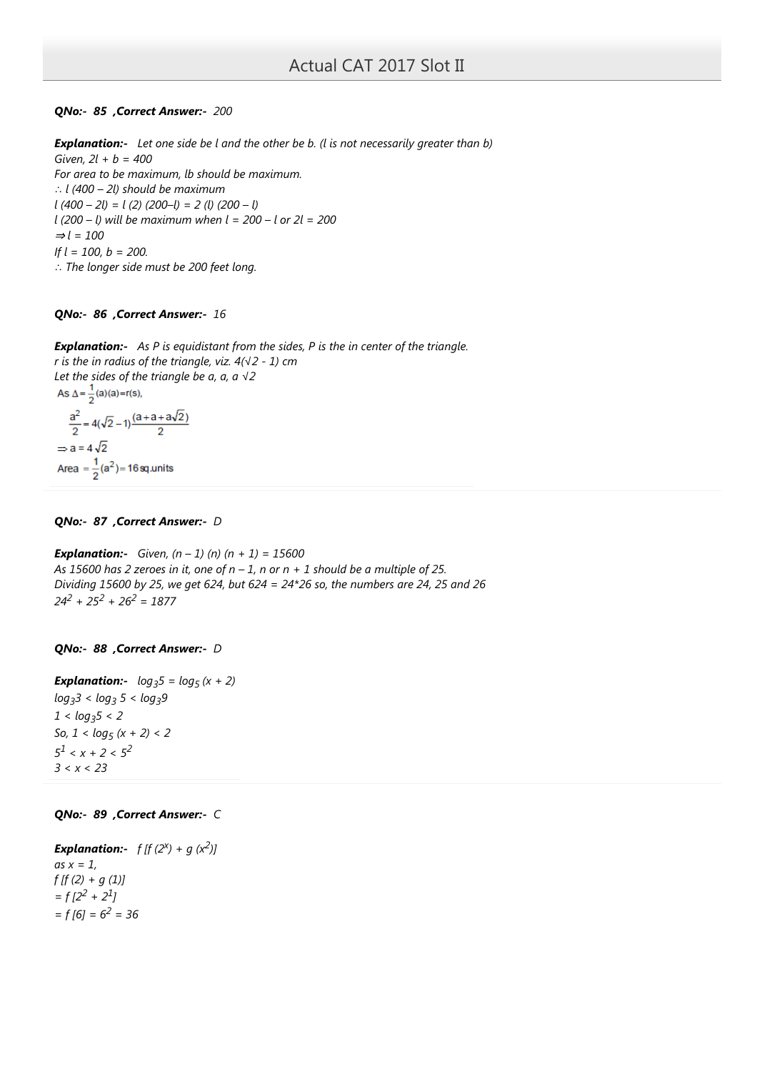## QNo:- 85 ,Correct Answer:- 200

**Explanation:-** Let one side be l and the other be b. (I is not necessarily greater than b) Given,  $2l + b = 400$ For area to be maximum, lb should be maximum. ∴ l (400 – 2l) should be maximum  $l (400 - 2l) = l (2) (200 - l) = 2 (l) (200 - l)$  $l$  (200 – l) will be maximum when  $l = 200 - l$  or  $2l = 200$  $\Rightarrow$  l = 100 If  $l = 100$ ,  $b = 200$ . ∴ The longer side must be 200 feet long.

# QNo:- 86 ,Correct Answer:- 16

**Explanation:-** As P is equidistant from the sides, P is the in center of the triangle. r is the in radius of the triangle, viz. 4(√2 - 1) cm Let the sides of the triangle be a,  $a$ ,  $a \sqrt{2}$ As  $\Delta = \frac{1}{2}(a)(a) = r(s)$ ,  $\frac{a^2}{2} = 4(\sqrt{2}-1)\frac{(a+a+a\sqrt{2})}{2}$  $\Rightarrow$  a = 4 $\sqrt{2}$ 

Area =  $\frac{1}{2}$ (a<sup>2</sup>) = 16 sq.units

## QNo:- 87 , Correct Answer:- D

**Explanation:-** Given,  $(n - 1)$   $(n)$   $(n + 1) = 15600$ As 15600 has 2 zeroes in it, one of  $n-1$ , n or  $n+1$  should be a multiple of 25. Dividing 15600 by 25, we get 624, but 624 = 24\*26 so, the numbers are 24, 25 and 26  $24^2 + 25^2 + 26^2 = 1877$ 

## QNo:- 88 , Correct Answer:- D

**Explanation:-**  $log_3 5 = log_5 (x + 2)$ log<sub>3</sub>3 < log<sub>3</sub> 5 < log<sub>3</sub>9  $1 < log_3 5 < 2$ So,  $1 < log_5(x + 2) < 2$  $5^1 < x + 2 < 5^2$  $3 < x < 23$ 

## QNo:- 89 ,Correct Answer:- C

**Explanation:-**  $f[f(2^x) + g(x^2)]$ as  $x = 1$ ,  $f$  [f (2) + g (1)]  $= f[2^2 + 2^1]$  $= f[6] = 6^2 = 36$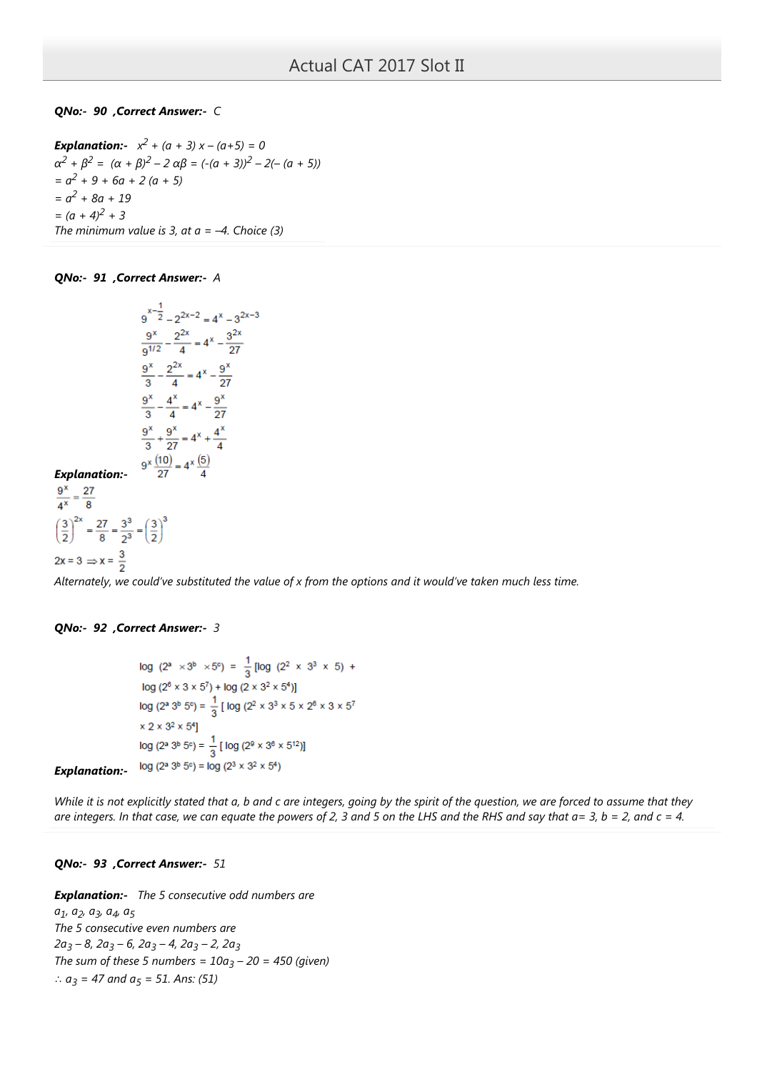# QNo:- 90 ,Correct Answer:- C

**Explanation:-**  $x^2 + (a + 3) x - (a + 5) = 0$  $\alpha^2 + \beta^2 = (\alpha + \beta)^2 - 2 \alpha \beta = (-(\alpha + 3))^2 - 2(-(\alpha + 5))$  $= a<sup>2</sup> + 9 + 6a + 2(a + 5)$  $= a^2 + 8a + 19$  $=(a + 4)^2 + 3$ The minimum value is 3, at  $a = -4$ . Choice (3)

## QNo:- 91 ,Correct Answer:- A

$$
9^{x-\frac{1}{2}} - 2^{2x-2} = 4^{x} - 3^{2x-3}
$$
  

$$
\frac{9^{x}}{9^{1/2}} - \frac{2^{2x}}{4} = 4^{x} - \frac{3^{2x}}{27}
$$
  

$$
\frac{9^{x}}{3} - \frac{2^{2x}}{4} = 4^{x} - \frac{9^{x}}{27}
$$
  

$$
\frac{9^{x}}{3} - \frac{4^{x}}{4} = 4^{x} - \frac{9^{x}}{27}
$$
  

$$
\frac{9^{x}}{3} + \frac{9^{x}}{27} = 4^{x} + \frac{4^{x}}{4}
$$
  

$$
9^{x} \frac{(10)}{27} = 4^{x} \frac{(5)}{4}
$$

Explanation:-

 $\frac{9^x}{4^x} = \frac{27}{8}$  $\left(\frac{3}{2}\right)^{2x} = \frac{27}{8} = \frac{3^3}{2^3} = \left(\frac{3}{2}\right)^3$  $2x = 3 \Rightarrow x = \frac{3}{2}$ 

Alternately, we could've substituted the value of x from the options and it would've taken much less time.

## QNo:- 92 ,Correct Answer:- 3

log  $(2^a \times 3^b \times 5^c) = \frac{1}{3}$  [log  $(2^2 \times 3^3 \times 5)$  +  $log(2^{6} \times 3 \times 5^{7}) + log(2 \times 3^{2} \times 5^{4})$ log (2<sup>a</sup> 3<sup>b</sup> 5<sup>c</sup>) =  $\frac{1}{3}$  [ log (2<sup>2</sup> × 3<sup>3</sup> × 5 × 2<sup>6</sup> × 3 × 5<sup>7</sup>  $\times$  2  $\times$  3^2  $\times$  5^4] log (2ª 3<sup>b</sup> 5°) =  $\frac{1}{3}$  [ log (2<sup>0</sup> × 3<sup>6</sup> × 5<sup>12</sup>)]  $log(2^a 3^b 5^c) = log(2^3 \times 3^2 \times 5^4)$ 

Explanation:-

While it is not explicitly stated that a, b and c are integers, going by the spirit of the question, we are forced to assume that they are integers. In that case, we can equate the powers of 2, 3 and 5 on the LHS and the RHS and say that  $a=3$ ,  $b=2$ , and  $c=4$ .

## QNo:- 93 ,Correct Answer:- 51

**Explanation:-** The 5 consecutive odd numbers are

a<sub>1</sub>, a<sub>2</sub>, a<sub>3</sub>, a<sub>4</sub>, a<sub>5</sub> The 5 consecutive even numbers are 2a<sub>3</sub> – 8, 2a<sub>3</sub> – 6, 2a<sub>3</sub> – 4, 2a<sub>3</sub> – 2, 2a<sub>3</sub> The sum of these 5 numbers =  $10a_3 - 20 = 450$  (given) ∴  $a_3 = 47$  and  $a_5 = 51$ . Ans: (51)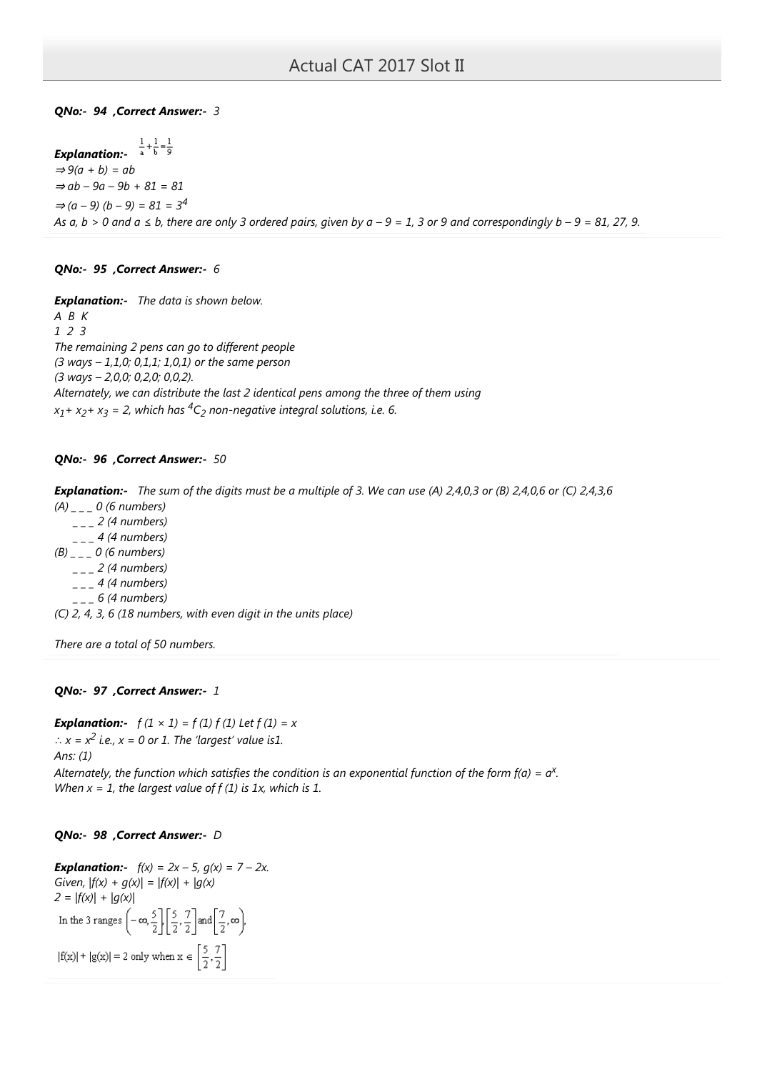QNo:- 94 ,Correct Answer:- 3

Explanation:-  $\Rightarrow$  9(a + b) = ab  $\Rightarrow$  ab – 9a – 9b + 81 = 81  $\Rightarrow$  (a - 9) (b - 9) = 81 = 3<sup>4</sup> As  $a, b > 0$  and  $a \le b$ , there are only 3 ordered pairs, given by  $a - 9 = 1$ , 3 or 9 and correspondingly  $b - 9 = 81$ , 27, 9.

# QNo:- 95 ,Correct Answer:- 6

**Explanation:-** The data is shown below.  $A$   $B$   $K$ 1 2 3 The remaining 2 pens can go to different people  $(3 ways - 1,1,0; 0,1,1; 1,0,1)$  or the same person (3 ways – 2,0,0; 0,2,0; 0,0,2). Alternately, we can distribute the last 2 identical pens among the three of them using  $x_1 + x_2 + x_3 = 2$ , which has  ${}^4C_2$  non-negative integral solutions, i.e. 6.

# QNo:- 96 ,Correct Answer:- 50

Explanation:- The sum of the digits must be a multiple of 3. We can use (A) 2,4,0,3 or (B) 2,4,0,6 or (C) 2,4,3,6

 $(A)$  \_ \_ \_ 0 (6 numbers)  $_{---}$  2 (4 numbers)  $_{---}$  4 (4 numbers)  $(B)$  \_ \_ \_ 0 (6 numbers)  $_{---}$  2 (4 numbers)  $_{---}$  4 (4 numbers)  $-$  6 (4 numbers) (C) 2, 4, 3, 6 (18 numbers, with even digit in the units place)

There are a total of 50 numbers.

## QNo:- 97 ,Correct Answer:- 1

**Explanation:**-  $f(1 \times 1) = f(1) f(1)$  Let  $f(1) = x$  $\therefore$   $x = x^2$  i.e.,  $x = 0$  or 1. The 'largest' value is1. Ans: (1)

Alternately, the function which satisfies the condition is an exponential function of the form f(a) =  $a^{\chi}$ . When  $x = 1$ , the largest value of  $f(1)$  is 1x, which is 1.

# QNo:- 98 ,Correct Answer:- D

**Explanation:-**  $f(x) = 2x - 5$ ,  $g(x) = 7 - 2x$ . Given,  $|f(x) + g(x)| = |f(x)| + |g(x)|$ 2 =  $|f(x)| + |g(x)|$ <br>In the 3 ranges  $\left(-\infty, \frac{5}{2}\right) \left[\frac{5}{2}, \frac{7}{2}\right]$  and  $\left[\frac{7}{2}, \infty\right)$ ,  $|f(x)| + |g(x)| = 2$  only when  $x \in \left[\frac{5}{2}, \frac{7}{2}\right]$